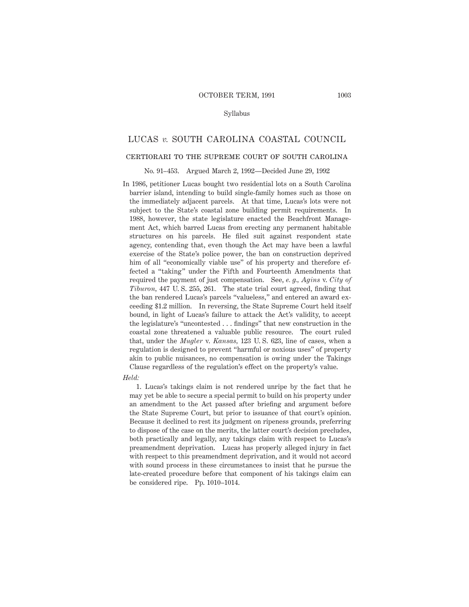## Syllabus

## LUCAS *v.* SOUTH CAROLINA COASTAL COUNCIL

# certiorari to the supreme court of south carolina

No. 91–453. Argued March 2, 1992—Decided June 29, 1992

In 1986, petitioner Lucas bought two residential lots on a South Carolina barrier island, intending to build single-family homes such as those on the immediately adjacent parcels. At that time, Lucas's lots were not subject to the State's coastal zone building permit requirements. In 1988, however, the state legislature enacted the Beachfront Management Act, which barred Lucas from erecting any permanent habitable structures on his parcels. He filed suit against respondent state agency, contending that, even though the Act may have been a lawful exercise of the State's police power, the ban on construction deprived him of all "economically viable use" of his property and therefore effected a "taking" under the Fifth and Fourteenth Amendments that required the payment of just compensation. See, *e. g., Agins* v. *City of Tiburon,* 447 U. S. 255, 261. The state trial court agreed, finding that the ban rendered Lucas's parcels "valueless," and entered an award exceeding \$1.2 million. In reversing, the State Supreme Court held itself bound, in light of Lucas's failure to attack the Act's validity, to accept the legislature's "uncontested . . . findings" that new construction in the coastal zone threatened a valuable public resource. The court ruled that, under the *Mugler* v. *Kansas,* 123 U. S. 623, line of cases, when a regulation is designed to prevent "harmful or noxious uses" of property akin to public nuisances, no compensation is owing under the Takings Clause regardless of the regulation's effect on the property's value.

#### *Held:*

1. Lucas's takings claim is not rendered unripe by the fact that he may yet be able to secure a special permit to build on his property under an amendment to the Act passed after briefing and argument before the State Supreme Court, but prior to issuance of that court's opinion. Because it declined to rest its judgment on ripeness grounds, preferring to dispose of the case on the merits, the latter court's decision precludes, both practically and legally, any takings claim with respect to Lucas's preamendment deprivation. Lucas has properly alleged injury in fact with respect to this preamendment deprivation, and it would not accord with sound process in these circumstances to insist that he pursue the late-created procedure before that component of his takings claim can be considered ripe. Pp. 1010–1014.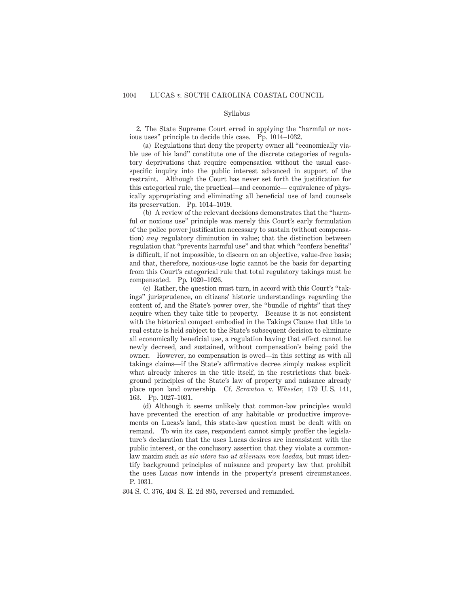#### Syllabus

2. The State Supreme Court erred in applying the "harmful or noxious uses" principle to decide this case. Pp. 1014–1032.

(a) Regulations that deny the property owner all "economically viable use of his land" constitute one of the discrete categories of regulatory deprivations that require compensation without the usual casespecific inquiry into the public interest advanced in support of the restraint. Although the Court has never set forth the justification for this categorical rule, the practical—and economic— equivalence of physically appropriating and eliminating all beneficial use of land counsels its preservation. Pp. 1014–1019.

(b) A review of the relevant decisions demonstrates that the "harmful or noxious use" principle was merely this Court's early formulation of the police power justification necessary to sustain (without compensation) *any* regulatory diminution in value; that the distinction between regulation that "prevents harmful use" and that which "confers benefits" is difficult, if not impossible, to discern on an objective, value-free basis; and that, therefore, noxious-use logic cannot be the basis for departing from this Court's categorical rule that total regulatory takings must be compensated. Pp. 1020–1026.

(c) Rather, the question must turn, in accord with this Court's "takings" jurisprudence, on citizens' historic understandings regarding the content of, and the State's power over, the "bundle of rights" that they acquire when they take title to property. Because it is not consistent with the historical compact embodied in the Takings Clause that title to real estate is held subject to the State's subsequent decision to eliminate all economically beneficial use, a regulation having that effect cannot be newly decreed, and sustained, without compensation's being paid the owner. However, no compensation is owed—in this setting as with all takings claims—if the State's affirmative decree simply makes explicit what already inheres in the title itself, in the restrictions that background principles of the State's law of property and nuisance already place upon land ownership. Cf. *Scranton* v. *Wheeler,* 179 U. S. 141, 163. Pp. 1027–1031.

(d) Although it seems unlikely that common-law principles would have prevented the erection of any habitable or productive improvements on Lucas's land, this state-law question must be dealt with on remand. To win its case, respondent cannot simply proffer the legislature's declaration that the uses Lucas desires are inconsistent with the public interest, or the conclusory assertion that they violate a commonlaw maxim such as *sic utere tuo ut alienum non laedas,* but must identify background principles of nuisance and property law that prohibit the uses Lucas now intends in the property's present circumstances. P. 1031.

304 S. C. 376, 404 S. E. 2d 895, reversed and remanded.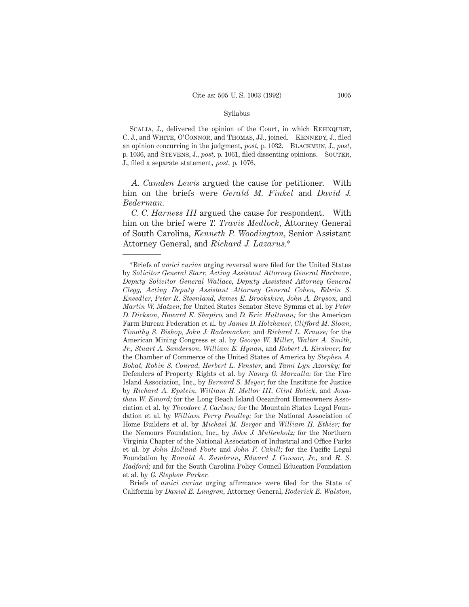#### Syllabus

SCALIA, J., delivered the opinion of the Court, in which REHNQUIST, C. J., and WHITE, O'CONNOR, and THOMAS, J.J., joined. KENNEDY, J., filed an opinion concurring in the judgment, *post,* p. 1032. Blackmun, J., *post,* p. 1036, and STEVENS, J., *post*, p. 1061, filed dissenting opinions. SOUTER, J., filed a separate statement, *post,* p. 1076.

*A. Camden Lewis* argued the cause for petitioner. With him on the briefs were *Gerald M. Finkel* and *David J. Bederman.*

*C. C. Harness III* argued the cause for respondent. With him on the brief were *T. Travis Medlock,* Attorney General of South Carolina, *Kenneth P. Woodington,* Senior Assistant Attorney General, and *Richard J. Lazarus.*\*

Briefs of *amici curiae* urging affirmance were filed for the State of California by *Daniel E. Lungren,* Attorney General, *Roderick E. Walston,*

<sup>\*</sup>Briefs of *amici curiae* urging reversal were filed for the United States by *Solicitor General Starr, Acting Assistant Attorney General Hartman, Deputy Solicitor General Wallace, Deputy Assistant Attorney General Clegg, Acting Deputy Assistant Attorney General Cohen, Edwin S. Kneedler, Peter R. Steenland, James E. Brookshire, John A. Bryson,* and *Martin W. Matzen;* for United States Senator Steve Symms et al. by *Peter D. Dickson, Howard E. Shapiro,* and *D. Eric Hultman;* for the American Farm Bureau Federation et al. by *James D. Holzhauer, Clifford M. Sloan, Timothy S. Bishop, John J. Rademacher,* and *Richard L. Krause;* for the American Mining Congress et al. by *George W. Miller, Walter A. Smith, Jr., Stuart A. Sanderson, William E. Hynan,* and *Robert A. Kirshner;* for the Chamber of Commerce of the United States of America by *Stephen A. Bokat, Robin S. Conrad, Herbert L. Fenster,* and *Tami Lyn Azorsky;* for Defenders of Property Rights et al. by *Nancy G. Marzulla;* for the Fire Island Association, Inc., by *Bernard S. Meyer;* for the Institute for Justice by *Richard A. Epstein, William H. Mellor III, Clint Bolick,* and *Jonathan W. Emord;* for the Long Beach Island Oceanfront Homeowners Association et al. by *Theodore J. Carlson;* for the Mountain States Legal Foundation et al. by *William Perry Pendley;* for the National Association of Home Builders et al. by *Michael M. Berger* and *William H. Ethier;* for the Nemours Foundation, Inc., by *John J. Mullenholz;* for the Northern Virginia Chapter of the National Association of Industrial and Office Parks et al. by *John Holland Foote* and *John F. Cahill;* for the Pacific Legal Foundation by *Ronald A. Zumbrun, Edward J. Connor, Jr.,* and *R. S. Radford;* and for the South Carolina Policy Council Education Foundation et al. by *G. Stephen Parker.*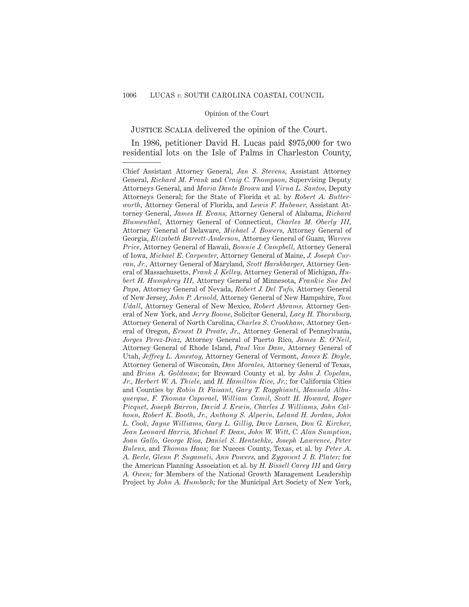# Justice Scalia delivered the opinion of the Court.

In 1986, petitioner David H. Lucas paid \$975,000 for two residential lots on the Isle of Palms in Charleston County,

Chief Assistant Attorney General, *Jan S. Stevens,* Assistant Attorney General, *Richard M. Frank* and *Craig C. Thompson,* Supervising Deputy Attorneys General, and *Maria Dante Brown* and *Virna L. Santos,* Deputy Attorneys General; for the State of Florida et al. by *Robert A. Butterworth,* Attorney General of Florida, and *Lewis F. Hubener,* Assistant Attorney General, *James H. Evans,* Attorney General of Alabama, *Richard Blumenthal,* Attorney General of Connecticut, *Charles M. Oberly III,* Attorney General of Delaware, *Michael J. Bowers,* Attorney General of Georgia, *Elizabeth Barrett-Anderson,* Attorney General of Guam, *Warren Price,* Attorney General of Hawaii, *Bonnie J. Campbell,* Attorney General of Iowa, *Michael E. Carpenter,* Attorney General of Maine, *J. Joseph Curran, Jr.,* Attorney General of Maryland, *Scott Harshbarger,* Attorney General of Massachusetts, *Frank J. Kelley,* Attorney General of Michigan, *Hubert H. Humphrey III,* Attorney General of Minnesota, *Frankie Sue Del Papa,* Attorney General of Nevada, *Robert J. Del Tufo,* Attorney General of New Jersey, *John P. Arnold,* Attorney General of New Hampshire, *Tom Udall,* Attorney General of New Mexico, *Robert Abrams,* Attorney General of New York, and *Jerry Boone,* Solicitor General, *Lacy H. Thornburg,* Attorney General of North Carolina, *Charles S. Crookham,* Attorney General of Oregon, *Ernest D. Preate, Jr.,* Attorney General of Pennsylvania, *Jorges Perez-Diaz,* Attorney General of Puerto Rico, *James E. O'Neil,* Attorney General of Rhode Island, *Paul Van Dam,* Attorney General of Utah, *Jeffrey L. Amestoy,* Attorney General of Vermont, *James E. Doyle,* Attorney General of Wisconsin, *Dan Morales,* Attorney General of Texas, and *Brian A. Goldman*; for Broward County et al. by *John J. Copelan, Jr., Herbert W. A. Thiele,* and *H. Hamilton Rice, Jr.;* for California Cities and Counties by *Robin D. Faisant, Gary T. Ragghianti, Manuela Albuquerque, F. Thomas Caporael, William Camil, Scott H. Howard, Roger Picquet, Joseph Barron, David J. Erwin, Charles J. Williams, John Calhoun, Robert K. Booth, Jr., Anthony S. Alperin, Leland H. Jordan, John L. Cook, Jayne Williams, Gary L. Gillig, Dave Larsen, Don G. Kircher, Jean Leonard Harris, Michael F. Dean, John W. Witt, C. Alan Sumption, Joan Gallo, George Rios, Daniel S. Hentschke, Joseph Lawrence, Peter Bulens,* and *Thomas Haas;* for Nueces County, Texas, et al. by *Peter A. A. Berle, Glenn P. Sugameli, Ann Powers,* and *Zygmunt J. B. Plater;* for the American Planning Association et al. by *H. Bissell Carey III* and *Gary A. Owen;* for Members of the National Growth Management Leadership Project by *John A. Humbach;* for the Municipal Art Society of New York,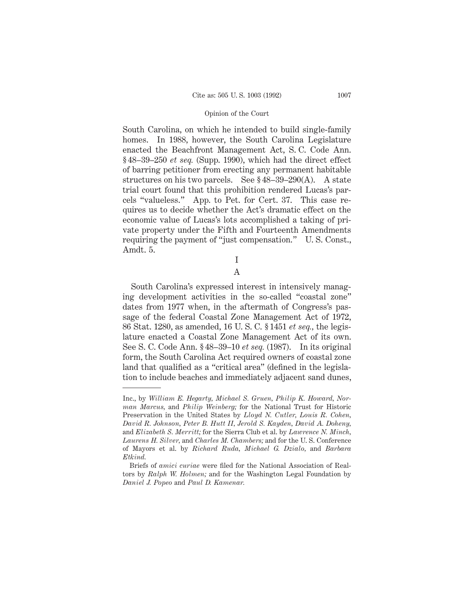South Carolina, on which he intended to build single-family homes. In 1988, however, the South Carolina Legislature enacted the Beachfront Management Act, S. C. Code Ann. § 48–39–250 *et seq.* (Supp. 1990), which had the direct effect of barring petitioner from erecting any permanent habitable structures on his two parcels. See § 48–39–290(A). A state trial court found that this prohibition rendered Lucas's parcels "valueless." App. to Pet. for Cert. 37. This case requires us to decide whether the Act's dramatic effect on the economic value of Lucas's lots accomplished a taking of private property under the Fifth and Fourteenth Amendments requiring the payment of "just compensation." U. S. Const., Amdt. 5.

I

## A

South Carolina's expressed interest in intensively managing development activities in the so-called "coastal zone" dates from 1977 when, in the aftermath of Congress's passage of the federal Coastal Zone Management Act of 1972, 86 Stat. 1280, as amended, 16 U. S. C. § 1451 *et seq.,* the legislature enacted a Coastal Zone Management Act of its own. See S. C. Code Ann. § 48–39–10 *et seq.* (1987). In its original form, the South Carolina Act required owners of coastal zone land that qualified as a "critical area" (defined in the legislation to include beaches and immediately adjacent sand dunes,

Inc., by *William E. Hegarty, Michael S. Gruen, Philip K. Howard, Norman Marcus,* and *Philip Weinberg;* for the National Trust for Historic Preservation in the United States by *Lloyd N. Cutler, Louis R. Cohen, David R. Johnson, Peter B. Hutt II, Jerold S. Kayden, David A. Doheny,* and *Elizabeth S. Merritt;* for the Sierra Club et al. by *Lawrence N. Minch, Laurens H. Silver,* and *Charles M. Chambers;* and for the U. S. Conference of Mayors et al. by *Richard Ruda, Michael G. Dzialo,* and *Barbara Etkind.*

Briefs of *amici curiae* were filed for the National Association of Realtors by *Ralph W. Holmen;* and for the Washington Legal Foundation by *Daniel J. Popeo* and *Paul D. Kamenar.*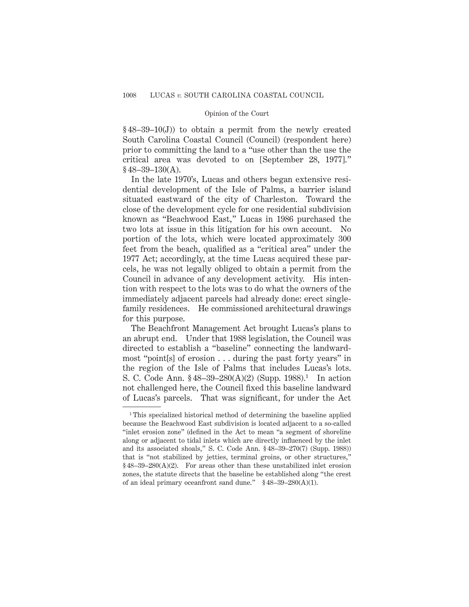§ 48–39–10(J)) to obtain a permit from the newly created South Carolina Coastal Council (Council) (respondent here) prior to committing the land to a "use other than the use the critical area was devoted to on [September 28, 1977]."  $§$  48–39–130(A).

In the late 1970's, Lucas and others began extensive residential development of the Isle of Palms, a barrier island situated eastward of the city of Charleston. Toward the close of the development cycle for one residential subdivision known as "Beachwood East," Lucas in 1986 purchased the two lots at issue in this litigation for his own account. No portion of the lots, which were located approximately 300 feet from the beach, qualified as a "critical area" under the 1977 Act; accordingly, at the time Lucas acquired these parcels, he was not legally obliged to obtain a permit from the Council in advance of any development activity. His intention with respect to the lots was to do what the owners of the immediately adjacent parcels had already done: erect singlefamily residences. He commissioned architectural drawings for this purpose.

The Beachfront Management Act brought Lucas's plans to an abrupt end. Under that 1988 legislation, the Council was directed to establish a "baseline" connecting the landwardmost "point[s] of erosion . . . during the past forty years" in the region of the Isle of Palms that includes Lucas's lots. S. C. Code Ann.  $$48-39-280(A)(2)$  (Supp. 1988).<sup>1</sup> In action not challenged here, the Council fixed this baseline landward of Lucas's parcels. That was significant, for under the Act

<sup>&</sup>lt;sup>1</sup>This specialized historical method of determining the baseline applied because the Beachwood East subdivision is located adjacent to a so-called "inlet erosion zone" (defined in the Act to mean "a segment of shoreline along or adjacent to tidal inlets which are directly influenced by the inlet and its associated shoals," S. C. Code Ann. § 48–39–270(7) (Supp. 1988)) that is "not stabilized by jetties, terminal groins, or other structures,"  $§$ 48–39–280(A)(2). For areas other than these unstabilized inlet erosion zones, the statute directs that the baseline be established along "the crest of an ideal primary oceanfront sand dune." § 48–39–280(A)(1).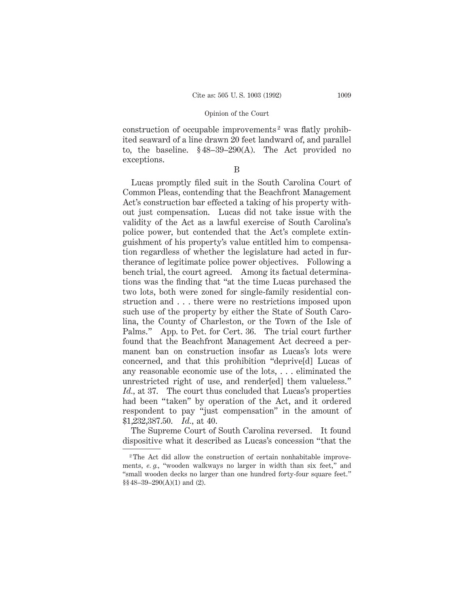construction of occupable improvements <sup>2</sup> was flatly prohibited seaward of a line drawn 20 feet landward of, and parallel to, the baseline. § 48–39–290(A). The Act provided no exceptions.

B

Lucas promptly filed suit in the South Carolina Court of Common Pleas, contending that the Beachfront Management Act's construction bar effected a taking of his property without just compensation. Lucas did not take issue with the validity of the Act as a lawful exercise of South Carolina's police power, but contended that the Act's complete extinguishment of his property's value entitled him to compensation regardless of whether the legislature had acted in furtherance of legitimate police power objectives. Following a bench trial, the court agreed. Among its factual determinations was the finding that "at the time Lucas purchased the two lots, both were zoned for single-family residential construction and . . . there were no restrictions imposed upon such use of the property by either the State of South Carolina, the County of Charleston, or the Town of the Isle of Palms." App. to Pet. for Cert. 36. The trial court further found that the Beachfront Management Act decreed a permanent ban on construction insofar as Lucas's lots were concerned, and that this prohibition "deprive[d] Lucas of any reasonable economic use of the lots, . . . eliminated the unrestricted right of use, and render[ed] them valueless." *Id.,* at 37. The court thus concluded that Lucas's properties had been "taken" by operation of the Act, and it ordered respondent to pay "just compensation" in the amount of \$1,232,387.50. *Id.,* at 40.

The Supreme Court of South Carolina reversed. It found dispositive what it described as Lucas's concession "that the

<sup>&</sup>lt;sup>2</sup>The Act did allow the construction of certain nonhabitable improvements, *e. g.,* "wooden walkways no larger in width than six feet," and "small wooden decks no larger than one hundred forty-four square feet." §§ 48–39–290(A)(1) and (2).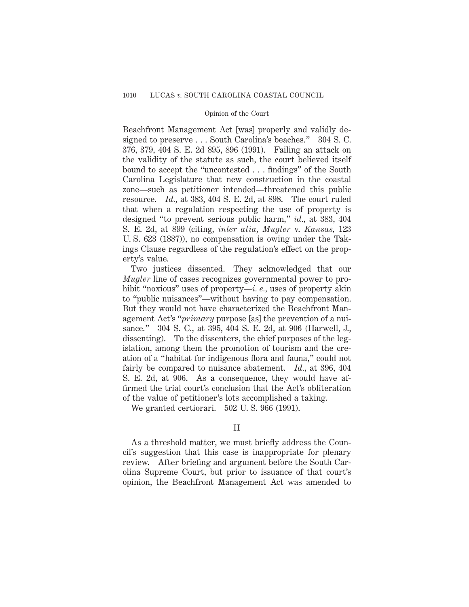Beachfront Management Act [was] properly and validly designed to preserve... South Carolina's beaches." 304 S. C. 376, 379, 404 S. E. 2d 895, 896 (1991). Failing an attack on the validity of the statute as such, the court believed itself bound to accept the "uncontested . . . findings" of the South Carolina Legislature that new construction in the coastal zone—such as petitioner intended—threatened this public resource. *Id.,* at 383, 404 S. E. 2d, at 898. The court ruled that when a regulation respecting the use of property is designed "to prevent serious public harm," *id.,* at 383, 404 S. E. 2d, at 899 (citing, *inter alia, Mugler* v. *Kansas,* 123 U. S. 623 (1887)), no compensation is owing under the Takings Clause regardless of the regulation's effect on the property's value.

Two justices dissented. They acknowledged that our *Mugler* line of cases recognizes governmental power to prohibit "noxious" uses of property—*i.e.*, uses of property akin to "public nuisances"—without having to pay compensation. But they would not have characterized the Beachfront Management Act's "*primary* purpose [as] the prevention of a nuisance." 304 S. C., at 395, 404 S. E. 2d, at 906 (Harwell, J., dissenting). To the dissenters, the chief purposes of the legislation, among them the promotion of tourism and the creation of a "habitat for indigenous flora and fauna," could not fairly be compared to nuisance abatement. *Id.,* at 396, 404 S. E. 2d, at 906. As a consequence, they would have affirmed the trial court's conclusion that the Act's obliteration of the value of petitioner's lots accomplished a taking.

We granted certiorari. 502 U. S. 966 (1991).

II

As a threshold matter, we must briefly address the Council's suggestion that this case is inappropriate for plenary review. After briefing and argument before the South Carolina Supreme Court, but prior to issuance of that court's opinion, the Beachfront Management Act was amended to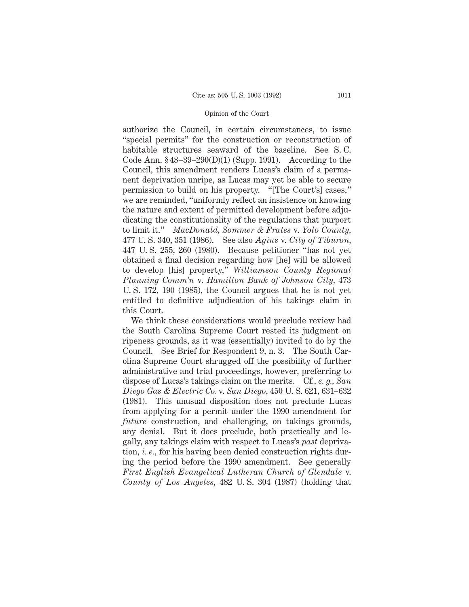authorize the Council, in certain circumstances, to issue "special permits" for the construction or reconstruction of habitable structures seaward of the baseline. See S. C. Code Ann.  $$48-39-290(D)(1)$  (Supp. 1991). According to the Council, this amendment renders Lucas's claim of a permanent deprivation unripe, as Lucas may yet be able to secure permission to build on his property. "[The Court's] cases," we are reminded, "uniformly reflect an insistence on knowing the nature and extent of permitted development before adjudicating the constitutionality of the regulations that purport to limit it." *MacDonald, Sommer & Frates* v. *Yolo County,* 477 U. S. 340, 351 (1986). See also *Agins* v. *City of Tiburon,* 447 U. S. 255, 260 (1980). Because petitioner "has not yet obtained a final decision regarding how [he] will be allowed to develop [his] property," *Williamson County Regional Planning Comm'n* v. *Hamilton Bank of Johnson City,* 473 U. S. 172, 190 (1985), the Council argues that he is not yet entitled to definitive adjudication of his takings claim in this Court.

We think these considerations would preclude review had the South Carolina Supreme Court rested its judgment on ripeness grounds, as it was (essentially) invited to do by the Council. See Brief for Respondent 9, n. 3. The South Carolina Supreme Court shrugged off the possibility of further administrative and trial proceedings, however, preferring to dispose of Lucas's takings claim on the merits. Cf., *e. g., San Diego Gas & Electric Co.* v. *San Diego,* 450 U. S. 621, 631–632 (1981). This unusual disposition does not preclude Lucas from applying for a permit under the 1990 amendment for *future* construction, and challenging, on takings grounds, any denial. But it does preclude, both practically and legally, any takings claim with respect to Lucas's *past* deprivation, *i. e.,* for his having been denied construction rights during the period before the 1990 amendment. See generally *First English Evangelical Lutheran Church of Glendale* v. *County of Los Angeles,* 482 U. S. 304 (1987) (holding that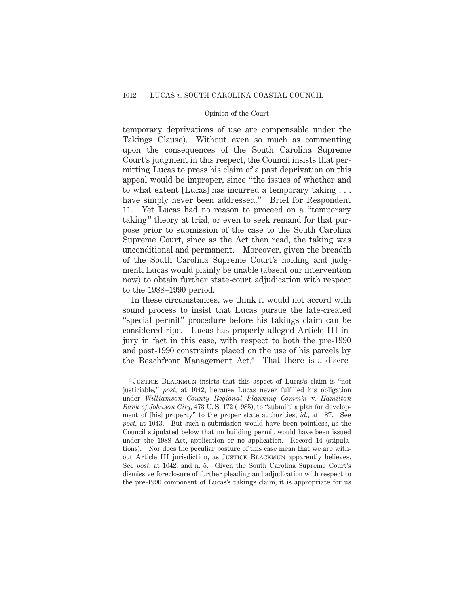temporary deprivations of use are compensable under the Takings Clause). Without even so much as commenting upon the consequences of the South Carolina Supreme Court's judgment in this respect, the Council insists that permitting Lucas to press his claim of a past deprivation on this appeal would be improper, since "the issues of whether and to what extent [Lucas] has incurred a temporary taking . . . have simply never been addressed." Brief for Respondent 11. Yet Lucas had no reason to proceed on a "temporary taking" theory at trial, or even to seek remand for that purpose prior to submission of the case to the South Carolina Supreme Court, since as the Act then read, the taking was unconditional and permanent. Moreover, given the breadth of the South Carolina Supreme Court's holding and judgment, Lucas would plainly be unable (absent our intervention now) to obtain further state-court adjudication with respect to the 1988–1990 period.

In these circumstances, we think it would not accord with sound process to insist that Lucas pursue the late-created "special permit" procedure before his takings claim can be considered ripe. Lucas has properly alleged Article III injury in fact in this case, with respect to both the pre-1990 and post-1990 constraints placed on the use of his parcels by the Beachfront Management Act.3 That there is a discre-

<sup>3</sup> Justice Blackmun insists that this aspect of Lucas's claim is "not justiciable," *post,* at 1042, because Lucas never fulfilled his obligation under *Williamson County Regional Planning Comm'n* v. *Hamilton Bank of Johnson City,* 473 U. S. 172 (1985), to "submi[t] a plan for development of [his] property" to the proper state authorities, *id.,* at 187. See *post,* at 1043. But such a submission would have been pointless, as the Council stipulated below that no building permit would have been issued under the 1988 Act, application or no application. Record 14 (stipulations). Nor does the peculiar posture of this case mean that we are without Article III jurisdiction, as Justice Blackmun apparently believes. See *post,* at 1042, and n. 5. Given the South Carolina Supreme Court's dismissive foreclosure of further pleading and adjudication with respect to the pre-1990 component of Lucas's takings claim, it is appropriate for us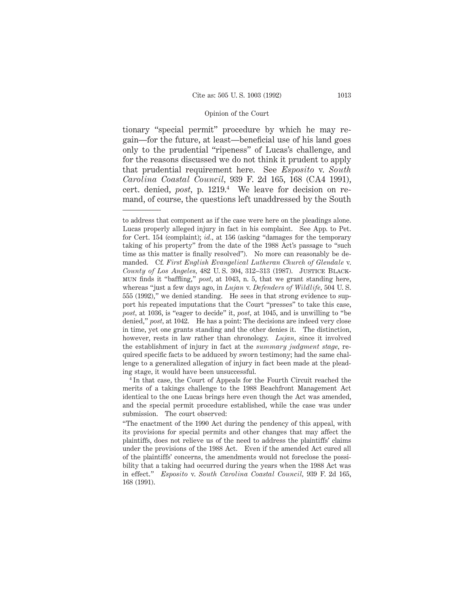tionary "special permit" procedure by which he may regain—for the future, at least—beneficial use of his land goes only to the prudential "ripeness" of Lucas's challenge, and for the reasons discussed we do not think it prudent to apply that prudential requirement here. See *Esposito* v. *South Carolina Coastal Council,* 939 F. 2d 165, 168 (CA4 1991), cert. denied, *post*, p. 1219.<sup>4</sup> We leave for decision on remand, of course, the questions left unaddressed by the South

<sup>4</sup> In that case, the Court of Appeals for the Fourth Circuit reached the merits of a takings challenge to the 1988 Beachfront Management Act identical to the one Lucas brings here even though the Act was amended, and the special permit procedure established, while the case was under submission. The court observed:

to address that component as if the case were here on the pleadings alone. Lucas properly alleged injury in fact in his complaint. See App. to Pet. for Cert. 154 (complaint); *id.,* at 156 (asking "damages for the temporary taking of his property" from the date of the 1988 Act's passage to "such time as this matter is finally resolved"). No more can reasonably be demanded. Cf. *First English Evangelical Lutheran Church of Glendale* v. *County of Los Angeles,* 482 U. S. 304, 312–313 (1987). Justice Blackmun finds it "baffling," *post,* at 1043, n. 5, that we grant standing here, whereas "just a few days ago, in *Lujan* v. *Defenders of Wildlife,* 504 U. S. 555 (1992)," we denied standing. He sees in that strong evidence to support his repeated imputations that the Court "presses" to take this case, *post,* at 1036, is "eager to decide" it, *post,* at 1045, and is unwilling to "be denied," *post,* at 1042. He has a point: The decisions are indeed very close in time, yet one grants standing and the other denies it. The distinction, however, rests in law rather than chronology. *Lujan*, since it involved the establishment of injury in fact at the *summary judgment stage,* required specific facts to be adduced by sworn testimony; had the same challenge to a generalized allegation of injury in fact been made at the pleading stage, it would have been unsuccessful.

<sup>&</sup>quot;The enactment of the 1990 Act during the pendency of this appeal, with its provisions for special permits and other changes that may affect the plaintiffs, does not relieve us of the need to address the plaintiffs' claims under the provisions of the 1988 Act. Even if the amended Act cured all of the plaintiffs' concerns, the amendments would not foreclose the possibility that a taking had occurred during the years when the 1988 Act was in effect." *Esposito* v. *South Carolina Coastal Council,* 939 F. 2d 165, 168 (1991).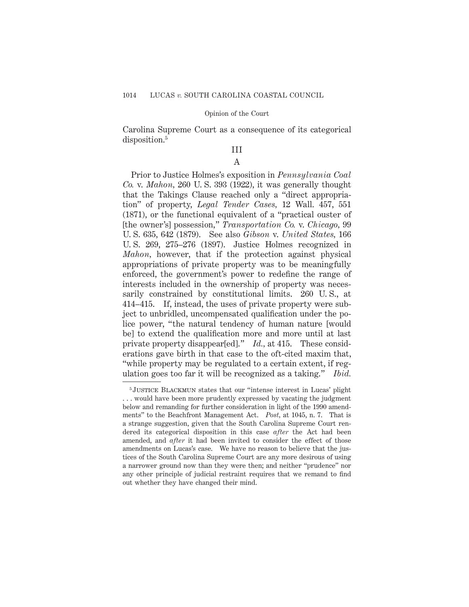Carolina Supreme Court as a consequence of its categorical disposition.5

#### III

### A

Prior to Justice Holmes's exposition in *Pennsylvania Coal Co.* v. *Mahon,* 260 U. S. 393 (1922), it was generally thought that the Takings Clause reached only a "direct appropriation" of property, *Legal Tender Cases,* 12 Wall. 457, 551 (1871), or the functional equivalent of a "practical ouster of [the owner's] possession," *Transportation Co.* v. *Chicago,* 99 U. S. 635, 642 (1879). See also *Gibson* v. *United States,* 166 U. S. 269, 275–276 (1897). Justice Holmes recognized in *Mahon,* however, that if the protection against physical appropriations of private property was to be meaningfully enforced, the government's power to redefine the range of interests included in the ownership of property was necessarily constrained by constitutional limits. 260 U. S., at 414–415. If, instead, the uses of private property were subject to unbridled, uncompensated qualification under the police power, "the natural tendency of human nature [would be] to extend the qualification more and more until at last private property disappear[ed]." *Id.,* at 415. These considerations gave birth in that case to the oft-cited maxim that, "while property may be regulated to a certain extent, if regulation goes too far it will be recognized as a taking." *Ibid.*

<sup>5</sup> Justice Blackmun states that our "intense interest in Lucas' plight . . . would have been more prudently expressed by vacating the judgment below and remanding for further consideration in light of the 1990 amendments" to the Beachfront Management Act. *Post,* at 1045, n. 7. That is a strange suggestion, given that the South Carolina Supreme Court rendered its categorical disposition in this case *after* the Act had been amended, and *after* it had been invited to consider the effect of those amendments on Lucas's case. We have no reason to believe that the justices of the South Carolina Supreme Court are any more desirous of using a narrower ground now than they were then; and neither "prudence" nor any other principle of judicial restraint requires that we remand to find out whether they have changed their mind.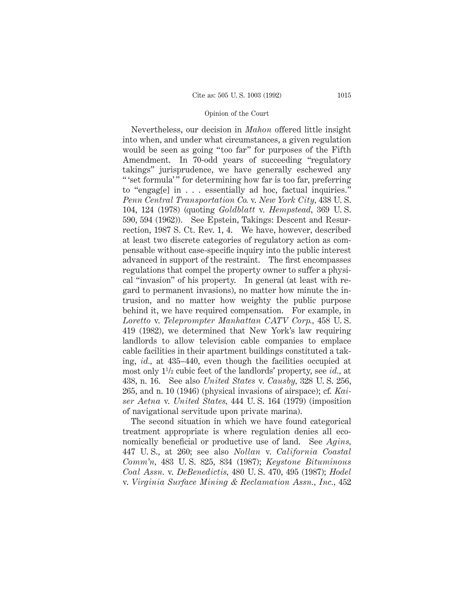Nevertheless, our decision in *Mahon* offered little insight into when, and under what circumstances, a given regulation would be seen as going "too far" for purposes of the Fifth Amendment. In 70-odd years of succeeding "regulatory takings" jurisprudence, we have generally eschewed any " 'set formula' " for determining how far is too far, preferring to "engag[e] in... essentially ad hoc, factual inquiries." *Penn Central Transportation Co.* v. *New York City,* 438 U. S. 104, 124 (1978) (quoting *Goldblatt* v. *Hempstead,* 369 U. S. 590, 594 (1962)). See Epstein, Takings: Descent and Resurrection, 1987 S. Ct. Rev. 1, 4. We have, however, described at least two discrete categories of regulatory action as compensable without case-specific inquiry into the public interest advanced in support of the restraint. The first encompasses regulations that compel the property owner to suffer a physical "invasion" of his property. In general (at least with regard to permanent invasions), no matter how minute the intrusion, and no matter how weighty the public purpose behind it, we have required compensation. For example, in *Loretto* v. *Teleprompter Manhattan CATV Corp.,* 458 U. S. 419 (1982), we determined that New York's law requiring landlords to allow television cable companies to emplace cable facilities in their apartment buildings constituted a taking, *id.,* at 435–440, even though the facilities occupied at most only 11/2 cubic feet of the landlords' property, see *id.,* at 438, n. 16. See also *United States* v. *Causby,* 328 U. S. 256, 265, and n. 10 (1946) (physical invasions of airspace); cf. *Kaiser Aetna* v. *United States,* 444 U. S. 164 (1979) (imposition of navigational servitude upon private marina).

The second situation in which we have found categorical treatment appropriate is where regulation denies all economically beneficial or productive use of land. See *Agins,* 447 U. S., at 260; see also *Nollan* v. *California Coastal Comm'n,* 483 U. S. 825, 834 (1987); *Keystone Bituminous Coal Assn.* v. *DeBenedictis,* 480 U. S. 470, 495 (1987); *Hodel* v. *Virginia Surface Mining & Reclamation Assn., Inc.,* 452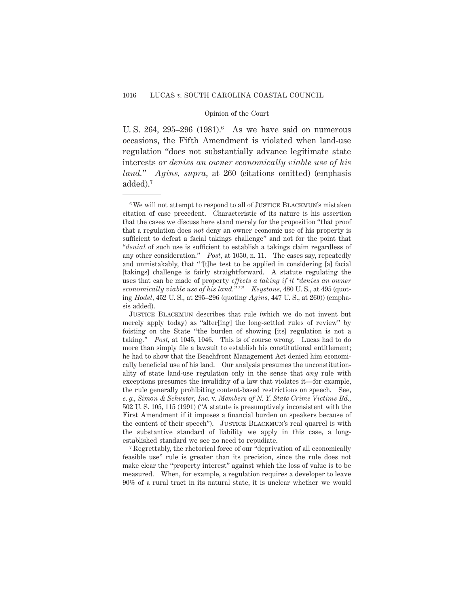U. S. 264, 295–296  $(1981)$ .<sup>6</sup> As we have said on numerous occasions, the Fifth Amendment is violated when land-use regulation "does not substantially advance legitimate state interests *or denies an owner economically viable use of his land.*" *Agins, supra,* at 260 (citations omitted) (emphasis added).7

<sup>7</sup> Regrettably, the rhetorical force of our "deprivation of all economically feasible use" rule is greater than its precision, since the rule does not make clear the "property interest" against which the loss of value is to be measured. When, for example, a regulation requires a developer to leave 90% of a rural tract in its natural state, it is unclear whether we would

<sup>&</sup>lt;sup>6</sup> We will not attempt to respond to all of JUSTICE BLACKMUN's mistaken citation of case precedent. Characteristic of its nature is his assertion that the cases we discuss here stand merely for the proposition "that proof that a regulation does *not* deny an owner economic use of his property is sufficient to defeat a facial takings challenge" and not for the point that "*denial* of such use is sufficient to establish a takings claim regardless of any other consideration." *Post,* at 1050, n. 11. The cases say, repeatedly and unmistakably, that " '[t]he test to be applied in considering [a] facial [takings] challenge is fairly straightforward. A statute regulating the uses that can be made of property *effects a taking if it "denies an owner economically viable use of his land.*"'" *Keystone,* 480 U. S., at 495 (quoting *Hodel,* 452 U. S., at 295–296 (quoting *Agins,* 447 U. S., at 260)) (emphasis added).

Justice Blackmun describes that rule (which we do not invent but merely apply today) as "alter[ing] the long-settled rules of review" by foisting on the State "the burden of showing [its] regulation is not a taking." *Post,* at 1045, 1046. This is of course wrong. Lucas had to do more than simply file a lawsuit to establish his constitutional entitlement; he had to show that the Beachfront Management Act denied him economically beneficial use of his land. Our analysis presumes the unconstitutionality of state land-use regulation only in the sense that *any* rule with exceptions presumes the invalidity of a law that violates it—for example, the rule generally prohibiting content-based restrictions on speech. See, *e. g., Simon & Schuster, Inc.* v. *Members of N. Y. State Crime Victims Bd.,* 502 U. S. 105, 115 (1991) ("A statute is presumptively inconsistent with the First Amendment if it imposes a financial burden on speakers because of the content of their speech"). Justice Blackmun's real quarrel is with the substantive standard of liability we apply in this case, a longestablished standard we see no need to repudiate.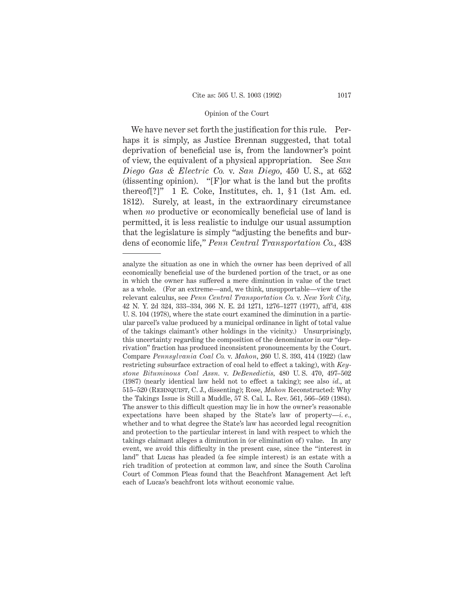We have never set forth the justification for this rule. Perhaps it is simply, as Justice Brennan suggested, that total deprivation of beneficial use is, from the landowner's point of view, the equivalent of a physical appropriation. See *San Diego Gas & Electric Co.* v. *San Diego,* 450 U. S., at 652 (dissenting opinion). "[F]or what is the land but the profits thereof[?]" 1 E. Coke, Institutes, ch. 1, § 1 (1st Am. ed. 1812). Surely, at least, in the extraordinary circumstance when *no* productive or economically beneficial use of land is permitted, it is less realistic to indulge our usual assumption that the legislature is simply "adjusting the benefits and burdens of economic life," *Penn Central Transportation Co.,* 438

analyze the situation as one in which the owner has been deprived of all economically beneficial use of the burdened portion of the tract, or as one in which the owner has suffered a mere diminution in value of the tract as a whole. (For an extreme—and, we think, unsupportable—view of the relevant calculus, see *Penn Central Transportation Co.* v. *New York City,* 42 N. Y. 2d 324, 333–334, 366 N. E. 2d 1271, 1276–1277 (1977), aff'd, 438 U. S. 104 (1978), where the state court examined the diminution in a particular parcel's value produced by a municipal ordinance in light of total value of the takings claimant's other holdings in the vicinity.) Unsurprisingly, this uncertainty regarding the composition of the denominator in our "deprivation" fraction has produced inconsistent pronouncements by the Court. Compare *Pennsylvania Coal Co.* v. *Mahon*, 260 U. S. 393, 414 (1922) (law restricting subsurface extraction of coal held to effect a taking), with *Keystone Bituminous Coal Assn.* v. *DeBenedictis,* 480 U. S. 470, 497–502 (1987) (nearly identical law held not to effect a taking); see also *id.,* at 515–520 (Rehnquist, C. J., dissenting); Rose, *Mahon* Reconstructed: Why the Takings Issue is Still a Muddle, 57 S. Cal. L. Rev. 561, 566–569 (1984). The answer to this difficult question may lie in how the owner's reasonable expectations have been shaped by the State's law of property—*i. e.,* whether and to what degree the State's law has accorded legal recognition and protection to the particular interest in land with respect to which the takings claimant alleges a diminution in (or elimination of) value. In any event, we avoid this difficulty in the present case, since the "interest in land" that Lucas has pleaded (a fee simple interest) is an estate with a rich tradition of protection at common law, and since the South Carolina Court of Common Pleas found that the Beachfront Management Act left each of Lucas's beachfront lots without economic value.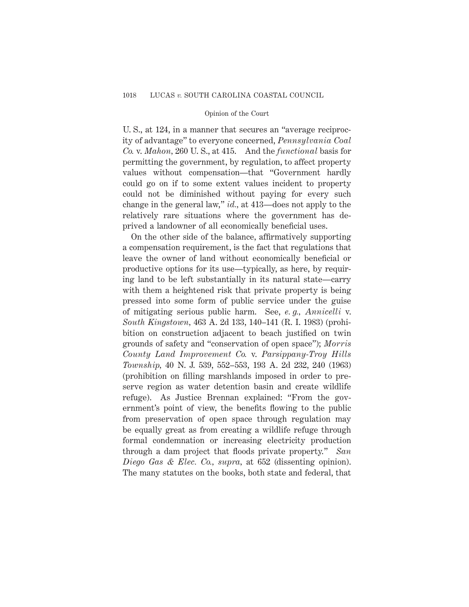U. S., at 124, in a manner that secures an "average reciprocity of advantage" to everyone concerned, *Pennsylvania Coal Co.* v. *Mahon,* 260 U. S., at 415. And the *functional* basis for permitting the government, by regulation, to affect property values without compensation—that "Government hardly could go on if to some extent values incident to property could not be diminished without paying for every such change in the general law," *id.,* at 413—does not apply to the relatively rare situations where the government has deprived a landowner of all economically beneficial uses.

On the other side of the balance, affirmatively supporting a compensation requirement, is the fact that regulations that leave the owner of land without economically beneficial or productive options for its use—typically, as here, by requiring land to be left substantially in its natural state—carry with them a heightened risk that private property is being pressed into some form of public service under the guise of mitigating serious public harm. See, *e. g., Annicelli* v. *South Kingstown,* 463 A. 2d 133, 140–141 (R. I. 1983) (prohibition on construction adjacent to beach justified on twin grounds of safety and "conservation of open space"); *Morris County Land Improvement Co.* v. *Parsippany-Troy Hills Township,* 40 N. J. 539, 552–553, 193 A. 2d 232, 240 (1963) (prohibition on filling marshlands imposed in order to preserve region as water detention basin and create wildlife refuge). As Justice Brennan explained: "From the government's point of view, the benefits flowing to the public from preservation of open space through regulation may be equally great as from creating a wildlife refuge through formal condemnation or increasing electricity production through a dam project that floods private property." *San Diego Gas & Elec. Co., supra,* at 652 (dissenting opinion). The many statutes on the books, both state and federal, that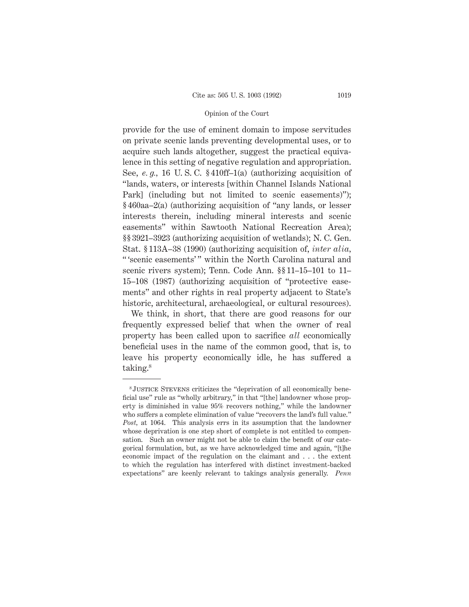provide for the use of eminent domain to impose servitudes on private scenic lands preventing developmental uses, or to acquire such lands altogether, suggest the practical equivalence in this setting of negative regulation and appropriation. See, *e. g.,* 16 U. S. C. § 410ff–1(a) (authorizing acquisition of "lands, waters, or interests [within Channel Islands National Park] (including but not limited to scenic easements)"); § 460aa–2(a) (authorizing acquisition of "any lands, or lesser interests therein, including mineral interests and scenic easements" within Sawtooth National Recreation Area); §§ 3921–3923 (authorizing acquisition of wetlands); N. C. Gen. Stat. § 113A–38 (1990) (authorizing acquisition of, *inter alia,* " 'scenic easements' " within the North Carolina natural and scenic rivers system); Tenn. Code Ann. §§ 11–15–101 to 11– 15–108 (1987) (authorizing acquisition of "protective easements" and other rights in real property adjacent to State's historic, architectural, archaeological, or cultural resources).

We think, in short, that there are good reasons for our frequently expressed belief that when the owner of real property has been called upon to sacrifice *all* economically beneficial uses in the name of the common good, that is, to leave his property economically idle, he has suffered a taking.<sup>8</sup>

<sup>&</sup>lt;sup>8</sup> JUSTICE STEVENS criticizes the "deprivation of all economically beneficial use" rule as "wholly arbitrary," in that "[the] landowner whose property is diminished in value 95% recovers nothing," while the landowner who suffers a complete elimination of value "recovers the land's full value." *Post,* at 1064. This analysis errs in its assumption that the landowner whose deprivation is one step short of complete is not entitled to compensation. Such an owner might not be able to claim the benefit of our categorical formulation, but, as we have acknowledged time and again, "[t]he economic impact of the regulation on the claimant and . . . the extent to which the regulation has interfered with distinct investment-backed expectations" are keenly relevant to takings analysis generally. *Penn*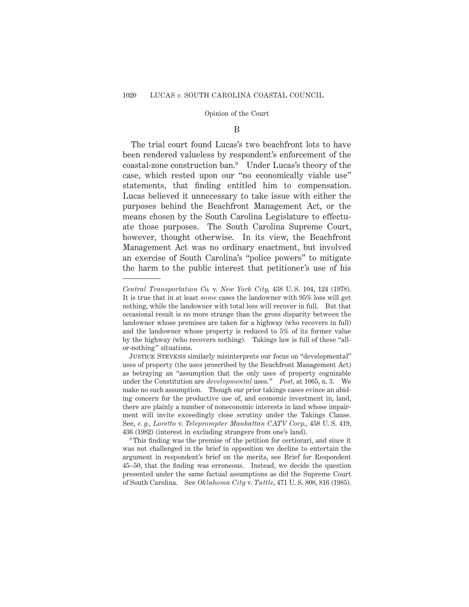#### B

The trial court found Lucas's two beachfront lots to have been rendered valueless by respondent's enforcement of the coastal-zone construction ban.9 Under Lucas's theory of the case, which rested upon our "no economically viable use" statements, that finding entitled him to compensation. Lucas believed it unnecessary to take issue with either the purposes behind the Beachfront Management Act, or the means chosen by the South Carolina Legislature to effectuate those purposes. The South Carolina Supreme Court, however, thought otherwise. In its view, the Beachfront Management Act was no ordinary enactment, but involved an exercise of South Carolina's "police powers" to mitigate the harm to the public interest that petitioner's use of his

*Central Transportation Co.* v. *New York City,* 438 U. S. 104, 124 (1978). It is true that in at least *some* cases the landowner with 95% loss will get nothing, while the landowner with total loss will recover in full. But that occasional result is no more strange than the gross disparity between the landowner whose premises are taken for a highway (who recovers in full) and the landowner whose property is reduced to 5% of its former value by the highway (who recovers nothing). Takings law is full of these "allor-nothing" situations.

Justice Stevens similarly misinterprets our focus on "developmental" uses of property (the uses proscribed by the Beachfront Management Act) as betraying an "assumption that the only uses of property cognizable under the Constitution are *developmental* uses." *Post,* at 1065, n. 3. We make no such assumption. Though our prior takings cases evince an abiding concern for the productive use of, and economic investment in, land, there are plainly a number of noneconomic interests in land whose impairment will invite exceedingly close scrutiny under the Takings Clause. See, *e. g., Loretto* v. *Teleprompter Manhattan CATV Corp.,* 458 U. S. 419, 436 (1982) (interest in excluding strangers from one's land).

<sup>9</sup> This finding was the premise of the petition for certiorari, and since it was not challenged in the brief in opposition we decline to entertain the argument in respondent's brief on the merits, see Brief for Respondent 45–50, that the finding was erroneous. Instead, we decide the question presented under the same factual assumptions as did the Supreme Court of South Carolina. See *Oklahoma City* v. *Tuttle,* 471 U. S. 808, 816 (1985).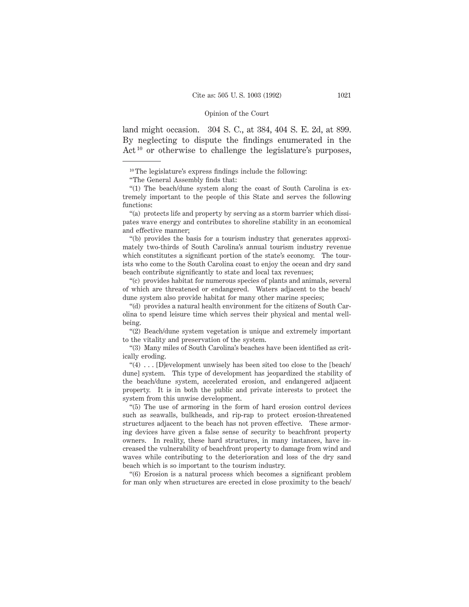land might occasion. 304 S. C., at 384, 404 S. E. 2d, at 899. By neglecting to dispute the findings enumerated in the Act<sup>10</sup> or otherwise to challenge the legislature's purposes,

"(a) protects life and property by serving as a storm barrier which dissipates wave energy and contributes to shoreline stability in an economical and effective manner;

"(b) provides the basis for a tourism industry that generates approximately two-thirds of South Carolina's annual tourism industry revenue which constitutes a significant portion of the state's economy. The tourists who come to the South Carolina coast to enjoy the ocean and dry sand beach contribute significantly to state and local tax revenues;

"(c) provides habitat for numerous species of plants and animals, several of which are threatened or endangered. Waters adjacent to the beach/ dune system also provide habitat for many other marine species;

"(3) Many miles of South Carolina's beaches have been identified as critically eroding.

"(4) . . . [D]evelopment unwisely has been sited too close to the [beach/ dune] system. This type of development has jeopardized the stability of the beach/dune system, accelerated erosion, and endangered adjacent property. It is in both the public and private interests to protect the system from this unwise development.

"(5) The use of armoring in the form of hard erosion control devices such as seawalls, bulkheads, and rip-rap to protect erosion-threatened structures adjacent to the beach has not proven effective. These armoring devices have given a false sense of security to beachfront property owners. In reality, these hard structures, in many instances, have increased the vulnerability of beachfront property to damage from wind and waves while contributing to the deterioration and loss of the dry sand beach which is so important to the tourism industry.

"(6) Erosion is a natural process which becomes a significant problem for man only when structures are erected in close proximity to the beach/

<sup>10</sup> The legislature's express findings include the following:

<sup>&</sup>quot;The General Assembly finds that:

<sup>&</sup>quot;(1) The beach/dune system along the coast of South Carolina is extremely important to the people of this State and serves the following functions:

<sup>&</sup>quot;(d) provides a natural health environment for the citizens of South Carolina to spend leisure time which serves their physical and mental wellbeing.

<sup>&</sup>quot;(2) Beach/dune system vegetation is unique and extremely important to the vitality and preservation of the system.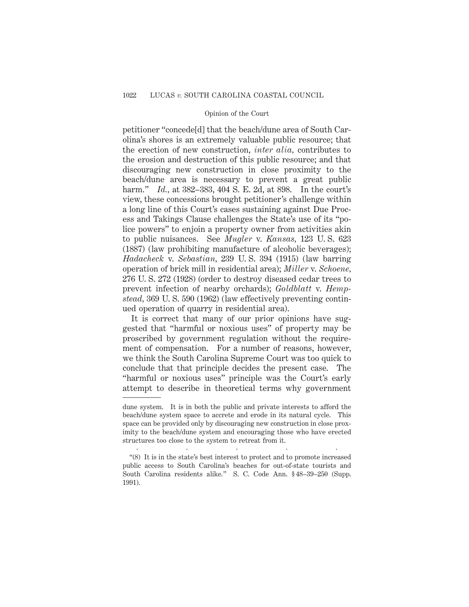petitioner "concede[d] that the beach/dune area of South Carolina's shores is an extremely valuable public resource; that the erection of new construction, *inter alia,* contributes to the erosion and destruction of this public resource; and that discouraging new construction in close proximity to the beach/dune area is necessary to prevent a great public harm." *Id.,* at 382–383, 404 S. E. 2d, at 898. In the court's view, these concessions brought petitioner's challenge within a long line of this Court's cases sustaining against Due Process and Takings Clause challenges the State's use of its "police powers" to enjoin a property owner from activities akin to public nuisances. See *Mugler* v. *Kansas,* 123 U. S. 623 (1887) (law prohibiting manufacture of alcoholic beverages); *Hadacheck* v. *Sebastian,* 239 U. S. 394 (1915) (law barring operation of brick mill in residential area); *Miller* v. *Schoene,* 276 U. S. 272 (1928) (order to destroy diseased cedar trees to prevent infection of nearby orchards); *Goldblatt* v. *Hempstead,* 369 U. S. 590 (1962) (law effectively preventing continued operation of quarry in residential area).

It is correct that many of our prior opinions have suggested that "harmful or noxious uses" of property may be proscribed by government regulation without the requirement of compensation. For a number of reasons, however, we think the South Carolina Supreme Court was too quick to conclude that that principle decides the present case. The "harmful or noxious uses" principle was the Court's early attempt to describe in theoretical terms why government

.....

dune system. It is in both the public and private interests to afford the beach/dune system space to accrete and erode in its natural cycle. This space can be provided only by discouraging new construction in close proximity to the beach/dune system and encouraging those who have erected structures too close to the system to retreat from it.

<sup>&</sup>quot;(8) It is in the state's best interest to protect and to promote increased public access to South Carolina's beaches for out-of-state tourists and South Carolina residents alike." S. C. Code Ann. § 48–39–250 (Supp. 1991).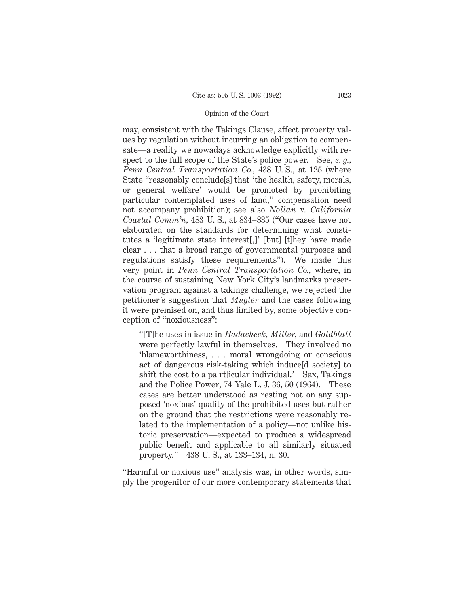may, consistent with the Takings Clause, affect property values by regulation without incurring an obligation to compensate—a reality we nowadays acknowledge explicitly with respect to the full scope of the State's police power. See, *e. g., Penn Central Transportation Co.,* 438 U. S., at 125 (where State "reasonably conclude[s] that 'the health, safety, morals, or general welfare' would be promoted by prohibiting particular contemplated uses of land," compensation need not accompany prohibition); see also *Nollan* v. *California Coastal Comm'n,* 483 U. S., at 834–835 ("Our cases have not elaborated on the standards for determining what constitutes a 'legitimate state interest[,]' [but] [t]hey have made clear... that a broad range of governmental purposes and regulations satisfy these requirements"). We made this very point in *Penn Central Transportation Co.,* where, in the course of sustaining New York City's landmarks preservation program against a takings challenge, we rejected the petitioner's suggestion that *Mugler* and the cases following it were premised on, and thus limited by, some objective conception of "noxiousness":

"[T]he uses in issue in *Hadacheck, Miller,* and *Goldblatt* were perfectly lawful in themselves. They involved no 'blameworthiness,... moral wrongdoing or conscious act of dangerous risk-taking which induce[d society] to shift the cost to a pa[rt]icular individual.' Sax, Takings and the Police Power, 74 Yale L. J. 36, 50 (1964). These cases are better understood as resting not on any supposed 'noxious' quality of the prohibited uses but rather on the ground that the restrictions were reasonably related to the implementation of a policy—not unlike historic preservation—expected to produce a widespread public benefit and applicable to all similarly situated property." 438 U. S., at 133–134, n. 30.

"Harmful or noxious use" analysis was, in other words, simply the progenitor of our more contemporary statements that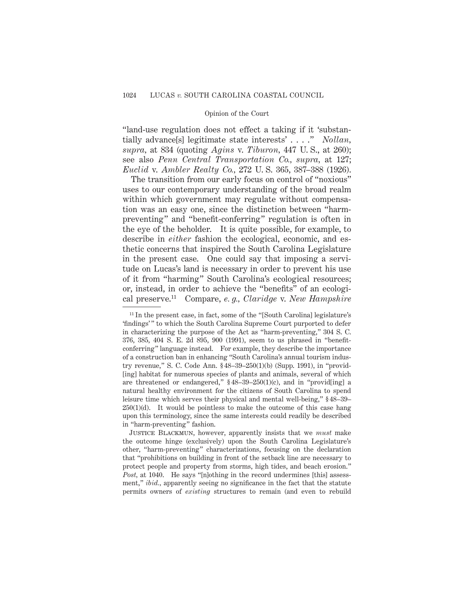"land-use regulation does not effect a taking if it 'substantially advance[s] legitimate state interests' . . . ." *Nollan, supra,* at 834 (quoting *Agins* v. *Tiburon,* 447 U. S., at 260); see also *Penn Central Transportation Co., supra,* at 127; *Euclid* v. *Ambler Realty Co.,* 272 U. S. 365, 387–388 (1926).

The transition from our early focus on control of "noxious" uses to our contemporary understanding of the broad realm within which government may regulate without compensation was an easy one, since the distinction between "harmpreventing" and "benefit-conferring" regulation is often in the eye of the beholder. It is quite possible, for example, to describe in *either* fashion the ecological, economic, and esthetic concerns that inspired the South Carolina Legislature in the present case. One could say that imposing a servitude on Lucas's land is necessary in order to prevent his use of it from "harming" South Carolina's ecological resources; or, instead, in order to achieve the "benefits" of an ecological preserve.11 Compare, *e. g., Claridge* v. *New Hampshire*

<sup>11</sup> In the present case, in fact, some of the "[South Carolina] legislature's 'findings' " to which the South Carolina Supreme Court purported to defer in characterizing the purpose of the Act as "harm-preventing," 304 S. C. 376, 385, 404 S. E. 2d 895, 900 (1991), seem to us phrased in "benefitconferring" language instead. For example, they describe the importance of a construction ban in enhancing "South Carolina's annual tourism industry revenue," S. C. Code Ann. § 48–39–250(1)(b) (Supp. 1991), in "provid- [ing] habitat for numerous species of plants and animals, several of which are threatened or endangered,"  $§$ 48–39–250(1)(c), and in "provid[ing] a natural healthy environment for the citizens of South Carolina to spend leisure time which serves their physical and mental well-being," § 48–39–  $250(1)(d)$ . It would be pointless to make the outcome of this case hang upon this terminology, since the same interests could readily be described in "harm-preventing" fashion.

Justice Blackmun, however, apparently insists that we *must* make the outcome hinge (exclusively) upon the South Carolina Legislature's other, "harm-preventing" characterizations, focusing on the declaration that "prohibitions on building in front of the setback line are necessary to protect people and property from storms, high tides, and beach erosion." *Post,* at 1040. He says "[n]othing in the record undermines [this] assessment," *ibid.,* apparently seeing no significance in the fact that the statute permits owners of *existing* structures to remain (and even to rebuild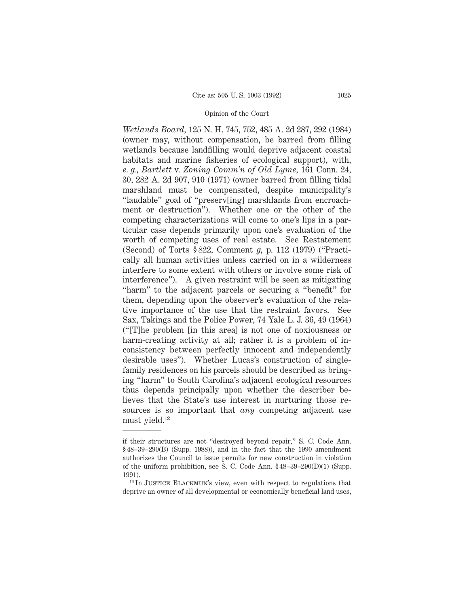*Wetlands Board,* 125 N. H. 745, 752, 485 A. 2d 287, 292 (1984) (owner may, without compensation, be barred from filling wetlands because landfilling would deprive adjacent coastal habitats and marine fisheries of ecological support), with, *e. g., Bartlett* v. *Zoning Comm'n of Old Lyme,* 161 Conn. 24, 30, 282 A. 2d 907, 910 (1971) (owner barred from filling tidal marshland must be compensated, despite municipality's "laudable" goal of "preserv[ing] marshlands from encroachment or destruction"). Whether one or the other of the competing characterizations will come to one's lips in a particular case depends primarily upon one's evaluation of the worth of competing uses of real estate. See Restatement (Second) of Torts § 822, Comment *g,* p. 112 (1979) ("Practically all human activities unless carried on in a wilderness interfere to some extent with others or involve some risk of interference"). A given restraint will be seen as mitigating "harm" to the adjacent parcels or securing a "benefit" for them, depending upon the observer's evaluation of the relative importance of the use that the restraint favors. See Sax, Takings and the Police Power, 74 Yale L. J. 36, 49 (1964) ("[T]he problem [in this area] is not one of noxiousness or harm-creating activity at all; rather it is a problem of inconsistency between perfectly innocent and independently desirable uses"). Whether Lucas's construction of singlefamily residences on his parcels should be described as bringing "harm" to South Carolina's adjacent ecological resources thus depends principally upon whether the describer believes that the State's use interest in nurturing those resources is so important that *any* competing adjacent use must yield.12

if their structures are not "destroyed beyond repair," S. C. Code Ann. § 48–39–290(B) (Supp. 1988)), and in the fact that the 1990 amendment authorizes the Council to issue permits for new construction in violation of the uniform prohibition, see S. C. Code Ann. § 48–39–290(D)(1) (Supp. 1991).

<sup>&</sup>lt;sup>12</sup> In JUSTICE BLACKMUN's view, even with respect to regulations that deprive an owner of all developmental or economically beneficial land uses,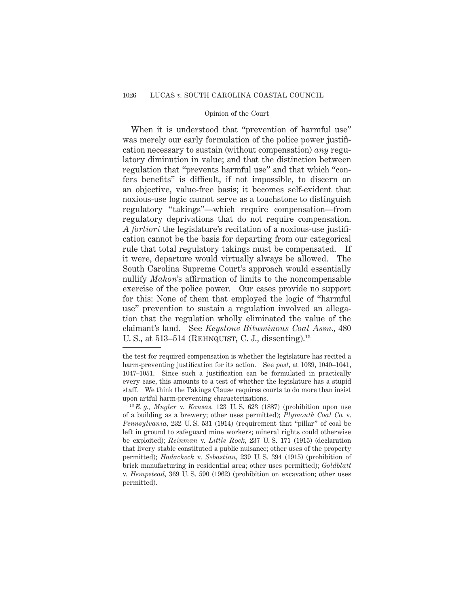When it is understood that "prevention of harmful use" was merely our early formulation of the police power justification necessary to sustain (without compensation) *any* regulatory diminution in value; and that the distinction between regulation that "prevents harmful use" and that which "confers benefits" is difficult, if not impossible, to discern on an objective, value-free basis; it becomes self-evident that noxious-use logic cannot serve as a touchstone to distinguish regulatory "takings"—which require compensation—from regulatory deprivations that do not require compensation. *A fortiori* the legislature's recitation of a noxious-use justification cannot be the basis for departing from our categorical rule that total regulatory takings must be compensated. If it were, departure would virtually always be allowed. The South Carolina Supreme Court's approach would essentially nullify *Mahon*'s affirmation of limits to the noncompensable exercise of the police power. Our cases provide no support for this: None of them that employed the logic of "harmful use" prevention to sustain a regulation involved an allegation that the regulation wholly eliminated the value of the claimant's land. See *Keystone Bituminous Coal Assn.,* 480 U. S., at  $513-514$  (REHNQUIST, C. J., dissenting).<sup>13</sup>

the test for required compensation is whether the legislature has recited a harm-preventing justification for its action. See *post,* at 1039, 1040–1041, 1047–1051. Since such a justification can be formulated in practically every case, this amounts to a test of whether the legislature has a stupid staff. We think the Takings Clause requires courts to do more than insist upon artful harm-preventing characterizations.

<sup>13</sup> *E. g., Mugler* v. *Kansas,* 123 U. S. 623 (1887) (prohibition upon use of a building as a brewery; other uses permitted); *Plymouth Coal Co.* v. *Pennsylvania,* 232 U. S. 531 (1914) (requirement that "pillar" of coal be left in ground to safeguard mine workers; mineral rights could otherwise be exploited); *Reinman* v. *Little Rock,* 237 U. S. 171 (1915) (declaration that livery stable constituted a public nuisance; other uses of the property permitted); *Hadacheck* v. *Sebastian,* 239 U. S. 394 (1915) (prohibition of brick manufacturing in residential area; other uses permitted); *Goldblatt* v. *Hempstead,* 369 U. S. 590 (1962) (prohibition on excavation; other uses permitted).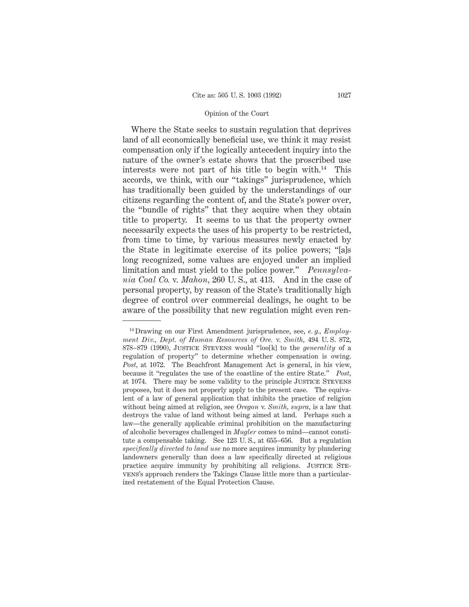Where the State seeks to sustain regulation that deprives land of all economically beneficial use, we think it may resist compensation only if the logically antecedent inquiry into the nature of the owner's estate shows that the proscribed use interests were not part of his title to begin with.14 This accords, we think, with our "takings" jurisprudence, which has traditionally been guided by the understandings of our citizens regarding the content of, and the State's power over, the "bundle of rights" that they acquire when they obtain title to property. It seems to us that the property owner necessarily expects the uses of his property to be restricted, from time to time, by various measures newly enacted by the State in legitimate exercise of its police powers; "[a]s long recognized, some values are enjoyed under an implied limitation and must yield to the police power." *Pennsylvania Coal Co.* v. *Mahon,* 260 U. S., at 413. And in the case of personal property, by reason of the State's traditionally high degree of control over commercial dealings, he ought to be aware of the possibility that new regulation might even ren-

<sup>14</sup> Drawing on our First Amendment jurisprudence, see, *e. g., Employment Div., Dept. of Human Resources of Ore.* v. *Smith,* 494 U. S. 872, 878–879 (1990), Justice Stevens would "loo[k] to the *generality* of a regulation of property" to determine whether compensation is owing. *Post,* at 1072. The Beachfront Management Act is general, in his view, because it "regulates the use of the coastline of the entire State." *Post,* at 1074. There may be some validity to the principle Justice Stevens proposes, but it does not properly apply to the present case. The equivalent of a law of general application that inhibits the practice of religion without being aimed at religion, see *Oregon* v. *Smith, supra,* is a law that destroys the value of land without being aimed at land. Perhaps such a law—the generally applicable criminal prohibition on the manufacturing of alcoholic beverages challenged in *Mugler* comes to mind—cannot constitute a compensable taking. See 123 U. S., at 655–656. But a regulation *specifically directed to land use* no more acquires immunity by plundering landowners generally than does a law specifically directed at religious practice acquire immunity by prohibiting all religions. JUSTICE STEvens's approach renders the Takings Clause little more than a particularized restatement of the Equal Protection Clause.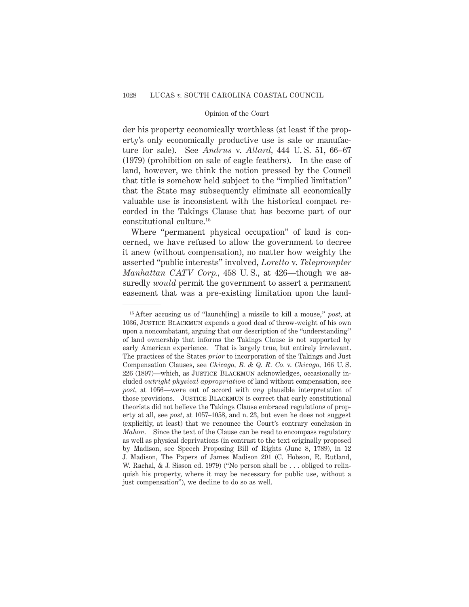der his property economically worthless (at least if the property's only economically productive use is sale or manufacture for sale). See *Andrus* v. *Allard,* 444 U. S. 51, 66–67 (1979) (prohibition on sale of eagle feathers). In the case of land, however, we think the notion pressed by the Council that title is somehow held subject to the "implied limitation" that the State may subsequently eliminate all economically valuable use is inconsistent with the historical compact recorded in the Takings Clause that has become part of our constitutional culture.15

Where "permanent physical occupation" of land is concerned, we have refused to allow the government to decree it anew (without compensation), no matter how weighty the asserted "public interests" involved, *Loretto* v. *Teleprompter Manhattan CATV Corp.,* 458 U. S., at 426—though we assuredly *would* permit the government to assert a permanent easement that was a pre-existing limitation upon the land-

<sup>15</sup> After accusing us of "launch[ing] a missile to kill a mouse," *post,* at 1036, Justice Blackmun expends a good deal of throw-weight of his own upon a noncombatant, arguing that our description of the "understanding" of land ownership that informs the Takings Clause is not supported by early American experience. That is largely true, but entirely irrelevant. The practices of the States *prior* to incorporation of the Takings and Just Compensation Clauses, see *Chicago, B. & Q. R. Co.* v. *Chicago,* 166 U. S. 226 (1897)—which, as Justice Blackmun acknowledges, occasionally included *outright physical appropriation* of land without compensation, see *post,* at 1056—were out of accord with *any* plausible interpretation of those provisions. Justice Blackmun is correct that early constitutional theorists did not believe the Takings Clause embraced regulations of property at all, see *post,* at 1057–1058, and n. 23, but even he does not suggest (explicitly, at least) that we renounce the Court's contrary conclusion in *Mahon.* Since the text of the Clause can be read to encompass regulatory as well as physical deprivations (in contrast to the text originally proposed by Madison, see Speech Proposing Bill of Rights (June 8, 1789), in 12 J. Madison, The Papers of James Madison 201 (C. Hobson, R. Rutland, W. Rachal, & J. Sisson ed. 1979) ("No person shall be . . . obliged to relinquish his property, where it may be necessary for public use, without a just compensation"), we decline to do so as well.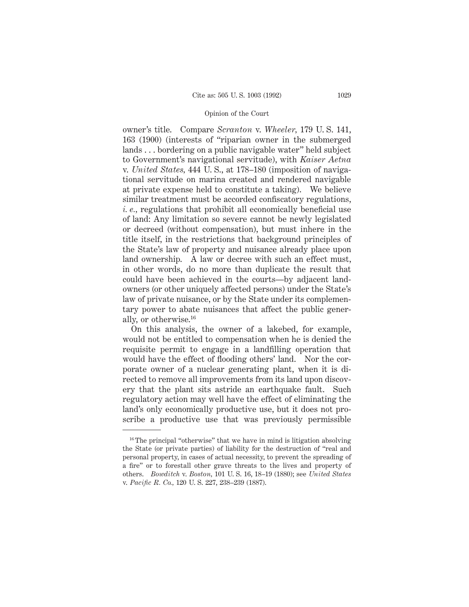owner's title. Compare *Scranton* v. *Wheeler,* 179 U. S. 141, 163 (1900) (interests of "riparian owner in the submerged lands . . . bordering on a public navigable water" held subject to Government's navigational servitude), with *Kaiser Aetna* v. *United States,* 444 U. S., at 178–180 (imposition of navigational servitude on marina created and rendered navigable at private expense held to constitute a taking). We believe similar treatment must be accorded confiscatory regulations, *i. e.,* regulations that prohibit all economically beneficial use of land: Any limitation so severe cannot be newly legislated or decreed (without compensation), but must inhere in the title itself, in the restrictions that background principles of the State's law of property and nuisance already place upon land ownership. A law or decree with such an effect must, in other words, do no more than duplicate the result that could have been achieved in the courts—by adjacent landowners (or other uniquely affected persons) under the State's law of private nuisance, or by the State under its complementary power to abate nuisances that affect the public generally, or otherwise.16

On this analysis, the owner of a lakebed, for example, would not be entitled to compensation when he is denied the requisite permit to engage in a landfilling operation that would have the effect of flooding others' land. Nor the corporate owner of a nuclear generating plant, when it is directed to remove all improvements from its land upon discovery that the plant sits astride an earthquake fault. Such regulatory action may well have the effect of eliminating the land's only economically productive use, but it does not proscribe a productive use that was previously permissible

<sup>&</sup>lt;sup>16</sup> The principal "otherwise" that we have in mind is litigation absolving the State (or private parties) of liability for the destruction of "real and personal property, in cases of actual necessity, to prevent the spreading of a fire" or to forestall other grave threats to the lives and property of others. *Bowditch* v. *Boston,* 101 U. S. 16, 18–19 (1880); see *United States* v. *Pacific R. Co.,* 120 U. S. 227, 238–239 (1887).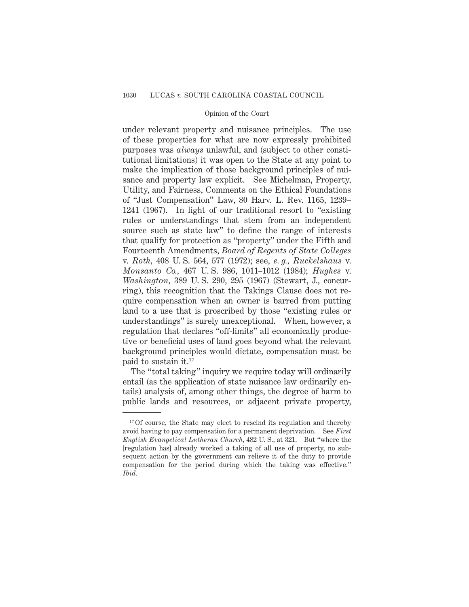under relevant property and nuisance principles. The use of these properties for what are now expressly prohibited purposes was *always* unlawful, and (subject to other constitutional limitations) it was open to the State at any point to make the implication of those background principles of nuisance and property law explicit. See Michelman, Property, Utility, and Fairness, Comments on the Ethical Foundations of "Just Compensation" Law, 80 Harv. L. Rev. 1165, 1239– 1241 (1967). In light of our traditional resort to "existing rules or understandings that stem from an independent source such as state law" to define the range of interests that qualify for protection as "property" under the Fifth and Fourteenth Amendments, *Board of Regents of State Colleges* v. *Roth,* 408 U. S. 564, 577 (1972); see, *e. g., Ruckelshaus* v. *Monsanto Co.,* 467 U. S. 986, 1011–1012 (1984); *Hughes* v. *Washington,* 389 U. S. 290, 295 (1967) (Stewart, J., concurring), this recognition that the Takings Clause does not require compensation when an owner is barred from putting land to a use that is proscribed by those "existing rules or understandings" is surely unexceptional. When, however, a regulation that declares "off-limits" all economically productive or beneficial uses of land goes beyond what the relevant background principles would dictate, compensation must be paid to sustain it.17

The "total taking" inquiry we require today will ordinarily entail (as the application of state nuisance law ordinarily entails) analysis of, among other things, the degree of harm to public lands and resources, or adjacent private property,

<sup>&</sup>lt;sup>17</sup> Of course, the State may elect to rescind its regulation and thereby avoid having to pay compensation for a permanent deprivation. See *First English Evangelical Lutheran Church,* 482 U. S., at 321. But "where the [regulation has] already worked a taking of all use of property, no subsequent action by the government can relieve it of the duty to provide compensation for the period during which the taking was effective." *Ibid.*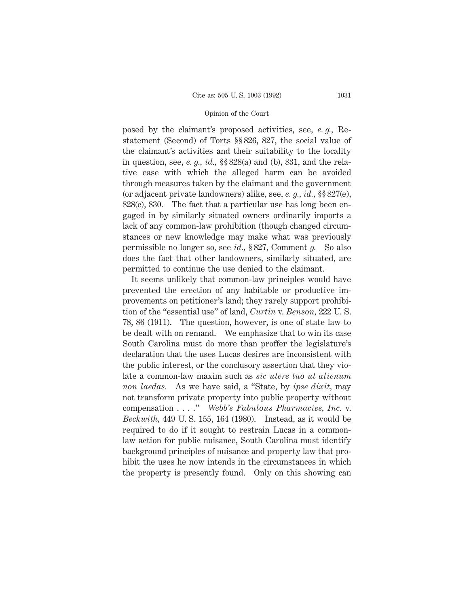posed by the claimant's proposed activities, see, *e. g.,* Restatement (Second) of Torts §§ 826, 827, the social value of the claimant's activities and their suitability to the locality in question, see, *e. g., id.,* §§ 828(a) and (b), 831, and the relative ease with which the alleged harm can be avoided through measures taken by the claimant and the government (or adjacent private landowners) alike, see, *e. g., id.,* §§ 827(e), 828(c), 830. The fact that a particular use has long been engaged in by similarly situated owners ordinarily imports a lack of any common-law prohibition (though changed circumstances or new knowledge may make what was previously permissible no longer so, see *id.,* § 827, Comment *g.* So also does the fact that other landowners, similarly situated, are permitted to continue the use denied to the claimant.

It seems unlikely that common-law principles would have prevented the erection of any habitable or productive improvements on petitioner's land; they rarely support prohibition of the "essential use" of land, *Curtin* v. *Benson,* 222 U. S. 78, 86 (1911). The question, however, is one of state law to be dealt with on remand. We emphasize that to win its case South Carolina must do more than proffer the legislature's declaration that the uses Lucas desires are inconsistent with the public interest, or the conclusory assertion that they violate a common-law maxim such as *sic utere tuo ut alienum non laedas.* As we have said, a "State, by *ipse dixit,* may not transform private property into public property without compensation . . . ." *Webb's Fabulous Pharmacies, Inc.* v. *Beckwith,* 449 U. S. 155, 164 (1980). Instead, as it would be required to do if it sought to restrain Lucas in a commonlaw action for public nuisance, South Carolina must identify background principles of nuisance and property law that prohibit the uses he now intends in the circumstances in which the property is presently found. Only on this showing can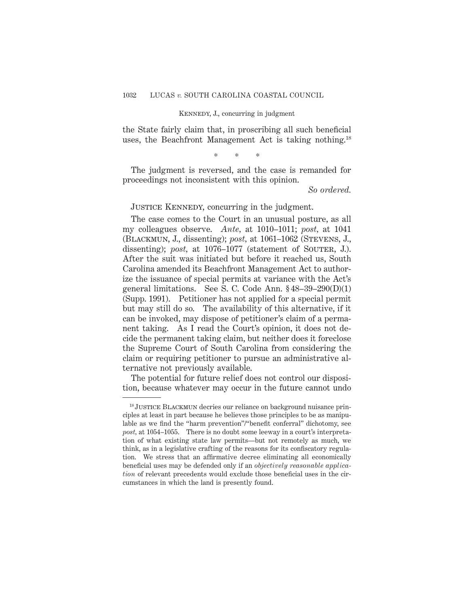the State fairly claim that, in proscribing all such beneficial uses, the Beachfront Management Act is taking nothing.18

\*\*\*

The judgment is reversed, and the case is remanded for proceedings not inconsistent with this opinion.

*So ordered.*

## JUSTICE KENNEDY, concurring in the judgment.

The case comes to the Court in an unusual posture, as all my colleagues observe. *Ante,* at 1010–1011; *post,* at 1041 (Blackmun, J., dissenting); *post,* at 1061–1062 (Stevens, J., dissenting); *post*, at 1076–1077 (statement of SOUTER, J.). After the suit was initiated but before it reached us, South Carolina amended its Beachfront Management Act to authorize the issuance of special permits at variance with the Act's general limitations. See S. C. Code Ann. § 48–39–290(D)(1) (Supp. 1991). Petitioner has not applied for a special permit but may still do so. The availability of this alternative, if it can be invoked, may dispose of petitioner's claim of a permanent taking. As I read the Court's opinion, it does not decide the permanent taking claim, but neither does it foreclose the Supreme Court of South Carolina from considering the claim or requiring petitioner to pursue an administrative alternative not previously available.

The potential for future relief does not control our disposition, because whatever may occur in the future cannot undo

<sup>&</sup>lt;sup>18</sup> JUSTICE BLACKMUN decries our reliance on background nuisance principles at least in part because he believes those principles to be as manipulable as we find the "harm prevention"/"benefit conferral" dichotomy, see *post,* at 1054–1055. There is no doubt some leeway in a court's interpretation of what existing state law permits—but not remotely as much, we think, as in a legislative crafting of the reasons for its confiscatory regulation. We stress that an affirmative decree eliminating all economically beneficial uses may be defended only if an *objectively reasonable application* of relevant precedents would exclude those beneficial uses in the circumstances in which the land is presently found.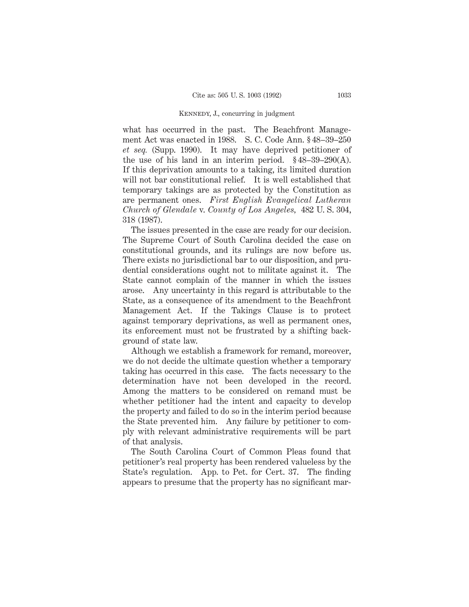what has occurred in the past. The Beachfront Management Act was enacted in 1988. S. C. Code Ann. § 48–39–250 *et seq.* (Supp. 1990). It may have deprived petitioner of the use of his land in an interim period.  $§ 48-39-290(A)$ . If this deprivation amounts to a taking, its limited duration will not bar constitutional relief. It is well established that temporary takings are as protected by the Constitution as are permanent ones. *First English Evangelical Lutheran Church of Glendale* v. *County of Los Angeles,* 482 U. S. 304, 318 (1987).

The issues presented in the case are ready for our decision. The Supreme Court of South Carolina decided the case on constitutional grounds, and its rulings are now before us. There exists no jurisdictional bar to our disposition, and prudential considerations ought not to militate against it. The State cannot complain of the manner in which the issues arose. Any uncertainty in this regard is attributable to the State, as a consequence of its amendment to the Beachfront Management Act. If the Takings Clause is to protect against temporary deprivations, as well as permanent ones, its enforcement must not be frustrated by a shifting background of state law.

Although we establish a framework for remand, moreover, we do not decide the ultimate question whether a temporary taking has occurred in this case. The facts necessary to the determination have not been developed in the record. Among the matters to be considered on remand must be whether petitioner had the intent and capacity to develop the property and failed to do so in the interim period because the State prevented him. Any failure by petitioner to comply with relevant administrative requirements will be part of that analysis.

The South Carolina Court of Common Pleas found that petitioner's real property has been rendered valueless by the State's regulation. App. to Pet. for Cert. 37. The finding appears to presume that the property has no significant mar-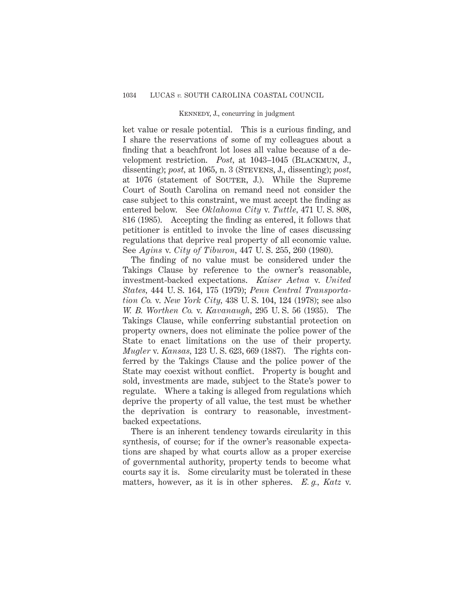ket value or resale potential. This is a curious finding, and I share the reservations of some of my colleagues about a finding that a beachfront lot loses all value because of a development restriction. *Post,* at 1043–1045 (Blackmun, J., dissenting); *post*, at 1065, n. 3 (STEVENS, J., dissenting); *post*, at 1076 (statement of SOUTER, J.). While the Supreme Court of South Carolina on remand need not consider the case subject to this constraint, we must accept the finding as entered below. See *Oklahoma City* v. *Tuttle,* 471 U. S. 808, 816 (1985). Accepting the finding as entered, it follows that petitioner is entitled to invoke the line of cases discussing regulations that deprive real property of all economic value. See *Agins* v. *City of Tiburon,* 447 U. S. 255, 260 (1980).

The finding of no value must be considered under the Takings Clause by reference to the owner's reasonable, investment-backed expectations. *Kaiser Aetna* v. *United States,* 444 U. S. 164, 175 (1979); *Penn Central Transportation Co.* v. *New York City,* 438 U. S. 104, 124 (1978); see also *W. B. Worthen Co.* v. *Kavanaugh,* 295 U. S. 56 (1935). The Takings Clause, while conferring substantial protection on property owners, does not eliminate the police power of the State to enact limitations on the use of their property. *Mugler* v. *Kansas,* 123 U. S. 623, 669 (1887). The rights conferred by the Takings Clause and the police power of the State may coexist without conflict. Property is bought and sold, investments are made, subject to the State's power to regulate. Where a taking is alleged from regulations which deprive the property of all value, the test must be whether the deprivation is contrary to reasonable, investmentbacked expectations.

There is an inherent tendency towards circularity in this synthesis, of course; for if the owner's reasonable expectations are shaped by what courts allow as a proper exercise of governmental authority, property tends to become what courts say it is. Some circularity must be tolerated in these matters, however, as it is in other spheres. *E. g., Katz* v.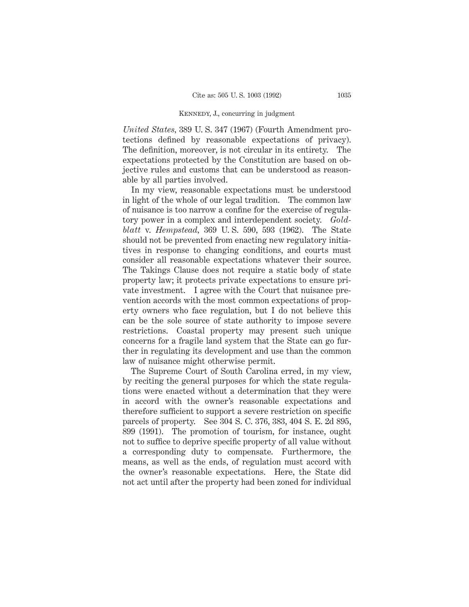*United States,* 389 U. S. 347 (1967) (Fourth Amendment protections defined by reasonable expectations of privacy). The definition, moreover, is not circular in its entirety. The expectations protected by the Constitution are based on objective rules and customs that can be understood as reasonable by all parties involved.

In my view, reasonable expectations must be understood in light of the whole of our legal tradition. The common law of nuisance is too narrow a confine for the exercise of regulatory power in a complex and interdependent society. *Goldblatt* v. *Hempstead,* 369 U. S. 590, 593 (1962). The State should not be prevented from enacting new regulatory initiatives in response to changing conditions, and courts must consider all reasonable expectations whatever their source. The Takings Clause does not require a static body of state property law; it protects private expectations to ensure private investment. I agree with the Court that nuisance prevention accords with the most common expectations of property owners who face regulation, but I do not believe this can be the sole source of state authority to impose severe restrictions. Coastal property may present such unique concerns for a fragile land system that the State can go further in regulating its development and use than the common law of nuisance might otherwise permit.

The Supreme Court of South Carolina erred, in my view, by reciting the general purposes for which the state regulations were enacted without a determination that they were in accord with the owner's reasonable expectations and therefore sufficient to support a severe restriction on specific parcels of property. See 304 S. C. 376, 383, 404 S. E. 2d 895, 899 (1991). The promotion of tourism, for instance, ought not to suffice to deprive specific property of all value without a corresponding duty to compensate. Furthermore, the means, as well as the ends, of regulation must accord with the owner's reasonable expectations. Here, the State did not act until after the property had been zoned for individual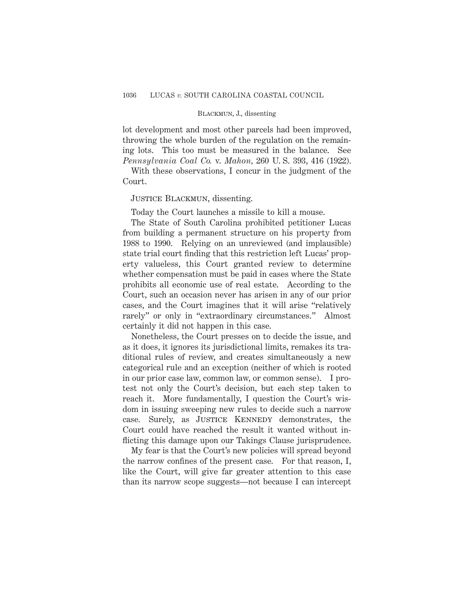## Blackmun, J., dissenting

lot development and most other parcels had been improved, throwing the whole burden of the regulation on the remaining lots. This too must be measured in the balance. See *Pennsylvania Coal Co.* v. *Mahon,* 260 U. S. 393, 416 (1922).

With these observations, I concur in the judgment of the Court.

## Justice Blackmun, dissenting.

Today the Court launches a missile to kill a mouse.

The State of South Carolina prohibited petitioner Lucas from building a permanent structure on his property from 1988 to 1990. Relying on an unreviewed (and implausible) state trial court finding that this restriction left Lucas' property valueless, this Court granted review to determine whether compensation must be paid in cases where the State prohibits all economic use of real estate. According to the Court, such an occasion never has arisen in any of our prior cases, and the Court imagines that it will arise "relatively rarely" or only in "extraordinary circumstances." Almost certainly it did not happen in this case.

Nonetheless, the Court presses on to decide the issue, and as it does, it ignores its jurisdictional limits, remakes its traditional rules of review, and creates simultaneously a new categorical rule and an exception (neither of which is rooted in our prior case law, common law, or common sense). I protest not only the Court's decision, but each step taken to reach it. More fundamentally, I question the Court's wisdom in issuing sweeping new rules to decide such a narrow case. Surely, as JUSTICE KENNEDY demonstrates, the Court could have reached the result it wanted without inflicting this damage upon our Takings Clause jurisprudence.

My fear is that the Court's new policies will spread beyond the narrow confines of the present case. For that reason, I, like the Court, will give far greater attention to this case than its narrow scope suggests—not because I can intercept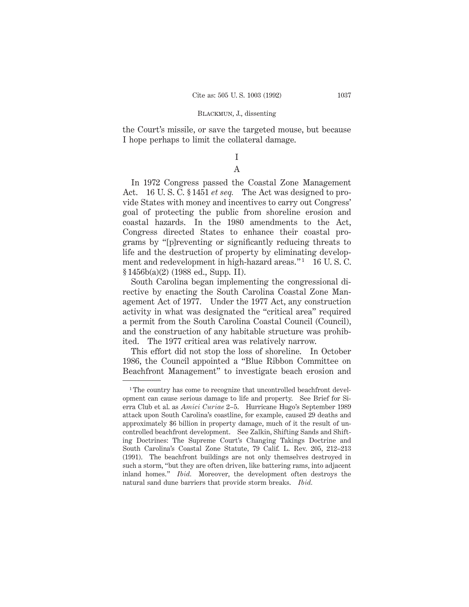## Blackmun, J., dissenting

the Court's missile, or save the targeted mouse, but because I hope perhaps to limit the collateral damage.

# I

# A

In 1972 Congress passed the Coastal Zone Management Act. 16 U. S. C. § 1451 *et seq.* The Act was designed to provide States with money and incentives to carry out Congress' goal of protecting the public from shoreline erosion and coastal hazards. In the 1980 amendments to the Act, Congress directed States to enhance their coastal programs by "[p]reventing or significantly reducing threats to life and the destruction of property by eliminating development and redevelopment in high-hazard areas." $1 \cdot 16$  U.S.C. § 1456b(a)(2) (1988 ed., Supp. II).

South Carolina began implementing the congressional directive by enacting the South Carolina Coastal Zone Management Act of 1977. Under the 1977 Act, any construction activity in what was designated the "critical area" required a permit from the South Carolina Coastal Council (Council), and the construction of any habitable structure was prohibited. The 1977 critical area was relatively narrow.

This effort did not stop the loss of shoreline. In October 1986, the Council appointed a "Blue Ribbon Committee on Beachfront Management" to investigate beach erosion and

<sup>&</sup>lt;sup>1</sup>The country has come to recognize that uncontrolled beachfront development can cause serious damage to life and property. See Brief for Sierra Club et al. as *Amici Curiae* 2–5. Hurricane Hugo's September 1989 attack upon South Carolina's coastline, for example, caused 29 deaths and approximately \$6 billion in property damage, much of it the result of uncontrolled beachfront development. See Zalkin, Shifting Sands and Shifting Doctrines: The Supreme Court's Changing Takings Doctrine and South Carolina's Coastal Zone Statute, 79 Calif. L. Rev. 205, 212–213 (1991). The beachfront buildings are not only themselves destroyed in such a storm, "but they are often driven, like battering rams, into adjacent inland homes." *Ibid.* Moreover, the development often destroys the natural sand dune barriers that provide storm breaks. *Ibid.*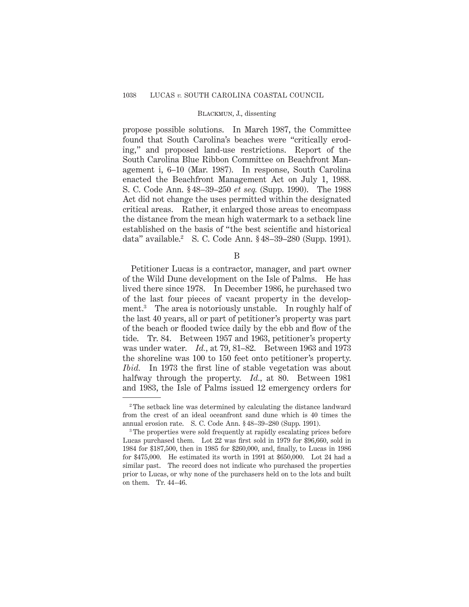## Blackmun, J., dissenting

propose possible solutions. In March 1987, the Committee found that South Carolina's beaches were "critically eroding," and proposed land-use restrictions. Report of the South Carolina Blue Ribbon Committee on Beachfront Management i, 6–10 (Mar. 1987). In response, South Carolina enacted the Beachfront Management Act on July 1, 1988. S. C. Code Ann. § 48–39–250 *et seq.* (Supp. 1990). The 1988 Act did not change the uses permitted within the designated critical areas. Rather, it enlarged those areas to encompass the distance from the mean high watermark to a setback line established on the basis of "the best scientific and historical data" available.2 S. C. Code Ann. § 48–39–280 (Supp. 1991).

B

Petitioner Lucas is a contractor, manager, and part owner of the Wild Dune development on the Isle of Palms. He has lived there since 1978. In December 1986, he purchased two of the last four pieces of vacant property in the development.<sup>3</sup> The area is notoriously unstable. In roughly half of the last 40 years, all or part of petitioner's property was part of the beach or flooded twice daily by the ebb and flow of the tide. Tr. 84. Between 1957 and 1963, petitioner's property was under water. *Id.,* at 79, 81–82. Between 1963 and 1973 the shoreline was 100 to 150 feet onto petitioner's property. *Ibid.* In 1973 the first line of stable vegetation was about halfway through the property. *Id.,* at 80. Between 1981 and 1983, the Isle of Palms issued 12 emergency orders for

<sup>&</sup>lt;sup>2</sup> The setback line was determined by calculating the distance landward from the crest of an ideal oceanfront sand dune which is 40 times the annual erosion rate. S. C. Code Ann. § 48–39–280 (Supp. 1991).

<sup>3</sup> The properties were sold frequently at rapidly escalating prices before Lucas purchased them. Lot 22 was first sold in 1979 for \$96,660, sold in 1984 for \$187,500, then in 1985 for \$260,000, and, finally, to Lucas in 1986 for \$475,000. He estimated its worth in 1991 at \$650,000. Lot 24 had a similar past. The record does not indicate who purchased the properties prior to Lucas, or why none of the purchasers held on to the lots and built on them. Tr. 44–46.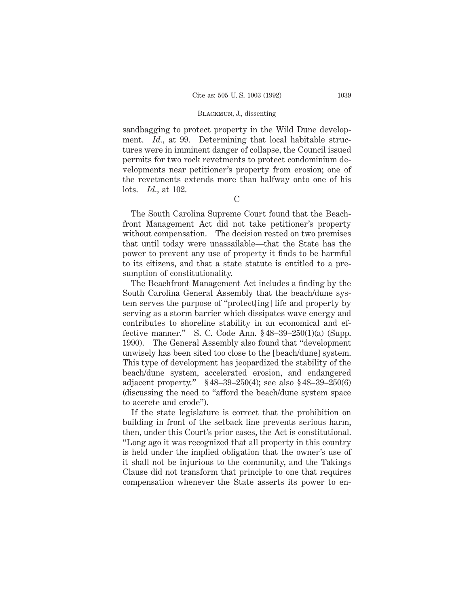sandbagging to protect property in the Wild Dune development. *Id.*, at 99. Determining that local habitable structures were in imminent danger of collapse, the Council issued permits for two rock revetments to protect condominium developments near petitioner's property from erosion; one of the revetments extends more than halfway onto one of his lots. *Id.,* at 102.

C

The South Carolina Supreme Court found that the Beachfront Management Act did not take petitioner's property without compensation. The decision rested on two premises that until today were unassailable—that the State has the power to prevent any use of property it finds to be harmful to its citizens, and that a state statute is entitled to a presumption of constitutionality.

The Beachfront Management Act includes a finding by the South Carolina General Assembly that the beach/dune system serves the purpose of "protect[ing] life and property by serving as a storm barrier which dissipates wave energy and contributes to shoreline stability in an economical and effective manner." S. C. Code Ann.  $$48-39-250(1)(a)$  (Supp. 1990). The General Assembly also found that "development unwisely has been sited too close to the [beach/dune] system. This type of development has jeopardized the stability of the beach/dune system, accelerated erosion, and endangered adjacent property." § 48–39–250(4); see also § 48–39–250(6) (discussing the need to "afford the beach/dune system space to accrete and erode").

If the state legislature is correct that the prohibition on building in front of the setback line prevents serious harm, then, under this Court's prior cases, the Act is constitutional. "Long ago it was recognized that all property in this country is held under the implied obligation that the owner's use of it shall not be injurious to the community, and the Takings Clause did not transform that principle to one that requires compensation whenever the State asserts its power to en-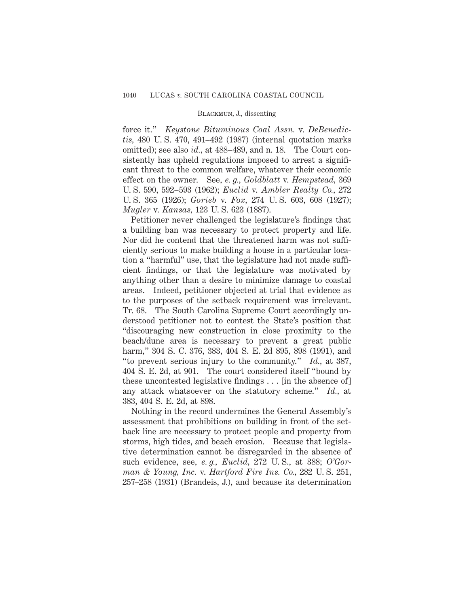force it." *Keystone Bituminous Coal Assn.* v. *DeBenedictis,* 480 U. S. 470, 491–492 (1987) (internal quotation marks omitted); see also *id.,* at 488–489, and n. 18. The Court consistently has upheld regulations imposed to arrest a significant threat to the common welfare, whatever their economic effect on the owner. See, *e. g., Goldblatt* v. *Hempstead,* 369 U. S. 590, 592–593 (1962); *Euclid* v. *Ambler Realty Co.,* 272 U. S. 365 (1926); *Gorieb* v. *Fox,* 274 U. S. 603, 608 (1927); *Mugler* v. *Kansas,* 123 U. S. 623 (1887).

Petitioner never challenged the legislature's findings that a building ban was necessary to protect property and life. Nor did he contend that the threatened harm was not sufficiently serious to make building a house in a particular location a "harmful" use, that the legislature had not made sufficient findings, or that the legislature was motivated by anything other than a desire to minimize damage to coastal areas. Indeed, petitioner objected at trial that evidence as to the purposes of the setback requirement was irrelevant. Tr. 68. The South Carolina Supreme Court accordingly understood petitioner not to contest the State's position that "discouraging new construction in close proximity to the beach/dune area is necessary to prevent a great public harm," 304 S. C. 376, 383, 404 S. E. 2d 895, 898 (1991), and "to prevent serious injury to the community." *Id.,* at 387, 404 S. E. 2d, at 901. The court considered itself "bound by these uncontested legislative findings . . . [in the absence of] any attack whatsoever on the statutory scheme." *Id.,* at 383, 404 S. E. 2d, at 898.

Nothing in the record undermines the General Assembly's assessment that prohibitions on building in front of the setback line are necessary to protect people and property from storms, high tides, and beach erosion. Because that legislative determination cannot be disregarded in the absence of such evidence, see, *e. g., Euclid,* 272 U. S., at 388; *O'Gorman & Young, Inc.* v. *Hartford Fire Ins. Co.,* 282 U. S. 251, 257–258 (1931) (Brandeis, J.), and because its determination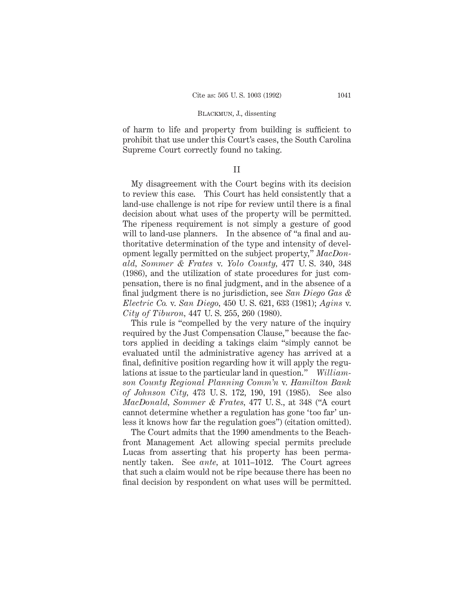of harm to life and property from building is sufficient to prohibit that use under this Court's cases, the South Carolina Supreme Court correctly found no taking.

#### II

My disagreement with the Court begins with its decision to review this case. This Court has held consistently that a land-use challenge is not ripe for review until there is a final decision about what uses of the property will be permitted. The ripeness requirement is not simply a gesture of good will to land-use planners. In the absence of "a final and authoritative determination of the type and intensity of development legally permitted on the subject property," *MacDonald, Sommer & Frates* v. *Yolo County,* 477 U. S. 340, 348 (1986), and the utilization of state procedures for just compensation, there is no final judgment, and in the absence of a final judgment there is no jurisdiction, see *San Diego Gas & Electric Co.* v. *San Diego,* 450 U. S. 621, 633 (1981); *Agins* v. *City of Tiburon,* 447 U. S. 255, 260 (1980).

This rule is "compelled by the very nature of the inquiry required by the Just Compensation Clause," because the factors applied in deciding a takings claim "simply cannot be evaluated until the administrative agency has arrived at a final, definitive position regarding how it will apply the regulations at issue to the particular land in question." *Williamson County Regional Planning Comm'n* v. *Hamilton Bank of Johnson City,* 473 U. S. 172, 190, 191 (1985). See also *MacDonald, Sommer & Frates,* 477 U. S., at 348 ("A court cannot determine whether a regulation has gone 'too far' unless it knows how far the regulation goes") (citation omitted).

The Court admits that the 1990 amendments to the Beachfront Management Act allowing special permits preclude Lucas from asserting that his property has been permanently taken. See *ante,* at 1011–1012. The Court agrees that such a claim would not be ripe because there has been no final decision by respondent on what uses will be permitted.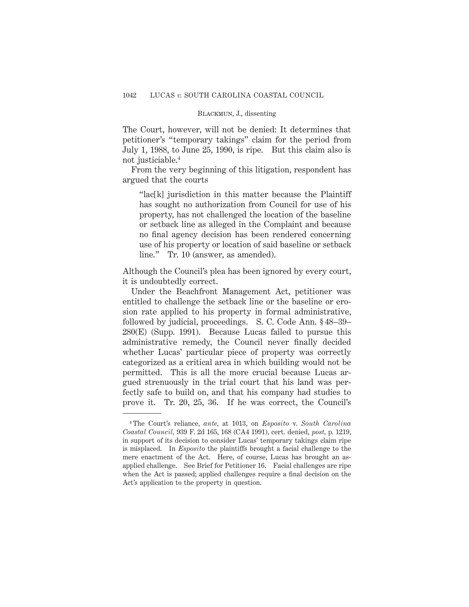The Court, however, will not be denied: It determines that petitioner's "temporary takings" claim for the period from July 1, 1988, to June 25, 1990, is ripe. But this claim also is not justiciable.4

From the very beginning of this litigation, respondent has argued that the courts

"lac[k] jurisdiction in this matter because the Plaintiff has sought no authorization from Council for use of his property, has not challenged the location of the baseline or setback line as alleged in the Complaint and because no final agency decision has been rendered concerning use of his property or location of said baseline or setback line." Tr. 10 (answer, as amended).

Although the Council's plea has been ignored by every court, it is undoubtedly correct.

Under the Beachfront Management Act, petitioner was entitled to challenge the setback line or the baseline or erosion rate applied to his property in formal administrative, followed by judicial, proceedings. S. C. Code Ann. § 48–39– 280(E) (Supp. 1991). Because Lucas failed to pursue this administrative remedy, the Council never finally decided whether Lucas' particular piece of property was correctly categorized as a critical area in which building would not be permitted. This is all the more crucial because Lucas argued strenuously in the trial court that his land was perfectly safe to build on, and that his company had studies to prove it. Tr. 20, 25, 36. If he was correct, the Council's

<sup>4</sup> The Court's reliance, *ante,* at 1013, on *Esposito* v. *South Carolina Coastal Council,* 939 F. 2d 165, 168 (CA4 1991), cert. denied, *post,* p. 1219, in support of its decision to consider Lucas' temporary takings claim ripe is misplaced. In *Esposito* the plaintiffs brought a facial challenge to the mere enactment of the Act. Here, of course, Lucas has brought an asapplied challenge. See Brief for Petitioner 16. Facial challenges are ripe when the Act is passed; applied challenges require a final decision on the Act's application to the property in question.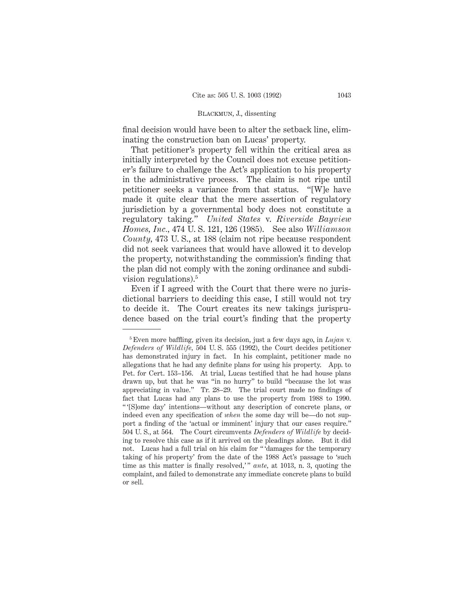final decision would have been to alter the setback line, eliminating the construction ban on Lucas' property.

That petitioner's property fell within the critical area as initially interpreted by the Council does not excuse petitioner's failure to challenge the Act's application to his property in the administrative process. The claim is not ripe until petitioner seeks a variance from that status. "[W]e have made it quite clear that the mere assertion of regulatory jurisdiction by a governmental body does not constitute a regulatory taking." *United States* v. *Riverside Bayview Homes, Inc.,* 474 U. S. 121, 126 (1985). See also *Williamson County,* 473 U. S., at 188 (claim not ripe because respondent did not seek variances that would have allowed it to develop the property, notwithstanding the commission's finding that the plan did not comply with the zoning ordinance and subdivision regulations).5

Even if I agreed with the Court that there were no jurisdictional barriers to deciding this case, I still would not try to decide it. The Court creates its new takings jurisprudence based on the trial court's finding that the property

<sup>5</sup> Even more baffling, given its decision, just a few days ago, in *Lujan* v. *Defenders of Wildlife,* 504 U. S. 555 (1992), the Court decides petitioner has demonstrated injury in fact. In his complaint, petitioner made no allegations that he had any definite plans for using his property. App. to Pet. for Cert. 153–156. At trial, Lucas testified that he had house plans drawn up, but that he was "in no hurry" to build "because the lot was appreciating in value." Tr. 28–29. The trial court made no findings of fact that Lucas had any plans to use the property from 1988 to 1990. " '[S]ome day' intentions—without any description of concrete plans, or indeed even any specification of *when* the some day will be—do not support a finding of the 'actual or imminent' injury that our cases require." 504 U. S., at 564. The Court circumvents *Defenders of Wildlife* by deciding to resolve this case as if it arrived on the pleadings alone. But it did not. Lucas had a full trial on his claim for " 'damages for the temporary taking of his property' from the date of the 1988 Act's passage to 'such time as this matter is finally resolved,'" ante, at 1013, n. 3, quoting the complaint, and failed to demonstrate any immediate concrete plans to build or sell.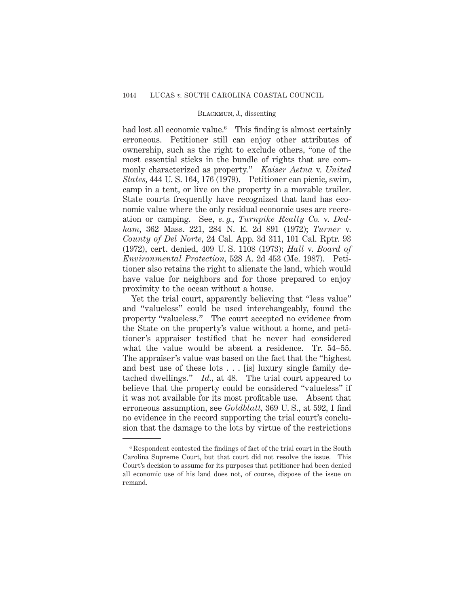had lost all economic value.<sup>6</sup> This finding is almost certainly erroneous. Petitioner still can enjoy other attributes of ownership, such as the right to exclude others, "one of the most essential sticks in the bundle of rights that are commonly characterized as property." *Kaiser Aetna* v. *United States,* 444 U. S. 164, 176 (1979). Petitioner can picnic, swim, camp in a tent, or live on the property in a movable trailer. State courts frequently have recognized that land has economic value where the only residual economic uses are recreation or camping. See, *e. g., Turnpike Realty Co.* v. *Dedham,* 362 Mass. 221, 284 N. E. 2d 891 (1972); *Turner* v. *County of Del Norte,* 24 Cal. App. 3d 311, 101 Cal. Rptr. 93 (1972), cert. denied, 409 U. S. 1108 (1973); *Hall* v. *Board of Environmental Protection,* 528 A. 2d 453 (Me. 1987). Petitioner also retains the right to alienate the land, which would have value for neighbors and for those prepared to enjoy proximity to the ocean without a house.

Yet the trial court, apparently believing that "less value" and "valueless" could be used interchangeably, found the property "valueless." The court accepted no evidence from the State on the property's value without a home, and petitioner's appraiser testified that he never had considered what the value would be absent a residence. Tr. 54–55. The appraiser's value was based on the fact that the "highest and best use of these lots . . . [is] luxury single family detached dwellings." *Id.,* at 48. The trial court appeared to believe that the property could be considered "valueless" if it was not available for its most profitable use. Absent that erroneous assumption, see *Goldblatt,* 369 U. S., at 592, I find no evidence in the record supporting the trial court's conclusion that the damage to the lots by virtue of the restrictions

<sup>6</sup> Respondent contested the findings of fact of the trial court in the South Carolina Supreme Court, but that court did not resolve the issue. This Court's decision to assume for its purposes that petitioner had been denied all economic use of his land does not, of course, dispose of the issue on remand.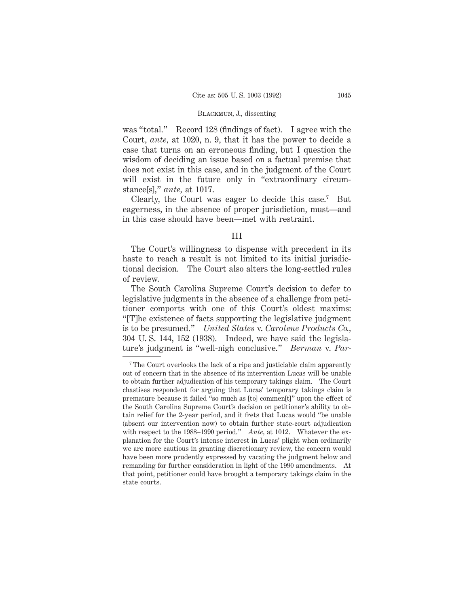was "total." Record 128 (findings of fact). I agree with the Court, *ante,* at 1020, n. 9, that it has the power to decide a case that turns on an erroneous finding, but I question the wisdom of deciding an issue based on a factual premise that does not exist in this case, and in the judgment of the Court will exist in the future only in "extraordinary circumstance[s]," *ante,* at 1017.

Clearly, the Court was eager to decide this case.7 But eagerness, in the absence of proper jurisdiction, must—and in this case should have been—met with restraint.

# III

The Court's willingness to dispense with precedent in its haste to reach a result is not limited to its initial jurisdictional decision. The Court also alters the long-settled rules of review.

The South Carolina Supreme Court's decision to defer to legislative judgments in the absence of a challenge from petitioner comports with one of this Court's oldest maxims: "[T]he existence of facts supporting the legislative judgment is to be presumed." *United States* v. *Carolene Products Co.,* 304 U. S. 144, 152 (1938). Indeed, we have said the legislature's judgment is "well-nigh conclusive." *Berman* v. *Par-*

<sup>7</sup> The Court overlooks the lack of a ripe and justiciable claim apparently out of concern that in the absence of its intervention Lucas will be unable to obtain further adjudication of his temporary takings claim. The Court chastises respondent for arguing that Lucas' temporary takings claim is premature because it failed "so much as [to] commen[t]" upon the effect of the South Carolina Supreme Court's decision on petitioner's ability to obtain relief for the 2-year period, and it frets that Lucas would "be unable (absent our intervention now) to obtain further state-court adjudication with respect to the 1988–1990 period." *Ante,* at 1012. Whatever the explanation for the Court's intense interest in Lucas' plight when ordinarily we are more cautious in granting discretionary review, the concern would have been more prudently expressed by vacating the judgment below and remanding for further consideration in light of the 1990 amendments. At that point, petitioner could have brought a temporary takings claim in the state courts.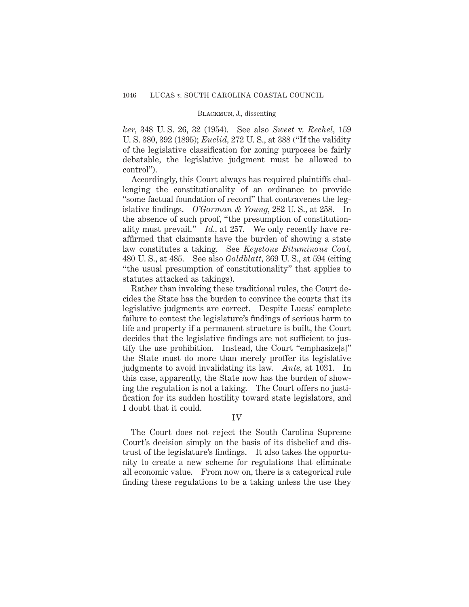*ker,* 348 U. S. 26, 32 (1954). See also *Sweet* v. *Rechel,* 159 U. S. 380, 392 (1895); *Euclid,* 272 U. S., at 388 ("If the validity of the legislative classification for zoning purposes be fairly debatable, the legislative judgment must be allowed to control").

Accordingly, this Court always has required plaintiffs challenging the constitutionality of an ordinance to provide "some factual foundation of record" that contravenes the legislative findings. *O'Gorman & Young*, 282 U. S., at 258. In the absence of such proof, "the presumption of constitutionality must prevail." *Id.,* at 257. We only recently have reaffirmed that claimants have the burden of showing a state law constitutes a taking. See *Keystone Bituminous Coal,* 480 U. S., at 485. See also *Goldblatt,* 369 U. S., at 594 (citing "the usual presumption of constitutionality" that applies to statutes attacked as takings).

Rather than invoking these traditional rules, the Court decides the State has the burden to convince the courts that its legislative judgments are correct. Despite Lucas' complete failure to contest the legislature's findings of serious harm to life and property if a permanent structure is built, the Court decides that the legislative findings are not sufficient to justify the use prohibition. Instead, the Court "emphasize[s]" the State must do more than merely proffer its legislative judgments to avoid invalidating its law. *Ante,* at 1031. In this case, apparently, the State now has the burden of showing the regulation is not a taking. The Court offers no justification for its sudden hostility toward state legislators, and I doubt that it could.

IV

The Court does not reject the South Carolina Supreme Court's decision simply on the basis of its disbelief and distrust of the legislature's findings. It also takes the opportunity to create a new scheme for regulations that eliminate all economic value. From now on, there is a categorical rule finding these regulations to be a taking unless the use they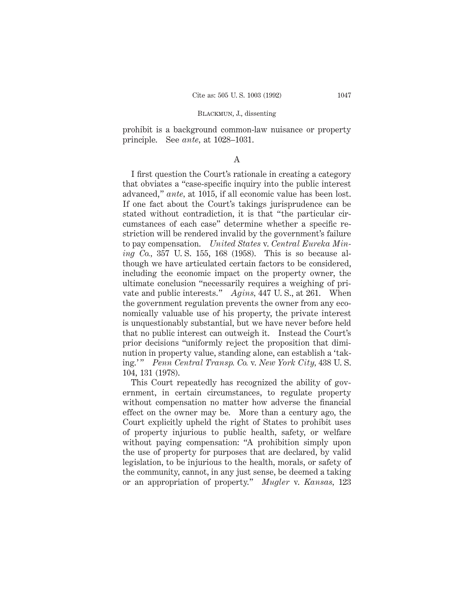prohibit is a background common-law nuisance or property principle. See *ante,* at 1028–1031.

#### A

I first question the Court's rationale in creating a category that obviates a "case-specific inquiry into the public interest advanced," *ante,* at 1015, if all economic value has been lost. If one fact about the Court's takings jurisprudence can be stated without contradiction, it is that "the particular circumstances of each case" determine whether a specific restriction will be rendered invalid by the government's failure to pay compensation. *United States* v. *Central Eureka Mining Co.,* 357 U. S. 155, 168 (1958). This is so because although we have articulated certain factors to be considered, including the economic impact on the property owner, the ultimate conclusion "necessarily requires a weighing of private and public interests." *Agins,* 447 U. S., at 261. When the government regulation prevents the owner from any economically valuable use of his property, the private interest is unquestionably substantial, but we have never before held that no public interest can outweigh it. Instead the Court's prior decisions "uniformly reject the proposition that diminution in property value, standing alone, can establish a 'taking.' " *Penn Central Transp. Co.* v. *New York City,* 438 U. S. 104, 131 (1978).

This Court repeatedly has recognized the ability of government, in certain circumstances, to regulate property without compensation no matter how adverse the financial effect on the owner may be. More than a century ago, the Court explicitly upheld the right of States to prohibit uses of property injurious to public health, safety, or welfare without paying compensation: "A prohibition simply upon the use of property for purposes that are declared, by valid legislation, to be injurious to the health, morals, or safety of the community, cannot, in any just sense, be deemed a taking or an appropriation of property." *Mugler* v. *Kansas,* 123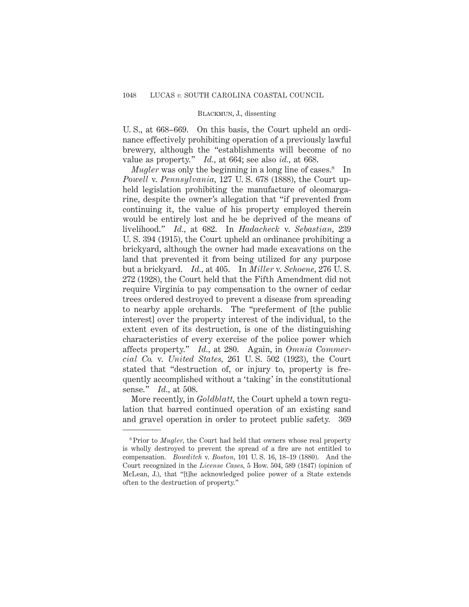U. S., at 668–669. On this basis, the Court upheld an ordinance effectively prohibiting operation of a previously lawful brewery, although the "establishments will become of no value as property." *Id.,* at 664; see also *id.,* at 668.

*Mugler* was only the beginning in a long line of cases.<sup>8</sup> In *Powell* v. *Pennsylvania,* 127 U. S. 678 (1888), the Court upheld legislation prohibiting the manufacture of oleomargarine, despite the owner's allegation that "if prevented from continuing it, the value of his property employed therein would be entirely lost and he be deprived of the means of livelihood." *Id.,* at 682. In *Hadacheck* v. *Sebastian,* 239 U. S. 394 (1915), the Court upheld an ordinance prohibiting a brickyard, although the owner had made excavations on the land that prevented it from being utilized for any purpose but a brickyard. *Id.,* at 405. In *Miller* v. *Schoene,* 276 U. S. 272 (1928), the Court held that the Fifth Amendment did not require Virginia to pay compensation to the owner of cedar trees ordered destroyed to prevent a disease from spreading to nearby apple orchards. The "preferment of [the public interest] over the property interest of the individual, to the extent even of its destruction, is one of the distinguishing characteristics of every exercise of the police power which affects property." *Id.,* at 280. Again, in *Omnia Commercial Co.* v. *United States,* 261 U. S. 502 (1923), the Court stated that "destruction of, or injury to, property is frequently accomplished without a 'taking' in the constitutional sense." *Id.,* at 508.

More recently, in *Goldblatt,* the Court upheld a town regulation that barred continued operation of an existing sand and gravel operation in order to protect public safety. 369

<sup>8</sup> Prior to *Mugler,* the Court had held that owners whose real property is wholly destroyed to prevent the spread of a fire are not entitled to compensation. *Bowditch* v. *Boston,* 101 U. S. 16, 18–19 (1880). And the Court recognized in the *License Cases,* 5 How. 504, 589 (1847) (opinion of McLean, J.), that "[t]he acknowledged police power of a State extends often to the destruction of property."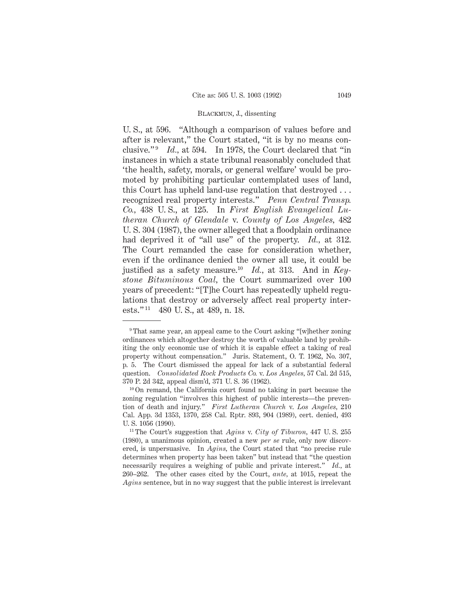U. S., at 596. "Although a comparison of values before and after is relevant," the Court stated, "it is by no means conclusive." <sup>9</sup> *Id.,* at 594. In 1978, the Court declared that "in instances in which a state tribunal reasonably concluded that 'the health, safety, morals, or general welfare' would be promoted by prohibiting particular contemplated uses of land, this Court has upheld land-use regulation that destroyed . . . recognized real property interests." *Penn Central Transp. Co.,* 438 U. S., at 125. In *First English Evangelical Lutheran Church of Glendale* v. *County of Los Angeles,* 482 U. S. 304 (1987), the owner alleged that a floodplain ordinance had deprived it of "all use" of the property. *Id.,* at 312. The Court remanded the case for consideration whether, even if the ordinance denied the owner all use, it could be justified as a safety measure.<sup>10</sup> *Id.*, at 313. And in *Keystone Bituminous Coal,* the Court summarized over 100 years of precedent: "[T]he Court has repeatedly upheld regulations that destroy or adversely affect real property interests."<sup>11</sup> 480 U.S., at 489, n. 18.

<sup>9</sup> That same year, an appeal came to the Court asking "[w]hether zoning ordinances which altogether destroy the worth of valuable land by prohibiting the only economic use of which it is capable effect a taking of real property without compensation." Juris. Statement, O. T. 1962, No. 307, p. 5. The Court dismissed the appeal for lack of a substantial federal question. *Consolidated Rock Products Co.* v. *Los Angeles,* 57 Cal. 2d 515, 370 P. 2d 342, appeal dism'd, 371 U. S. 36 (1962).

<sup>10</sup> On remand, the California court found no taking in part because the zoning regulation "involves this highest of public interests—the prevention of death and injury." *First Lutheran Church* v. *Los Angeles,* 210 Cal. App. 3d 1353, 1370, 258 Cal. Rptr. 893, 904 (1989), cert. denied, 493 U. S. 1056 (1990).

<sup>11</sup> The Court's suggestion that *Agins* v. *City of Tiburon,* 447 U. S. 255 (1980), a unanimous opinion, created a new *per se* rule, only now discovered, is unpersuasive. In *Agins,* the Court stated that "no precise rule determines when property has been taken" but instead that "the question necessarily requires a weighing of public and private interest." *Id.,* at 260–262. The other cases cited by the Court, *ante,* at 1015, repeat the *Agins* sentence, but in no way suggest that the public interest is irrelevant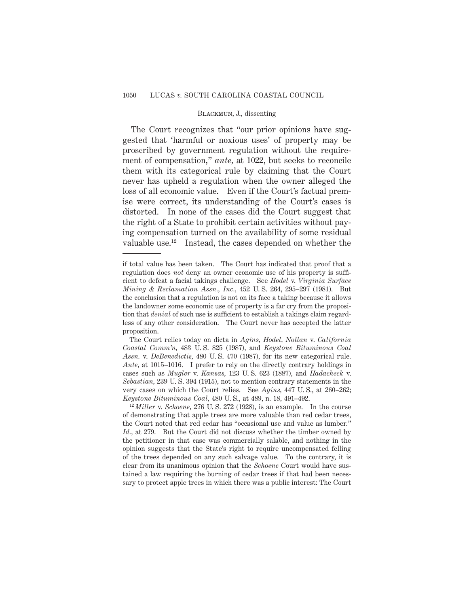The Court recognizes that "our prior opinions have suggested that 'harmful or noxious uses' of property may be proscribed by government regulation without the requirement of compensation," *ante,* at 1022, but seeks to reconcile them with its categorical rule by claiming that the Court never has upheld a regulation when the owner alleged the loss of all economic value. Even if the Court's factual premise were correct, its understanding of the Court's cases is distorted. In none of the cases did the Court suggest that the right of a State to prohibit certain activities without paying compensation turned on the availability of some residual valuable use.12 Instead, the cases depended on whether the

if total value has been taken. The Court has indicated that proof that a regulation does *not* deny an owner economic use of his property is sufficient to defeat a facial takings challenge. See *Hodel* v. *Virginia Surface Mining & Reclamation Assn., Inc.,* 452 U. S. 264, 295–297 (1981). But the conclusion that a regulation is not on its face a taking because it allows the landowner some economic use of property is a far cry from the proposition that *denial* of such use is sufficient to establish a takings claim regardless of any other consideration. The Court never has accepted the latter proposition.

The Court relies today on dicta in *Agins, Hodel, Nollan* v. *California Coastal Comm'n,* 483 U. S. 825 (1987), and *Keystone Bituminous Coal Assn.* v. *DeBenedictis,* 480 U. S. 470 (1987), for its new categorical rule. *Ante,* at 1015–1016. I prefer to rely on the directly contrary holdings in cases such as *Mugler* v. *Kansas,* 123 U. S. 623 (1887), and *Hadacheck* v. *Sebastian,* 239 U. S. 394 (1915), not to mention contrary statements in the very cases on which the Court relies. See *Agins,* 447 U. S., at 260–262; *Keystone Bituminous Coal,* 480 U. S., at 489, n. 18, 491–492.

<sup>12</sup> *Miller* v. *Schoene,* 276 U. S. 272 (1928), is an example. In the course of demonstrating that apple trees are more valuable than red cedar trees, the Court noted that red cedar has "occasional use and value as lumber." *Id.,* at 279. But the Court did not discuss whether the timber owned by the petitioner in that case was commercially salable, and nothing in the opinion suggests that the State's right to require uncompensated felling of the trees depended on any such salvage value. To the contrary, it is clear from its unanimous opinion that the *Schoene* Court would have sustained a law requiring the burning of cedar trees if that had been necessary to protect apple trees in which there was a public interest: The Court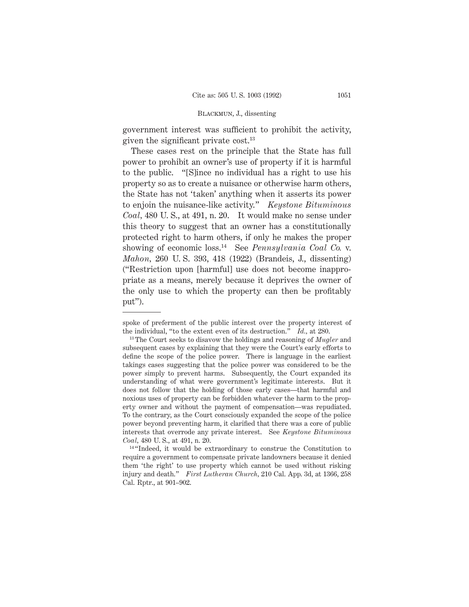government interest was sufficient to prohibit the activity, given the significant private cost.13

These cases rest on the principle that the State has full power to prohibit an owner's use of property if it is harmful to the public. "[S]ince no individual has a right to use his property so as to create a nuisance or otherwise harm others, the State has not 'taken' anything when it asserts its power to enjoin the nuisance-like activity." *Keystone Bituminous Coal,* 480 U. S., at 491, n. 20. It would make no sense under this theory to suggest that an owner has a constitutionally protected right to harm others, if only he makes the proper showing of economic loss.14 See *Pennsylvania Coal Co.* v. *Mahon,* 260 U. S. 393, 418 (1922) (Brandeis, J., dissenting) ("Restriction upon [harmful] use does not become inappropriate as a means, merely because it deprives the owner of the only use to which the property can then be profitably put").

spoke of preferment of the public interest over the property interest of the individual, "to the extent even of its destruction." *Id.,* at 280.

<sup>13</sup> The Court seeks to disavow the holdings and reasoning of *Mugler* and subsequent cases by explaining that they were the Court's early efforts to define the scope of the police power. There is language in the earliest takings cases suggesting that the police power was considered to be the power simply to prevent harms. Subsequently, the Court expanded its understanding of what were government's legitimate interests. But it does not follow that the holding of those early cases—that harmful and noxious uses of property can be forbidden whatever the harm to the property owner and without the payment of compensation—was repudiated. To the contrary, as the Court consciously expanded the scope of the police power beyond preventing harm, it clarified that there was a core of public interests that overrode any private interest. See *Keystone Bituminous Coal,* 480 U. S., at 491, n. 20.

<sup>&</sup>lt;sup>14</sup> "Indeed, it would be extraordinary to construe the Constitution to require a government to compensate private landowners because it denied them 'the right' to use property which cannot be used without risking injury and death." *First Lutheran Church,* 210 Cal. App. 3d, at 1366, 258 Cal. Rptr., at 901–902.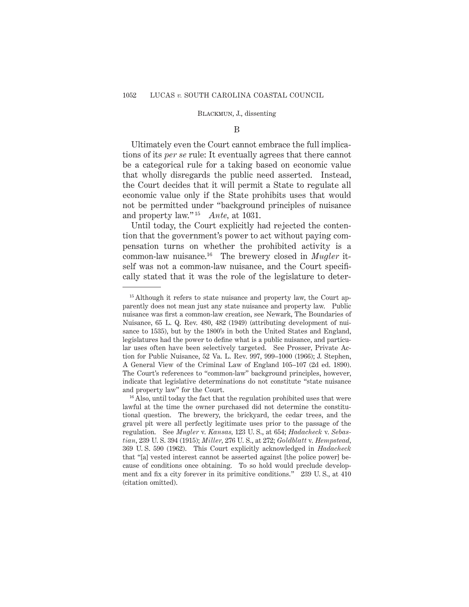#### B

Ultimately even the Court cannot embrace the full implications of its *per se* rule: It eventually agrees that there cannot be a categorical rule for a taking based on economic value that wholly disregards the public need asserted. Instead, the Court decides that it will permit a State to regulate all economic value only if the State prohibits uses that would not be permitted under "background principles of nuisance and property law." <sup>15</sup> *Ante,* at 1031.

Until today, the Court explicitly had rejected the contention that the government's power to act without paying compensation turns on whether the prohibited activity is a common-law nuisance.16 The brewery closed in *Mugler* itself was not a common-law nuisance, and the Court specifically stated that it was the role of the legislature to deter-

<sup>&</sup>lt;sup>15</sup> Although it refers to state nuisance and property law, the Court apparently does not mean just any state nuisance and property law. Public nuisance was first a common-law creation, see Newark, The Boundaries of Nuisance, 65 L. Q. Rev. 480, 482 (1949) (attributing development of nuisance to 1535), but by the 1800's in both the United States and England, legislatures had the power to define what is a public nuisance, and particular uses often have been selectively targeted. See Prosser, Private Action for Public Nuisance, 52 Va. L. Rev. 997, 999–1000 (1966); J. Stephen, A General View of the Criminal Law of England 105–107 (2d ed. 1890). The Court's references to "common-law" background principles, however, indicate that legislative determinations do not constitute "state nuisance and property law" for the Court.

<sup>&</sup>lt;sup>16</sup> Also, until today the fact that the regulation prohibited uses that were lawful at the time the owner purchased did not determine the constitutional question. The brewery, the brickyard, the cedar trees, and the gravel pit were all perfectly legitimate uses prior to the passage of the regulation. See *Mugler* v. *Kansas,* 123 U. S., at 654; *Hadacheck* v. *Sebastian,* 239 U. S. 394 (1915); *Miller,* 276 U. S., at 272; *Goldblatt* v. *Hempstead,* 369 U. S. 590 (1962). This Court explicitly acknowledged in *Hadacheck* that "[a] vested interest cannot be asserted against [the police power] because of conditions once obtaining. To so hold would preclude development and fix a city forever in its primitive conditions." 239 U. S., at 410 (citation omitted).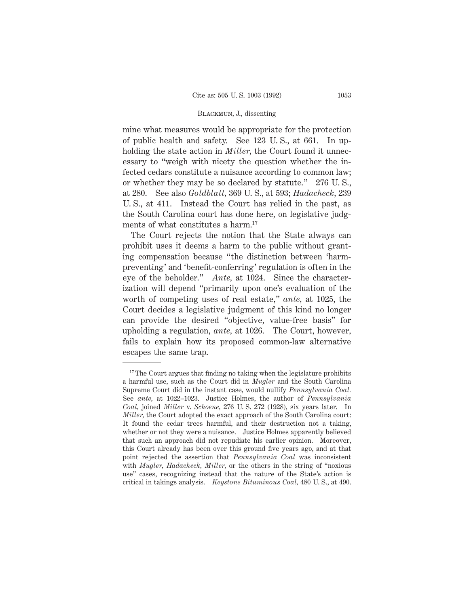mine what measures would be appropriate for the protection of public health and safety. See 123 U. S., at 661. In upholding the state action in *Miller*, the Court found it unnecessary to "weigh with nicety the question whether the infected cedars constitute a nuisance according to common law; or whether they may be so declared by statute." 276 U. S., at 280. See also *Goldblatt,* 369 U. S., at 593; *Hadacheck,* 239 U. S., at 411. Instead the Court has relied in the past, as the South Carolina court has done here, on legislative judgments of what constitutes a harm.<sup>17</sup>

The Court rejects the notion that the State always can prohibit uses it deems a harm to the public without granting compensation because "the distinction between 'harmpreventing' and 'benefit-conferring' regulation is often in the eye of the beholder." *Ante,* at 1024. Since the characterization will depend "primarily upon one's evaluation of the worth of competing uses of real estate," *ante,* at 1025, the Court decides a legislative judgment of this kind no longer can provide the desired "objective, value-free basis" for upholding a regulation, *ante,* at 1026. The Court, however, fails to explain how its proposed common-law alternative escapes the same trap.

 $17$  The Court argues that finding no taking when the legislature prohibits a harmful use, such as the Court did in *Mugler* and the South Carolina Supreme Court did in the instant case, would nullify *Pennsylvania Coal.* See *ante,* at 1022–1023. Justice Holmes, the author of *Pennsylvania Coal,* joined *Miller* v. *Schoene,* 276 U. S. 272 (1928), six years later. In *Miller,* the Court adopted the exact approach of the South Carolina court: It found the cedar trees harmful, and their destruction not a taking, whether or not they were a nuisance. Justice Holmes apparently believed that such an approach did not repudiate his earlier opinion. Moreover, this Court already has been over this ground five years ago, and at that point rejected the assertion that *Pennsylvania Coal* was inconsistent with *Mugler, Hadacheck, Miller,* or the others in the string of "noxious use" cases, recognizing instead that the nature of the State's action is critical in takings analysis. *Keystone Bituminous Coal,* 480 U. S., at 490.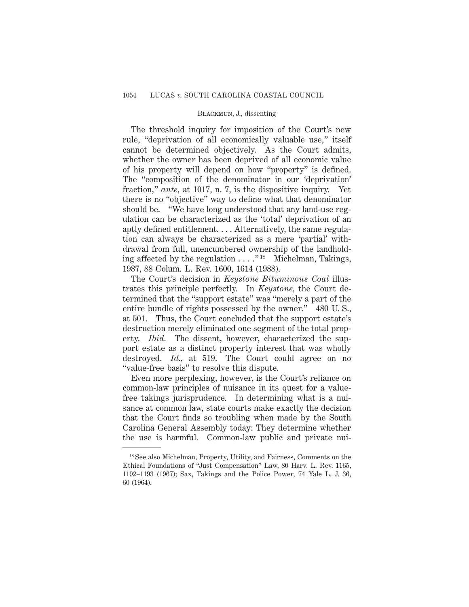The threshold inquiry for imposition of the Court's new rule, "deprivation of all economically valuable use," itself cannot be determined objectively. As the Court admits, whether the owner has been deprived of all economic value of his property will depend on how "property" is defined. The "composition of the denominator in our 'deprivation' fraction," *ante,* at 1017, n. 7, is the dispositive inquiry. Yet there is no "objective" way to define what that denominator should be. "We have long understood that any land-use regulation can be characterized as the 'total' deprivation of an aptly defined entitlement. . . . Alternatively, the same regulation can always be characterized as a mere 'partial' withdrawal from full, unencumbered ownership of the landholding affected by the regulation  $\dots$ ."<sup>18</sup> Michelman, Takings, 1987, 88 Colum. L. Rev. 1600, 1614 (1988).

The Court's decision in *Keystone Bituminous Coal* illustrates this principle perfectly. In *Keystone,* the Court determined that the "support estate" was "merely a part of the entire bundle of rights possessed by the owner." 480 U. S., at 501. Thus, the Court concluded that the support estate's destruction merely eliminated one segment of the total property. *Ibid.* The dissent, however, characterized the support estate as a distinct property interest that was wholly destroyed. *Id.,* at 519. The Court could agree on no "value-free basis" to resolve this dispute.

Even more perplexing, however, is the Court's reliance on common-law principles of nuisance in its quest for a valuefree takings jurisprudence. In determining what is a nuisance at common law, state courts make exactly the decision that the Court finds so troubling when made by the South Carolina General Assembly today: They determine whether the use is harmful. Common-law public and private nui-

<sup>18</sup> See also Michelman, Property, Utility, and Fairness, Comments on the Ethical Foundations of "Just Compensation" Law, 80 Harv. L. Rev. 1165, 1192–1193 (1967); Sax, Takings and the Police Power, 74 Yale L. J. 36, 60 (1964).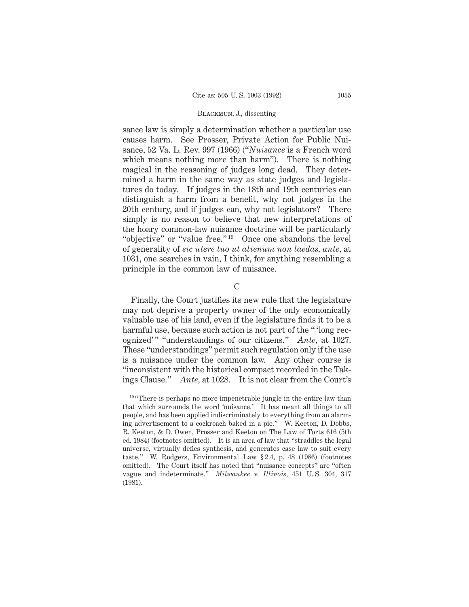sance law is simply a determination whether a particular use causes harm. See Prosser, Private Action for Public Nuisance, 52 Va. L. Rev. 997 (1966) ("*Nuisance* is a French word which means nothing more than harm"). There is nothing magical in the reasoning of judges long dead. They determined a harm in the same way as state judges and legislatures do today. If judges in the 18th and 19th centuries can distinguish a harm from a benefit, why not judges in the 20th century, and if judges can, why not legislators? There simply is no reason to believe that new interpretations of the hoary common-law nuisance doctrine will be particularly "objective" or "value free." <sup>19</sup> Once one abandons the level of generality of *sic utere tuo ut alienum non laedas, ante,* at 1031, one searches in vain, I think, for anything resembling a principle in the common law of nuisance.

 $\mathcal{C}$ 

Finally, the Court justifies its new rule that the legislature may not deprive a property owner of the only economically valuable use of his land, even if the legislature finds it to be a harmful use, because such action is not part of the "'long recognized' " "understandings of our citizens." *Ante,* at 1027. These "understandings" permit such regulation only if the use is a nuisance under the common law. Any other course is "inconsistent with the historical compact recorded in the Takings Clause." *Ante,* at 1028. It is not clear from the Court's

<sup>&</sup>lt;sup>19</sup> "There is perhaps no more impenetrable jungle in the entire law than that which surrounds the word 'nuisance.' It has meant all things to all people, and has been applied indiscriminately to everything from an alarming advertisement to a cockroach baked in a pie." W. Keeton, D. Dobbs, R. Keeton, & D. Owen, Prosser and Keeton on The Law of Torts 616 (5th ed. 1984) (footnotes omitted). It is an area of law that "straddles the legal universe, virtually defies synthesis, and generates case law to suit every taste." W. Rodgers, Environmental Law § 2.4, p. 48 (1986) (footnotes omitted). The Court itself has noted that "nuisance concepts" are "often vague and indeterminate." *Milwaukee* v. *Illinois,* 451 U. S. 304, 317 (1981).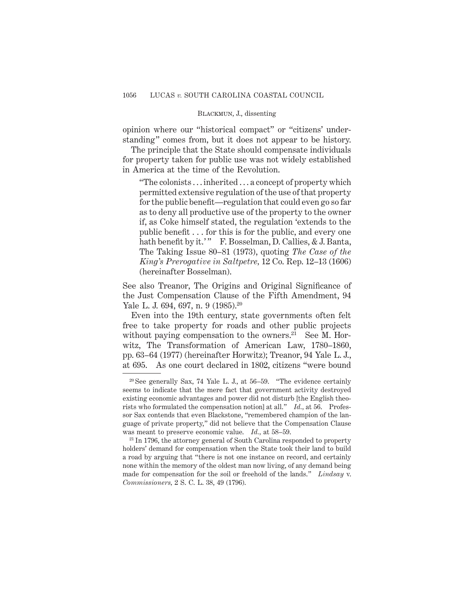opinion where our "historical compact" or "citizens' understanding" comes from, but it does not appear to be history.

The principle that the State should compensate individuals for property taken for public use was not widely established in America at the time of the Revolution.

"The colonists . . . inherited . . . a concept of property which permitted extensive regulation of the use of that property for the public benefit—regulation that could even go so far as to deny all productive use of the property to the owner if, as Coke himself stated, the regulation 'extends to the public benefit . . . for this is for the public, and every one hath benefit by it.'" F. Bosselman, D. Callies, & J. Banta, The Taking Issue 80–81 (1973), quoting *The Case of the King's Prerogative in Saltpetre,* 12 Co. Rep. 12–13 (1606) (hereinafter Bosselman).

See also Treanor, The Origins and Original Significance of the Just Compensation Clause of the Fifth Amendment, 94 Yale L. J. 694, 697, n. 9 (1985).<sup>20</sup>

Even into the 19th century, state governments often felt free to take property for roads and other public projects without paying compensation to the owners. $21$  See M. Horwitz, The Transformation of American Law, 1780–1860, pp. 63–64 (1977) (hereinafter Horwitz); Treanor, 94 Yale L. J., at 695. As one court declared in 1802, citizens "were bound

 $20$  See generally Sax, 74 Yale L. J., at 56–59. "The evidence certainly seems to indicate that the mere fact that government activity destroyed existing economic advantages and power did not disturb [the English theorists who formulated the compensation notion] at all." *Id.,* at 56. Professor Sax contends that even Blackstone, "remembered champion of the language of private property," did not believe that the Compensation Clause was meant to preserve economic value. *Id.,* at 58–59.

<sup>&</sup>lt;sup>21</sup> In 1796, the attorney general of South Carolina responded to property holders' demand for compensation when the State took their land to build a road by arguing that "there is not one instance on record, and certainly none within the memory of the oldest man now living, of any demand being made for compensation for the soil or freehold of the lands." *Lindsay* v. *Commissioners,* 2 S. C. L. 38, 49 (1796).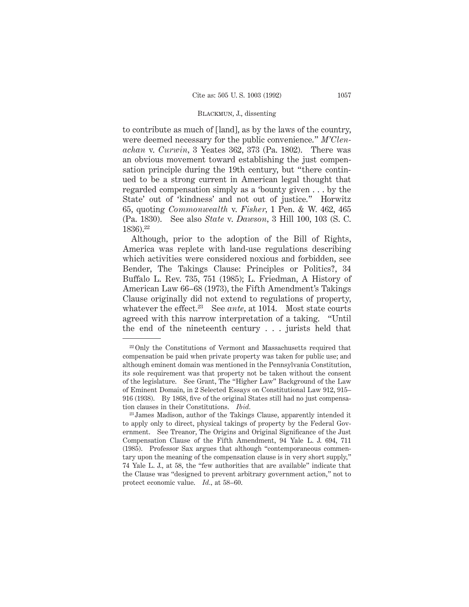to contribute as much of [land], as by the laws of the country, were deemed necessary for the public convenience." *M'Clenachan* v. *Curwin,* 3 Yeates 362, 373 (Pa. 1802). There was an obvious movement toward establishing the just compensation principle during the 19th century, but "there continued to be a strong current in American legal thought that regarded compensation simply as a 'bounty given . . . by the State' out of 'kindness' and not out of justice." Horwitz 65, quoting *Commonwealth* v. *Fisher,* 1 Pen. & W. 462, 465 (Pa. 1830). See also *State* v. *Dawson,* 3 Hill 100, 103 (S. C. 1836).22

Although, prior to the adoption of the Bill of Rights, America was replete with land-use regulations describing which activities were considered noxious and forbidden, see Bender, The Takings Clause: Principles or Politics?, 34 Buffalo L. Rev. 735, 751 (1985); L. Friedman, A History of American Law 66–68 (1973), the Fifth Amendment's Takings Clause originally did not extend to regulations of property, whatever the effect.<sup>23</sup> See *ante*, at 1014. Most state courts agreed with this narrow interpretation of a taking. "Until the end of the nineteenth century . . . jurists held that

<sup>22</sup> Only the Constitutions of Vermont and Massachusetts required that compensation be paid when private property was taken for public use; and although eminent domain was mentioned in the Pennsylvania Constitution, its sole requirement was that property not be taken without the consent of the legislature. See Grant, The "Higher Law" Background of the Law of Eminent Domain, in 2 Selected Essays on Constitutional Law 912, 915– 916 (1938). By 1868, five of the original States still had no just compensation clauses in their Constitutions. *Ibid.*

<sup>23</sup> James Madison, author of the Takings Clause, apparently intended it to apply only to direct, physical takings of property by the Federal Government. See Treanor, The Origins and Original Significance of the Just Compensation Clause of the Fifth Amendment, 94 Yale L. J. 694, 711 (1985). Professor Sax argues that although "contemporaneous commentary upon the meaning of the compensation clause is in very short supply," 74 Yale L. J., at 58, the "few authorities that are available" indicate that the Clause was "designed to prevent arbitrary government action," not to protect economic value. *Id.,* at 58–60.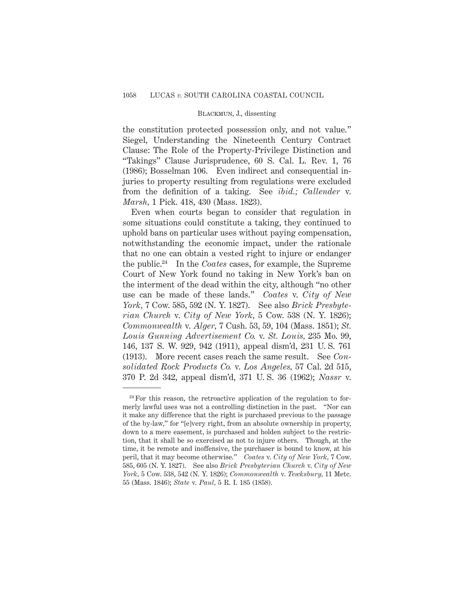the constitution protected possession only, and not value." Siegel, Understanding the Nineteenth Century Contract Clause: The Role of the Property-Privilege Distinction and "Takings" Clause Jurisprudence, 60 S. Cal. L. Rev. 1, 76 (1986); Bosselman 106. Even indirect and consequential injuries to property resulting from regulations were excluded from the definition of a taking. See *ibid.; Callender* v. *Marsh,* 1 Pick. 418, 430 (Mass. 1823).

Even when courts began to consider that regulation in some situations could constitute a taking, they continued to uphold bans on particular uses without paying compensation, notwithstanding the economic impact, under the rationale that no one can obtain a vested right to injure or endanger the public.24 In the *Coates* cases, for example, the Supreme Court of New York found no taking in New York's ban on the interment of the dead within the city, although "no other use can be made of these lands." *Coates* v. *City of New York,* 7 Cow. 585, 592 (N. Y. 1827). See also *Brick Presbyterian Church* v. *City of New York,* 5 Cow. 538 (N. Y. 1826); *Commonwealth* v. *Alger,* 7 Cush. 53, 59, 104 (Mass. 1851); *St. Louis Gunning Advertisement Co.* v. *St. Louis,* 235 Mo. 99, 146, 137 S. W. 929, 942 (1911), appeal dism'd, 231 U. S. 761 (1913). More recent cases reach the same result. See *Consolidated Rock Products Co.* v. *Los Angeles,* 57 Cal. 2d 515, 370 P. 2d 342, appeal dism'd, 371 U. S. 36 (1962); *Nassr* v.

<sup>&</sup>lt;sup>24</sup> For this reason, the retroactive application of the regulation to formerly lawful uses was not a controlling distinction in the past. "Nor can it make any difference that the right is purchased previous to the passage of the by-law," for "[e]very right, from an absolute ownership in property, down to a mere easement, is purchased and holden subject to the restriction, that it shall be so exercised as not to injure others. Though, at the time, it be remote and inoffensive, the purchaser is bound to know, at his peril, that it may become otherwise." *Coates* v. *City of New York,* 7 Cow. 585, 605 (N. Y. 1827). See also *Brick Presbyterian Church* v. *City of New York,* 5 Cow. 538, 542 (N. Y. 1826); *Commonwealth* v. *Tewksbury,* 11 Metc. 55 (Mass. 1846); *State* v. *Paul,* 5 R. I. 185 (1858).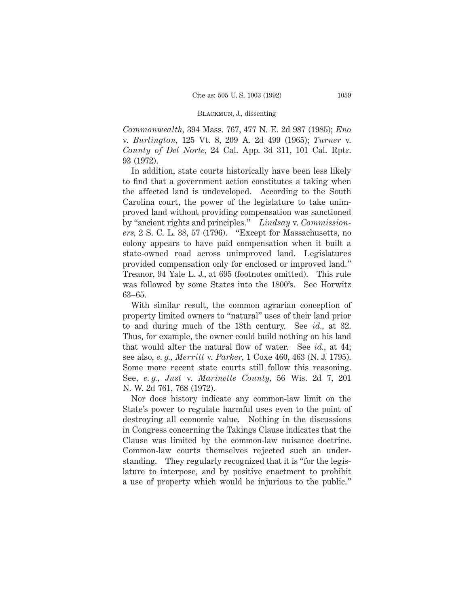*Commonwealth,* 394 Mass. 767, 477 N. E. 2d 987 (1985); *Eno* v. *Burlington,* 125 Vt. 8, 209 A. 2d 499 (1965); *Turner* v. *County of Del Norte,* 24 Cal. App. 3d 311, 101 Cal. Rptr. 93 (1972).

In addition, state courts historically have been less likely to find that a government action constitutes a taking when the affected land is undeveloped. According to the South Carolina court, the power of the legislature to take unimproved land without providing compensation was sanctioned by "ancient rights and principles." *Lindsay* v. *Commissioners,* 2 S. C. L. 38, 57 (1796). "Except for Massachusetts, no colony appears to have paid compensation when it built a state-owned road across unimproved land. Legislatures provided compensation only for enclosed or improved land." Treanor, 94 Yale L. J., at 695 (footnotes omitted). This rule was followed by some States into the 1800's. See Horwitz 63–65.

With similar result, the common agrarian conception of property limited owners to "natural" uses of their land prior to and during much of the 18th century. See *id.,* at 32. Thus, for example, the owner could build nothing on his land that would alter the natural flow of water. See *id.,* at 44; see also, *e. g., Merritt* v. *Parker,* 1 Coxe 460, 463 (N. J. 1795). Some more recent state courts still follow this reasoning. See, *e. g., Just* v. *Marinette County,* 56 Wis. 2d 7, 201 N. W. 2d 761, 768 (1972).

Nor does history indicate any common-law limit on the State's power to regulate harmful uses even to the point of destroying all economic value. Nothing in the discussions in Congress concerning the Takings Clause indicates that the Clause was limited by the common-law nuisance doctrine. Common-law courts themselves rejected such an understanding. They regularly recognized that it is "for the legislature to interpose, and by positive enactment to prohibit a use of property which would be injurious to the public."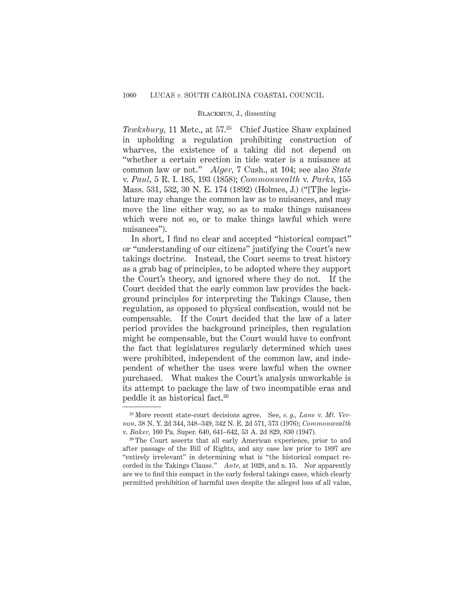*Tewksbury*, 11 Metc., at 57.<sup>25</sup> Chief Justice Shaw explained in upholding a regulation prohibiting construction of wharves, the existence of a taking did not depend on "whether a certain erection in tide water is a nuisance at common law or not." *Alger,* 7 Cush., at 104; see also *State* v. *Paul,* 5 R. I. 185, 193 (1858); *Commonwealth* v. *Parks,* 155 Mass. 531, 532, 30 N. E. 174 (1892) (Holmes, J.) ("[T]he legislature may change the common law as to nuisances, and may move the line either way, so as to make things nuisances which were not so, or to make things lawful which were nuisances").

In short, I find no clear and accepted "historical compact" or "understanding of our citizens" justifying the Court's new takings doctrine. Instead, the Court seems to treat history as a grab bag of principles, to be adopted where they support the Court's theory, and ignored where they do not. If the Court decided that the early common law provides the background principles for interpreting the Takings Clause, then regulation, as opposed to physical confiscation, would not be compensable. If the Court decided that the law of a later period provides the background principles, then regulation might be compensable, but the Court would have to confront the fact that legislatures regularly determined which uses were prohibited, independent of the common law, and independent of whether the uses were lawful when the owner purchased. What makes the Court's analysis unworkable is its attempt to package the law of two incompatible eras and peddle it as historical fact.26

<sup>25</sup> More recent state-court decisions agree. See, *e. g., Lane* v. *Mt. Vernon,* 38 N. Y. 2d 344, 348–349, 342 N. E. 2d 571, 573 (1976); *Commonwealth* v. *Baker,* 160 Pa. Super. 640, 641–642, 53 A. 2d 829, 830 (1947).

<sup>&</sup>lt;sup>26</sup> The Court asserts that all early American experience, prior to and after passage of the Bill of Rights, and any case law prior to 1897 are "entirely irrelevant" in determining what is "the historical compact recorded in the Takings Clause." *Ante,* at 1028, and n. 15. Nor apparently are we to find this compact in the early federal takings cases, which clearly permitted prohibition of harmful uses despite the alleged loss of all value,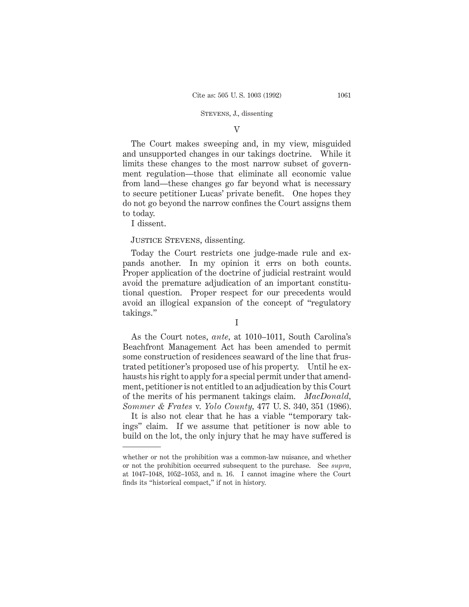$\overline{V}$ 

The Court makes sweeping and, in my view, misguided and unsupported changes in our takings doctrine. While it limits these changes to the most narrow subset of government regulation—those that eliminate all economic value from land—these changes go far beyond what is necessary to secure petitioner Lucas' private benefit. One hopes they do not go beyond the narrow confines the Court assigns them to today.

I dissent.

# Justice Stevens, dissenting.

Today the Court restricts one judge-made rule and expands another. In my opinion it errs on both counts. Proper application of the doctrine of judicial restraint would avoid the premature adjudication of an important constitutional question. Proper respect for our precedents would avoid an illogical expansion of the concept of "regulatory takings."

As the Court notes, *ante,* at 1010–1011, South Carolina's Beachfront Management Act has been amended to permit some construction of residences seaward of the line that frustrated petitioner's proposed use of his property. Until he exhausts his right to apply for a special permit under that amendment, petitioner is not entitled to an adjudication by this Court of the merits of his permanent takings claim. *MacDonald, Sommer & Frates* v. *Yolo County,* 477 U. S. 340, 351 (1986).

It is also not clear that he has a viable "temporary takings" claim. If we assume that petitioner is now able to build on the lot, the only injury that he may have suffered is

I

whether or not the prohibition was a common-law nuisance, and whether or not the prohibition occurred subsequent to the purchase. See *supra,* at 1047–1048, 1052–1053, and n. 16. I cannot imagine where the Court finds its "historical compact," if not in history.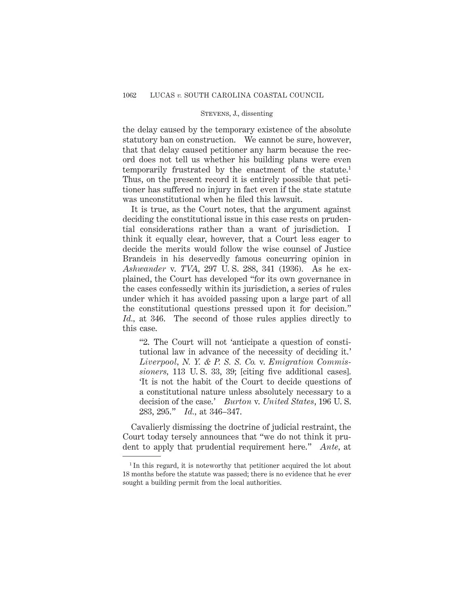the delay caused by the temporary existence of the absolute statutory ban on construction. We cannot be sure, however, that that delay caused petitioner any harm because the record does not tell us whether his building plans were even temporarily frustrated by the enactment of the statute.<sup>1</sup> Thus, on the present record it is entirely possible that petitioner has suffered no injury in fact even if the state statute was unconstitutional when he filed this lawsuit.

It is true, as the Court notes, that the argument against deciding the constitutional issue in this case rests on prudential considerations rather than a want of jurisdiction. I think it equally clear, however, that a Court less eager to decide the merits would follow the wise counsel of Justice Brandeis in his deservedly famous concurring opinion in *Ashwander* v. *TVA,* 297 U. S. 288, 341 (1936). As he explained, the Court has developed "for its own governance in the cases confessedly within its jurisdiction, a series of rules under which it has avoided passing upon a large part of all the constitutional questions pressed upon it for decision." *Id.,* at 346. The second of those rules applies directly to this case.

"2. The Court will not 'anticipate a question of constitutional law in advance of the necessity of deciding it.' *Liverpool, N. Y. & P. S. S. Co.* v. *Emigration Commissioners,* 113 U. S. 33, 39; [citing five additional cases]. 'It is not the habit of the Court to decide questions of a constitutional nature unless absolutely necessary to a decision of the case.' *Burton* v. *United States*, 196 U. S. 283, 295." *Id.,* at 346–347.

Cavalierly dismissing the doctrine of judicial restraint, the Court today tersely announces that "we do not think it prudent to apply that prudential requirement here." *Ante,* at

<sup>&</sup>lt;sup>1</sup>In this regard, it is noteworthy that petitioner acquired the lot about 18 months before the statute was passed; there is no evidence that he ever sought a building permit from the local authorities.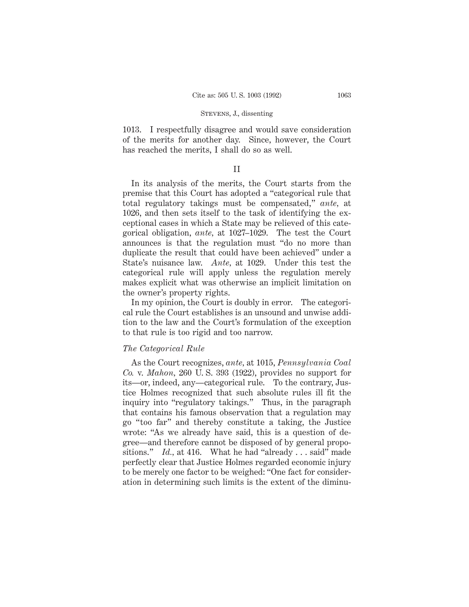1013. I respectfully disagree and would save consideration of the merits for another day. Since, however, the Court has reached the merits, I shall do so as well.

# II

In its analysis of the merits, the Court starts from the premise that this Court has adopted a "categorical rule that total regulatory takings must be compensated," *ante,* at 1026, and then sets itself to the task of identifying the exceptional cases in which a State may be relieved of this categorical obligation, *ante,* at 1027–1029. The test the Court announces is that the regulation must "do no more than duplicate the result that could have been achieved" under a State's nuisance law. *Ante,* at 1029. Under this test the categorical rule will apply unless the regulation merely makes explicit what was otherwise an implicit limitation on the owner's property rights.

In my opinion, the Court is doubly in error. The categorical rule the Court establishes is an unsound and unwise addition to the law and the Court's formulation of the exception to that rule is too rigid and too narrow.

#### *The Categorical Rule*

As the Court recognizes, *ante,* at 1015, *Pennsylvania Coal Co.* v. *Mahon,* 260 U. S. 393 (1922), provides no support for its—or, indeed, any—categorical rule. To the contrary, Justice Holmes recognized that such absolute rules ill fit the inquiry into "regulatory takings." Thus, in the paragraph that contains his famous observation that a regulation may go "too far" and thereby constitute a taking, the Justice wrote: "As we already have said, this is a question of degree—and therefore cannot be disposed of by general propositions." *Id.,* at 416. What he had "already . . . said" made perfectly clear that Justice Holmes regarded economic injury to be merely one factor to be weighed: "One fact for consideration in determining such limits is the extent of the diminu-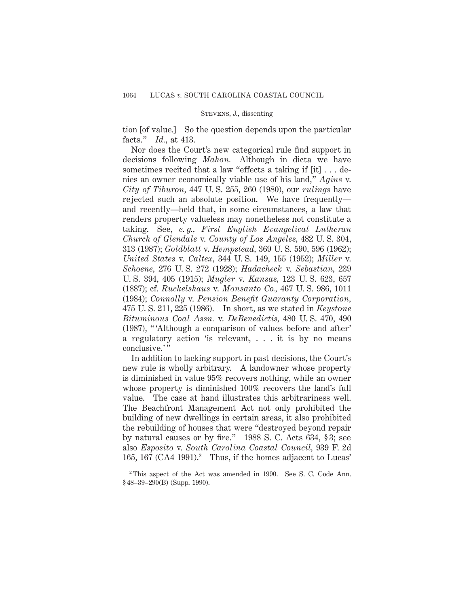tion [of value.] So the question depends upon the particular facts." *Id.,* at 413.

Nor does the Court's new categorical rule find support in decisions following *Mahon.* Although in dicta we have sometimes recited that a law "effects a taking if [it] . . . denies an owner economically viable use of his land," *Agins* v. *City of Tiburon,* 447 U. S. 255, 260 (1980), our *rulings* have rejected such an absolute position. We have frequently and recently—held that, in some circumstances, a law that renders property valueless may nonetheless not constitute a taking. See, *e. g., First English Evangelical Lutheran Church of Glendale* v. *County of Los Angeles,* 482 U. S. 304, 313 (1987); *Goldblatt* v. *Hempstead,* 369 U. S. 590, 596 (1962); *United States* v. *Caltex,* 344 U. S. 149, 155 (1952); *Miller* v. *Schoene,* 276 U. S. 272 (1928); *Hadacheck* v. *Sebastian,* 239 U. S. 394, 405 (1915); *Mugler* v. *Kansas,* 123 U. S. 623, 657 (1887); cf. *Ruckelshaus* v. *Monsanto Co.,* 467 U. S. 986, 1011 (1984); *Connolly* v. *Pension Benefit Guaranty Corporation,* 475 U. S. 211, 225 (1986). In short, as we stated in *Keystone Bituminous Coal Assn.* v. *DeBenedictis,* 480 U. S. 470, 490 (1987), " 'Although a comparison of values before and after' a regulatory action 'is relevant, . . . it is by no means conclusive.'"

In addition to lacking support in past decisions, the Court's new rule is wholly arbitrary. A landowner whose property is diminished in value 95% recovers nothing, while an owner whose property is diminished 100% recovers the land's full value. The case at hand illustrates this arbitrariness well. The Beachfront Management Act not only prohibited the building of new dwellings in certain areas, it also prohibited the rebuilding of houses that were "destroyed beyond repair by natural causes or by fire." 1988 S. C. Acts 634, § 3; see also *Esposito* v. *South Carolina Coastal Council,* 939 F. 2d 165, 167 (CA4 1991).2 Thus, if the homes adjacent to Lucas'

<sup>2</sup> This aspect of the Act was amended in 1990. See S. C. Code Ann. § 48–39–290(B) (Supp. 1990).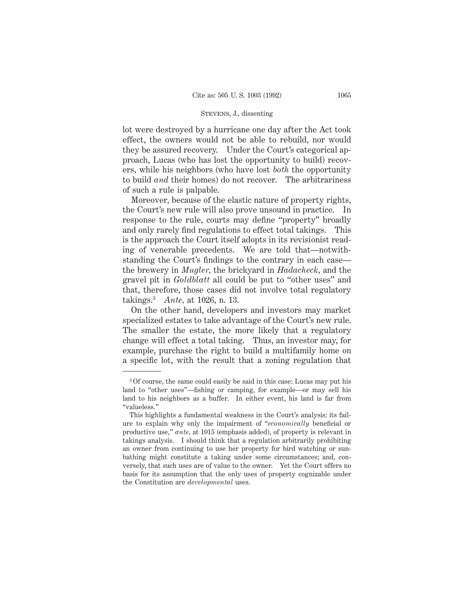lot were destroyed by a hurricane one day after the Act took effect, the owners would not be able to rebuild, nor would they be assured recovery. Under the Court's categorical approach, Lucas (who has lost the opportunity to build) recovers, while his neighbors (who have lost *both* the opportunity to build *and* their homes) do not recover. The arbitrariness of such a rule is palpable.

Moreover, because of the elastic nature of property rights, the Court's new rule will also prove unsound in practice. In response to the rule, courts may define "property" broadly and only rarely find regulations to effect total takings. This is the approach the Court itself adopts in its revisionist reading of venerable precedents. We are told that—notwithstanding the Court's findings to the contrary in each case the brewery in *Mugler,* the brickyard in *Hadacheck,* and the gravel pit in *Goldblatt* all could be put to "other uses" and that, therefore, those cases did not involve total regulatory takings.3 *Ante,* at 1026, n. 13.

On the other hand, developers and investors may market specialized estates to take advantage of the Court's new rule. The smaller the estate, the more likely that a regulatory change will effect a total taking. Thus, an investor may, for example, purchase the right to build a multifamily home on a specific lot, with the result that a zoning regulation that

<sup>3</sup> Of course, the same could easily be said in this case: Lucas may put his land to "other uses"—fishing or camping, for example—or may sell his land to his neighbors as a buffer. In either event, his land is far from "valueless."

This highlights a fundamental weakness in the Court's analysis: its failure to explain why only the impairment of "*economically* beneficial or productive use," *ante,* at 1015 (emphasis added), of property is relevant in takings analysis. I should think that a regulation arbitrarily prohibiting an owner from continuing to use her property for bird watching or sunbathing might constitute a taking under some circumstances; and, conversely, that such uses are of value to the owner. Yet the Court offers no basis for its assumption that the only uses of property cognizable under the Constitution are *developmental* uses.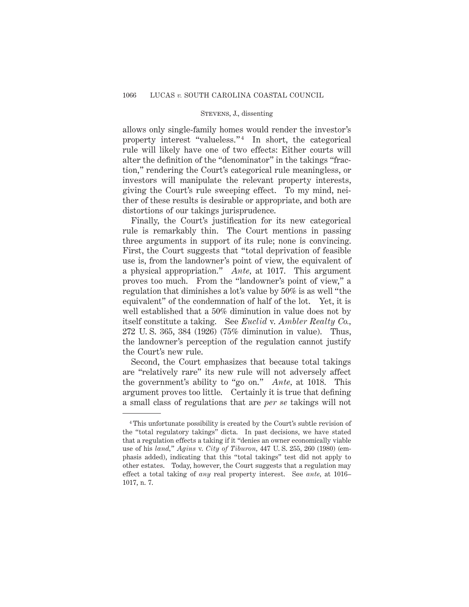allows only single-family homes would render the investor's property interest "valueless."<sup>4</sup> In short, the categorical rule will likely have one of two effects: Either courts will alter the definition of the "denominator" in the takings "fraction," rendering the Court's categorical rule meaningless, or investors will manipulate the relevant property interests, giving the Court's rule sweeping effect. To my mind, neither of these results is desirable or appropriate, and both are distortions of our takings jurisprudence.

Finally, the Court's justification for its new categorical rule is remarkably thin. The Court mentions in passing three arguments in support of its rule; none is convincing. First, the Court suggests that "total deprivation of feasible use is, from the landowner's point of view, the equivalent of a physical appropriation." *Ante,* at 1017. This argument proves too much. From the "landowner's point of view," a regulation that diminishes a lot's value by 50% is as well "the equivalent" of the condemnation of half of the lot. Yet, it is well established that a 50% diminution in value does not by itself constitute a taking. See *Euclid* v. *Ambler Realty Co.,* 272 U. S. 365, 384 (1926) (75% diminution in value). Thus, the landowner's perception of the regulation cannot justify the Court's new rule.

Second, the Court emphasizes that because total takings are "relatively rare" its new rule will not adversely affect the government's ability to "go on." *Ante,* at 1018. This argument proves too little. Certainly it is true that defining a small class of regulations that are *per se* takings will not

<sup>4</sup> This unfortunate possibility is created by the Court's subtle revision of the "total regulatory takings" dicta. In past decisions, we have stated that a regulation effects a taking if it "denies an owner economically viable use of his *land,*" *Agins* v. *City of Tiburon,* 447 U. S. 255, 260 (1980) (emphasis added), indicating that this "total takings" test did not apply to other estates. Today, however, the Court suggests that a regulation may effect a total taking of *any* real property interest. See *ante,* at 1016– 1017, n. 7.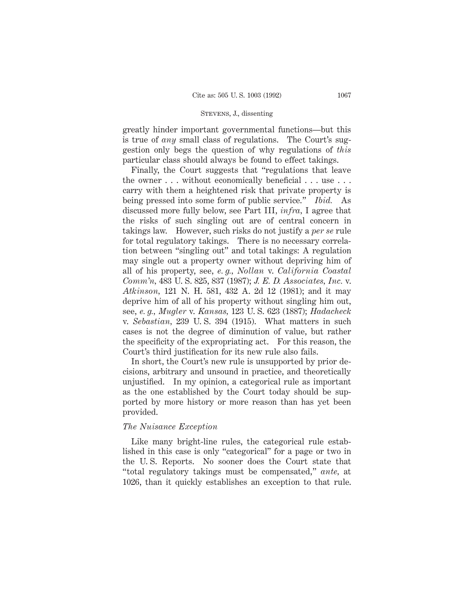# STEVENS, J., dissenting

greatly hinder important governmental functions—but this is true of *any* small class of regulations. The Court's suggestion only begs the question of why regulations of *this* particular class should always be found to effect takings.

Finally, the Court suggests that "regulations that leave the owner . . . without economically beneficial . . . use . . . carry with them a heightened risk that private property is being pressed into some form of public service." *Ibid.* As discussed more fully below, see Part III, *infra,* I agree that the risks of such singling out are of central concern in takings law. However, such risks do not justify a *per se* rule for total regulatory takings. There is no necessary correlation between "singling out" and total takings: A regulation may single out a property owner without depriving him of all of his property, see, *e. g., Nollan* v. *California Coastal Comm'n,* 483 U. S. 825, 837 (1987); *J. E. D. Associates, Inc.* v. *Atkinson,* 121 N. H. 581, 432 A. 2d 12 (1981); and it may deprive him of all of his property without singling him out, see, *e. g., Mugler* v. *Kansas,* 123 U. S. 623 (1887); *Hadacheck* v. *Sebastian,* 239 U. S. 394 (1915). What matters in such cases is not the degree of diminution of value, but rather the specificity of the expropriating act. For this reason, the Court's third justification for its new rule also fails.

In short, the Court's new rule is unsupported by prior decisions, arbitrary and unsound in practice, and theoretically unjustified. In my opinion, a categorical rule as important as the one established by the Court today should be supported by more history or more reason than has yet been provided.

#### *The Nuisance Exception*

Like many bright-line rules, the categorical rule established in this case is only "categorical" for a page or two in the U. S. Reports. No sooner does the Court state that "total regulatory takings must be compensated," *ante,* at 1026, than it quickly establishes an exception to that rule.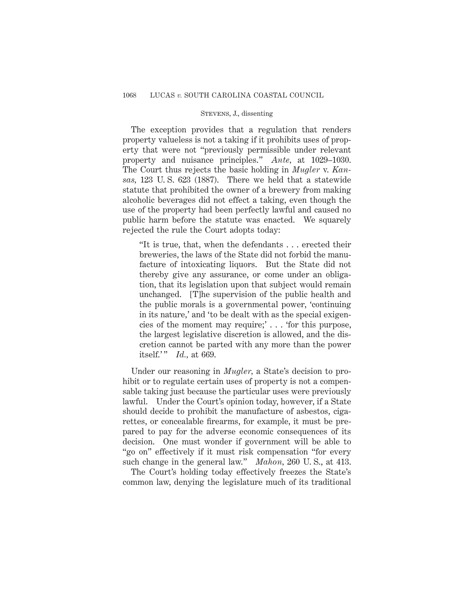The exception provides that a regulation that renders property valueless is not a taking if it prohibits uses of property that were not "previously permissible under relevant property and nuisance principles." *Ante,* at 1029–1030. The Court thus rejects the basic holding in *Mugler* v. *Kansas,* 123 U. S. 623 (1887). There we held that a statewide statute that prohibited the owner of a brewery from making alcoholic beverages did not effect a taking, even though the use of the property had been perfectly lawful and caused no public harm before the statute was enacted. We squarely rejected the rule the Court adopts today:

"It is true, that, when the defendants . . . erected their breweries, the laws of the State did not forbid the manufacture of intoxicating liquors. But the State did not thereby give any assurance, or come under an obligation, that its legislation upon that subject would remain unchanged. [T]he supervision of the public health and the public morals is a governmental power, 'continuing in its nature,' and 'to be dealt with as the special exigencies of the moment may require;' . . . 'for this purpose, the largest legislative discretion is allowed, and the discretion cannot be parted with any more than the power itself.'" *Id.*, at 669.

Under our reasoning in *Mugler,* a State's decision to prohibit or to regulate certain uses of property is not a compensable taking just because the particular uses were previously lawful. Under the Court's opinion today, however, if a State should decide to prohibit the manufacture of asbestos, cigarettes, or concealable firearms, for example, it must be prepared to pay for the adverse economic consequences of its decision. One must wonder if government will be able to "go on" effectively if it must risk compensation "for every such change in the general law." *Mahon,* 260 U. S., at 413.

The Court's holding today effectively freezes the State's common law, denying the legislature much of its traditional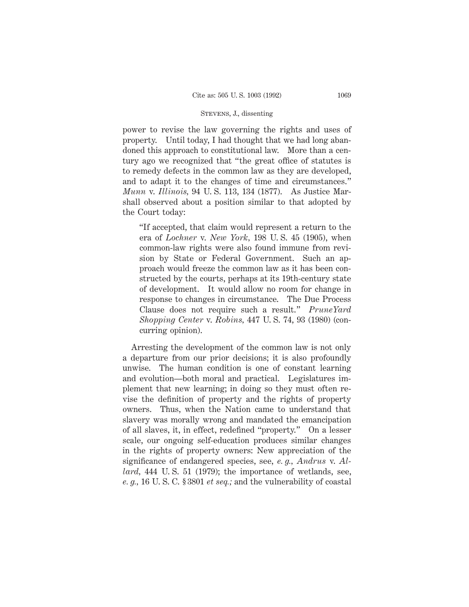# STEVENS, J., dissenting

power to revise the law governing the rights and uses of property. Until today, I had thought that we had long abandoned this approach to constitutional law. More than a century ago we recognized that "the great office of statutes is to remedy defects in the common law as they are developed, and to adapt it to the changes of time and circumstances." *Munn* v. *Illinois,* 94 U. S. 113, 134 (1877). As Justice Marshall observed about a position similar to that adopted by the Court today:

"If accepted, that claim would represent a return to the era of *Lochner* v. *New York,* 198 U. S. 45 (1905), when common-law rights were also found immune from revision by State or Federal Government. Such an approach would freeze the common law as it has been constructed by the courts, perhaps at its 19th-century state of development. It would allow no room for change in response to changes in circumstance. The Due Process Clause does not require such a result." *PruneYard Shopping Center* v. *Robins,* 447 U. S. 74, 93 (1980) (concurring opinion).

Arresting the development of the common law is not only a departure from our prior decisions; it is also profoundly unwise. The human condition is one of constant learning and evolution—both moral and practical. Legislatures implement that new learning; in doing so they must often revise the definition of property and the rights of property owners. Thus, when the Nation came to understand that slavery was morally wrong and mandated the emancipation of all slaves, it, in effect, redefined "property." On a lesser scale, our ongoing self-education produces similar changes in the rights of property owners: New appreciation of the significance of endangered species, see, *e. g., Andrus* v. *Allard,* 444 U. S. 51 (1979); the importance of wetlands, see, *e. g.,* 16 U. S. C. § 3801 *et seq.;* and the vulnerability of coastal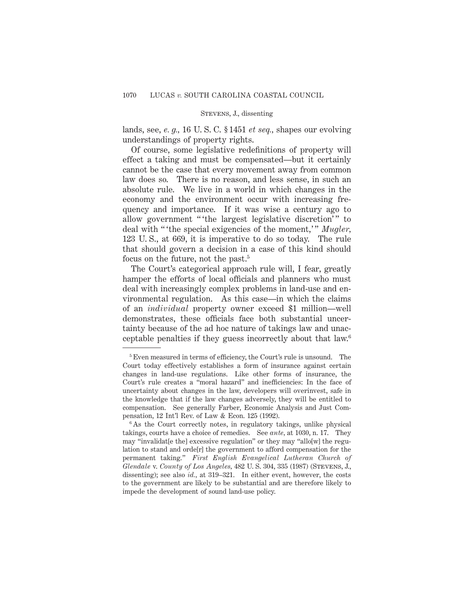lands, see, *e. g.,* 16 U. S. C. § 1451 *et seq.,* shapes our evolving understandings of property rights.

Of course, some legislative redefinitions of property will effect a taking and must be compensated—but it certainly cannot be the case that every movement away from common law does so. There is no reason, and less sense, in such an absolute rule. We live in a world in which changes in the economy and the environment occur with increasing frequency and importance. If it was wise a century ago to allow government " the largest legislative discretion'" to deal with "'the special exigencies of the moment,'" *Mugler*, 123 U. S., at 669, it is imperative to do so today. The rule that should govern a decision in a case of this kind should focus on the future, not the past.<sup>5</sup>

The Court's categorical approach rule will, I fear, greatly hamper the efforts of local officials and planners who must deal with increasingly complex problems in land-use and environmental regulation. As this case—in which the claims of an *individual* property owner exceed \$1 million—well demonstrates, these officials face both substantial uncertainty because of the ad hoc nature of takings law and unacceptable penalties if they guess incorrectly about that law.6

<sup>5</sup> Even measured in terms of efficiency, the Court's rule is unsound. The Court today effectively establishes a form of insurance against certain changes in land-use regulations. Like other forms of insurance, the Court's rule creates a "moral hazard" and inefficiencies: In the face of uncertainty about changes in the law, developers will overinvest, safe in the knowledge that if the law changes adversely, they will be entitled to compensation. See generally Farber, Economic Analysis and Just Compensation, 12 Int'l Rev. of Law & Econ. 125 (1992).

<sup>&</sup>lt;sup>6</sup> As the Court correctly notes, in regulatory takings, unlike physical takings, courts have a choice of remedies. See *ante,* at 1030, n. 17. They may "invalidat[e the] excessive regulation" or they may "allo[w] the regulation to stand and orde[r] the government to afford compensation for the permanent taking." *First English Evangelical Lutheran Church of Glendale* v. *County of Los Angeles,* 482 U. S. 304, 335 (1987) (Stevens, J., dissenting); see also *id.,* at 319–321. In either event, however, the costs to the government are likely to be substantial and are therefore likely to impede the development of sound land-use policy.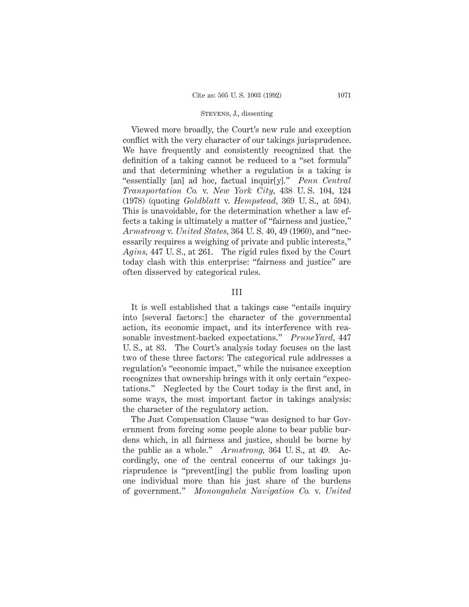# STEVENS, J., dissenting

Viewed more broadly, the Court's new rule and exception conflict with the very character of our takings jurisprudence. We have frequently and consistently recognized that the definition of a taking cannot be reduced to a "set formula" and that determining whether a regulation is a taking is "essentially [an] ad hoc, factual inquir[y]." *Penn Central Transportation Co.* v. *New York City,* 438 U. S. 104, 124 (1978) (quoting *Goldblatt* v. *Hempstead,* 369 U. S., at 594). This is unavoidable, for the determination whether a law effects a taking is ultimately a matter of "fairness and justice," *Armstrong* v. *United States,* 364 U. S. 40, 49 (1960), and "necessarily requires a weighing of private and public interests," *Agins,* 447 U. S., at 261. The rigid rules fixed by the Court today clash with this enterprise: "fairness and justice" are often disserved by categorical rules.

#### III

It is well established that a takings case "entails inquiry into [several factors:] the character of the governmental action, its economic impact, and its interference with reasonable investment-backed expectations." *PruneYard,* 447 U. S., at 83. The Court's analysis today focuses on the last two of these three factors: The categorical rule addresses a regulation's "economic impact," while the nuisance exception recognizes that ownership brings with it only certain "expectations." Neglected by the Court today is the first and, in some ways, the most important factor in takings analysis: the character of the regulatory action.

The Just Compensation Clause "was designed to bar Government from forcing some people alone to bear public burdens which, in all fairness and justice, should be borne by the public as a whole." *Armstrong,* 364 U. S., at 49. Accordingly, one of the central concerns of our takings jurisprudence is "prevent[ing] the public from loading upon one individual more than his just share of the burdens of government." *Monongahela Navigation Co.* v. *United*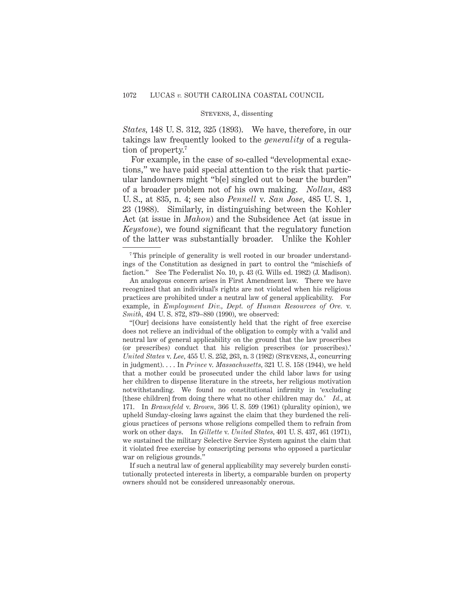*States,* 148 U. S. 312, 325 (1893). We have, therefore, in our takings law frequently looked to the *generality* of a regulation of property.7

For example, in the case of so-called "developmental exactions," we have paid special attention to the risk that particular landowners might "b[e] singled out to bear the burden" of a broader problem not of his own making. *Nollan,* 483 U. S., at 835, n. 4; see also *Pennell* v. *San Jose,* 485 U. S. 1, 23 (1988). Similarly, in distinguishing between the Kohler Act (at issue in *Mahon*) and the Subsidence Act (at issue in *Keystone*), we found significant that the regulatory function of the latter was substantially broader. Unlike the Kohler

<sup>7</sup> This principle of generality is well rooted in our broader understandings of the Constitution as designed in part to control the "mischiefs of faction." See The Federalist No. 10, p. 43 (G. Wills ed. 1982) (J. Madison).

An analogous concern arises in First Amendment law. There we have recognized that an individual's rights are not violated when his religious practices are prohibited under a neutral law of general applicability. For example, in *Employment Div., Dept. of Human Resources of Ore.* v. *Smith,* 494 U. S. 872, 879–880 (1990), we observed:

<sup>&</sup>quot;[Our] decisions have consistently held that the right of free exercise does not relieve an individual of the obligation to comply with a 'valid and neutral law of general applicability on the ground that the law proscribes (or prescribes) conduct that his religion prescribes (or proscribes).' *United States* v. *Lee,* 455 U. S. 252, 263, n. 3 (1982) (Stevens, J., concurring in judgment). . . . In *Prince* v. *Massachusetts,* 321 U. S. 158 (1944), we held that a mother could be prosecuted under the child labor laws for using her children to dispense literature in the streets, her religious motivation notwithstanding. We found no constitutional infirmity in 'excluding [these children] from doing there what no other children may do.' *Id.,* at 171. In *Braunfeld* v. *Brown,* 366 U. S. 599 (1961) (plurality opinion), we upheld Sunday-closing laws against the claim that they burdened the religious practices of persons whose religions compelled them to refrain from work on other days. In *Gillette* v. *United States,* 401 U. S. 437, 461 (1971), we sustained the military Selective Service System against the claim that it violated free exercise by conscripting persons who opposed a particular war on religious grounds."

If such a neutral law of general applicability may severely burden constitutionally protected interests in liberty, a comparable burden on property owners should not be considered unreasonably onerous.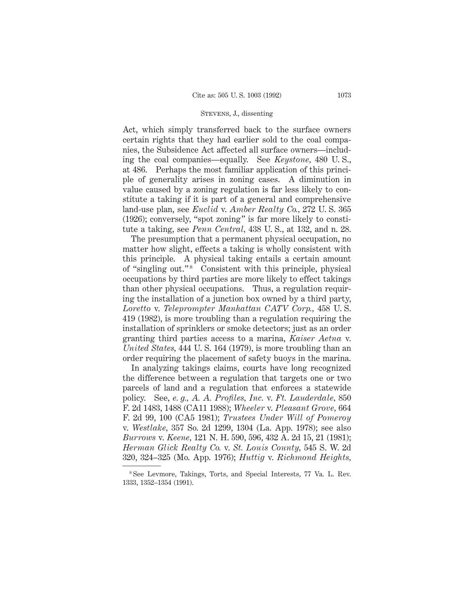# STEVENS, J., dissenting

Act, which simply transferred back to the surface owners certain rights that they had earlier sold to the coal companies, the Subsidence Act affected all surface owners—including the coal companies—equally. See *Keystone,* 480 U. S., at 486. Perhaps the most familiar application of this principle of generality arises in zoning cases. A diminution in value caused by a zoning regulation is far less likely to constitute a taking if it is part of a general and comprehensive land-use plan, see *Euclid* v. *Amber Realty Co.,* 272 U. S. 365 (1926); conversely, "spot zoning" is far more likely to constitute a taking, see *Penn Central,* 438 U. S., at 132, and n. 28.

The presumption that a permanent physical occupation, no matter how slight, effects a taking is wholly consistent with this principle. A physical taking entails a certain amount of "singling out."<sup>8</sup> Consistent with this principle, physical occupations by third parties are more likely to effect takings than other physical occupations. Thus, a regulation requiring the installation of a junction box owned by a third party, *Loretto* v. *Teleprompter Manhattan CATV Corp.,* 458 U. S. 419 (1982), is more troubling than a regulation requiring the installation of sprinklers or smoke detectors; just as an order granting third parties access to a marina, *Kaiser Aetna* v. *United States,* 444 U. S. 164 (1979), is more troubling than an order requiring the placement of safety buoys in the marina.

In analyzing takings claims, courts have long recognized the difference between a regulation that targets one or two parcels of land and a regulation that enforces a statewide policy. See, *e. g., A. A. Profiles, Inc.* v. *Ft. Lauderdale,* 850 F. 2d 1483, 1488 (CA11 1988); *Wheeler* v. *Pleasant Grove,* 664 F. 2d 99, 100 (CA5 1981); *Trustees Under Will of Pomeroy* v. *Westlake,* 357 So. 2d 1299, 1304 (La. App. 1978); see also *Burrows* v. *Keene,* 121 N. H. 590, 596, 432 A. 2d 15, 21 (1981); *Herman Glick Realty Co.* v. *St. Louis County,* 545 S. W. 2d 320, 324–325 (Mo. App. 1976); *Huttig* v. *Richmond Heights,*

<sup>8</sup> See Levmore, Takings, Torts, and Special Interests, 77 Va. L. Rev. 1333, 1352–1354 (1991).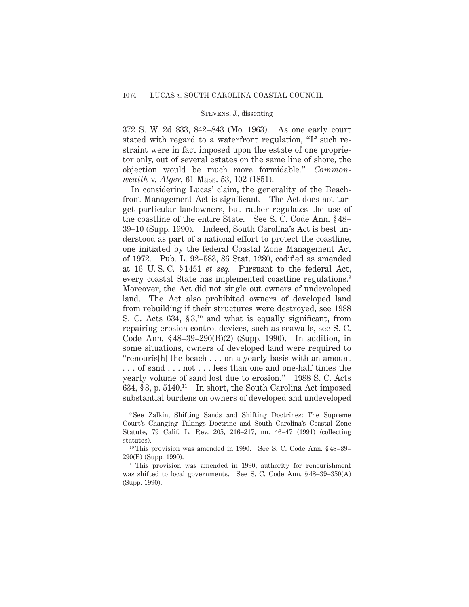372 S. W. 2d 833, 842–843 (Mo. 1963). As one early court stated with regard to a waterfront regulation, "If such restraint were in fact imposed upon the estate of one proprietor only, out of several estates on the same line of shore, the objection would be much more formidable." *Commonwealth* v. *Alger,* 61 Mass. 53, 102 (1851).

In considering Lucas' claim, the generality of the Beachfront Management Act is significant. The Act does not target particular landowners, but rather regulates the use of the coastline of the entire State. See S. C. Code Ann. § 48– 39–10 (Supp. 1990). Indeed, South Carolina's Act is best understood as part of a national effort to protect the coastline, one initiated by the federal Coastal Zone Management Act of 1972. Pub. L. 92–583, 86 Stat. 1280, codified as amended at 16 U. S. C. § 1451 *et seq.* Pursuant to the federal Act, every coastal State has implemented coastline regulations.<sup>9</sup> Moreover, the Act did not single out owners of undeveloped land. The Act also prohibited owners of developed land from rebuilding if their structures were destroyed, see 1988 S. C. Acts 634, § 3,<sup>10</sup> and what is equally significant, from repairing erosion control devices, such as seawalls, see S. C. Code Ann. § 48–39–290(B)(2) (Supp. 1990). In addition, in some situations, owners of developed land were required to "renouris[h] the beach . . . on a yearly basis with an amount . . . of sand . . . not . . . less than one and one-half times the yearly volume of sand lost due to erosion." 1988 S. C. Acts 634, § 3, p. 5140.11 In short, the South Carolina Act imposed substantial burdens on owners of developed and undeveloped

<sup>9</sup> See Zalkin, Shifting Sands and Shifting Doctrines: The Supreme Court's Changing Takings Doctrine and South Carolina's Coastal Zone Statute, 79 Calif. L. Rev. 205, 216–217, nn. 46–47 (1991) (collecting statutes).

<sup>10</sup> This provision was amended in 1990. See S. C. Code Ann. § 48–39– 290(B) (Supp. 1990).

<sup>&</sup>lt;sup>11</sup> This provision was amended in 1990; authority for renourishment was shifted to local governments. See S. C. Code Ann. § 48–39–350(A) (Supp. 1990).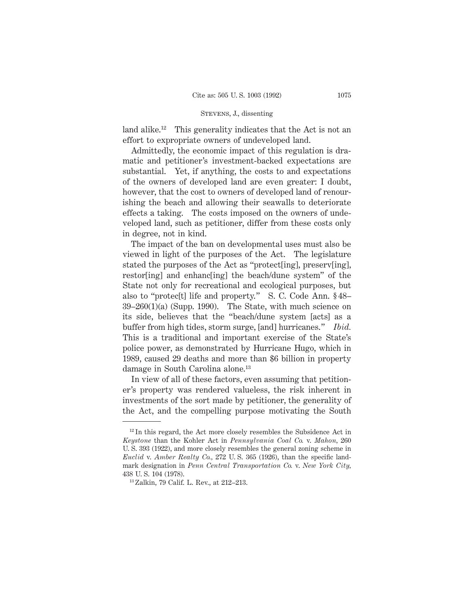# STEVENS, J., dissenting

land alike.<sup>12</sup> This generality indicates that the Act is not an effort to expropriate owners of undeveloped land.

Admittedly, the economic impact of this regulation is dramatic and petitioner's investment-backed expectations are substantial. Yet, if anything, the costs to and expectations of the owners of developed land are even greater: I doubt, however, that the cost to owners of developed land of renourishing the beach and allowing their seawalls to deteriorate effects a taking. The costs imposed on the owners of undeveloped land, such as petitioner, differ from these costs only in degree, not in kind.

The impact of the ban on developmental uses must also be viewed in light of the purposes of the Act. The legislature stated the purposes of the Act as "protect[ing], preserv[ing], restor[ing] and enhanc[ing] the beach/dune system" of the State not only for recreational and ecological purposes, but also to "protec[t] life and property." S. C. Code Ann. § 48–  $39-260(1)(a)$  (Supp. 1990). The State, with much science on its side, believes that the "beach/dune system [acts] as a buffer from high tides, storm surge, [and] hurricanes." *Ibid.* This is a traditional and important exercise of the State's police power, as demonstrated by Hurricane Hugo, which in 1989, caused 29 deaths and more than \$6 billion in property damage in South Carolina alone.13

In view of all of these factors, even assuming that petitioner's property was rendered valueless, the risk inherent in investments of the sort made by petitioner, the generality of the Act, and the compelling purpose motivating the South

 $12$  In this regard, the Act more closely resembles the Subsidence Act in *Keystone* than the Kohler Act in *Pennsylvania Coal Co.* v. *Mahon,* 260 U. S. 393 (1922), and more closely resembles the general zoning scheme in *Euclid* v. *Amber Realty Co.,* 272 U. S. 365 (1926), than the specific landmark designation in *Penn Central Transportation Co.* v. *New York City,* 438 U. S. 104 (1978).

<sup>13</sup> Zalkin, 79 Calif. L. Rev., at 212–213.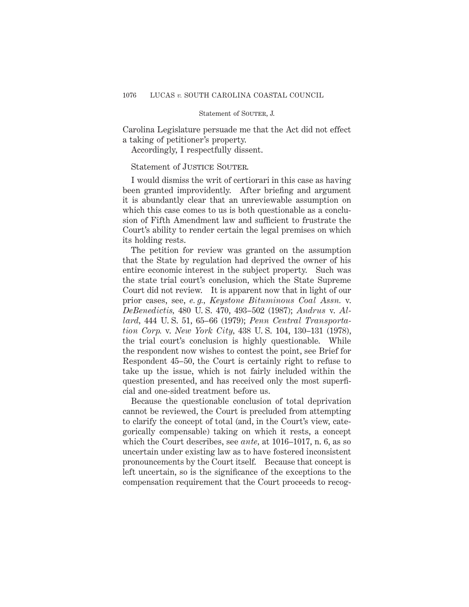#### Statement of SOUTER, J.

Carolina Legislature persuade me that the Act did not effect a taking of petitioner's property.

Accordingly, I respectfully dissent.

# Statement of JUSTICE SOUTER.

I would dismiss the writ of certiorari in this case as having been granted improvidently. After briefing and argument it is abundantly clear that an unreviewable assumption on which this case comes to us is both questionable as a conclusion of Fifth Amendment law and sufficient to frustrate the Court's ability to render certain the legal premises on which its holding rests.

The petition for review was granted on the assumption that the State by regulation had deprived the owner of his entire economic interest in the subject property. Such was the state trial court's conclusion, which the State Supreme Court did not review. It is apparent now that in light of our prior cases, see, *e. g., Keystone Bituminous Coal Assn.* v. *DeBenedictis,* 480 U. S. 470, 493–502 (1987); *Andrus* v. *Allard,* 444 U. S. 51, 65–66 (1979); *Penn Central Transportation Corp.* v. *New York City,* 438 U. S. 104, 130–131 (1978), the trial court's conclusion is highly questionable. While the respondent now wishes to contest the point, see Brief for Respondent 45–50, the Court is certainly right to refuse to take up the issue, which is not fairly included within the question presented, and has received only the most superficial and one-sided treatment before us.

Because the questionable conclusion of total deprivation cannot be reviewed, the Court is precluded from attempting to clarify the concept of total (and, in the Court's view, categorically compensable) taking on which it rests, a concept which the Court describes, see *ante,* at 1016–1017, n. 6, as so uncertain under existing law as to have fostered inconsistent pronouncements by the Court itself. Because that concept is left uncertain, so is the significance of the exceptions to the compensation requirement that the Court proceeds to recog-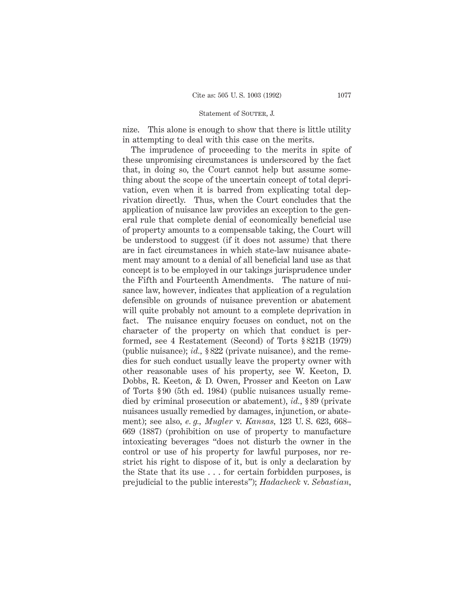#### Statement of SOUTER, J.

nize. This alone is enough to show that there is little utility in attempting to deal with this case on the merits.

The imprudence of proceeding to the merits in spite of these unpromising circumstances is underscored by the fact that, in doing so, the Court cannot help but assume something about the scope of the uncertain concept of total deprivation, even when it is barred from explicating total deprivation directly. Thus, when the Court concludes that the application of nuisance law provides an exception to the general rule that complete denial of economically beneficial use of property amounts to a compensable taking, the Court will be understood to suggest (if it does not assume) that there are in fact circumstances in which state-law nuisance abatement may amount to a denial of all beneficial land use as that concept is to be employed in our takings jurisprudence under the Fifth and Fourteenth Amendments. The nature of nuisance law, however, indicates that application of a regulation defensible on grounds of nuisance prevention or abatement will quite probably not amount to a complete deprivation in fact. The nuisance enquiry focuses on conduct, not on the character of the property on which that conduct is performed, see 4 Restatement (Second) of Torts § 821B (1979) (public nuisance); *id.,* § 822 (private nuisance), and the remedies for such conduct usually leave the property owner with other reasonable uses of his property, see W. Keeton, D. Dobbs, R. Keeton, & D. Owen, Prosser and Keeton on Law of Torts § 90 (5th ed. 1984) (public nuisances usually remedied by criminal prosecution or abatement), *id.,* § 89 (private nuisances usually remedied by damages, injunction, or abatement); see also, *e. g., Mugler* v. *Kansas,* 123 U. S. 623, 668– 669 (1887) (prohibition on use of property to manufacture intoxicating beverages "does not disturb the owner in the control or use of his property for lawful purposes, nor restrict his right to dispose of it, but is only a declaration by the State that its use . . . for certain forbidden purposes, is prejudicial to the public interests"); *Hadacheck* v. *Sebastian,*